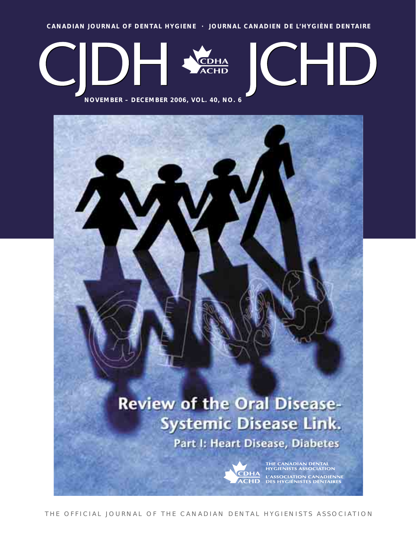**CANADIAN JOURNAL OF DENTAL HYGIENE · JOURNAL CANADIEN DE L'HYGIÈNE DENTAIRE**



**NOVEMBER – DECEMBER 2006, VOL. 40, NO. 6**

# **Review of the Oral Disease-Systemic Disease Link.** Part I: Heart Disease, Diabetes



THE CANADIAN DENTAL<br>HYGIENISTS ASSOCIATION L'ASSOCIATION CANADIENNE<br>DES HYGIÉNISTES DENTAIRES

THE OFFICIAL JOURNAL OF THE CANADIAN DENTAL HYGIENISTS ASSOCIATION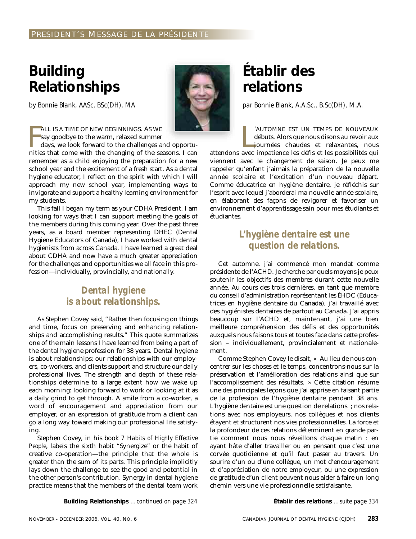# <span id="page-2-0"></span>**Building Relationships**

*by Bonnie Blank, AASc, BSc(DH), MA*



FALL IS A TIME OF NEW BEGINNINGS. AS WE<br>say goodbye to the warm, relaxed summer<br>days, we look forward to the challenges and opportu-<br>nities that come with the changing of the seasons. I can ALL IS A TIME OF NEW BEGINNINGS. AS WE say goodbye to the warm, relaxed summer days, we look forward to the challenges and opportu-

remember as a child enjoying the preparation for a new school year and the excitement of a fresh start. As a dental hygiene educator, I reflect on the spirit with which I will approach my new school year, implementing ways to invigorate and support a healthy learning environment for my students.

This fall I began my term as your CDHA President. I am looking for ways that I can support meeting the goals of the members during this coming year. Over the past three years, as a board member representing DHEC (Dental Hygiene Educators of Canada), I have worked with dental hygienists from across Canada. I have learned a great deal about CDHA and now have a much greater appreciation for the challenges and opportunities we all face in this profession—individually, provincially, and nationally.

# *Dental hygiene is about relationships.*

As Stephen Covey said, "Rather then focusing on things and time, focus on preserving and enhancing relationships and accomplishing results." This quote summarizes one of the main lessons I have learned from being a part of the dental hygiene profession for 38 years. Dental hygiene is about relationships; our relationships with our employers, co-workers, and clients support and structure our daily professional lives. The strength and depth of these relationships determine to a large extent how we wake up each morning: looking forward to work or looking at it as a daily grind to get through. A smile from a co-worker, a word of encouragement and appreciation from our employer, or an expression of gratitude from a client can go a long way toward making our professional life satisfying.

Stephen Covey, in his book *7 Habits of Highly Effective People*, labels the sixth habit "Synergize" or the habit of creative co-operation—the principle that the whole is greater than the sum of its parts. This principle implicitly lays down the challenge to see the good and potential in the other person's contribution. Synergy in dental hygiene practice means that the members of the dental team work

# **Établir des relations**

*par Bonnie Blank, A.A.Sc., B.Sc(DH), M.A.*

CAUTOMNE EST UN TEMPS DE NOUVEAUX<br>débuts. Alors que nous disons au revoir aux<br>journées chaudes et relaxantes, nous<br>attendons avec impatience les défis et les possibilités qui 'AUTOMNE EST UN TEMPS DE NOUVEAUX débuts. Alors que nous disons au revoir aux journées chaudes et relaxantes, nous

viennent avec le changement de saison. Je peux me rappeler qu'enfant j'aimais la préparation de la nouvelle année scolaire et l'excitation d'un nouveau départ. Comme éducatrice en hygiène dentaire, je réfléchis sur l'esprit avec lequel j'aborderai ma nouvelle année scolaire, en élaborant des façons de revigorer et favoriser un environnement d'apprentissage sain pour mes étudiants et étudiantes.

# *L'hygiène dentaire est une question de relations.*

Cet automne, j'ai commencé mon mandat comme présidente de l'ACHD. Je cherche par quels moyens je peux soutenir les objectifs des membres durant cette nouvelle année. Au cours des trois dernières, en tant que membre du conseil d'administration représentant les ÉHDC (Éducatrices en hygiène dentaire du Canada), j'ai travaillé avec des hygiénistes dentaires de partout au Canada. J'ai appris beaucoup sur l'ACHD et, maintenant, j'ai une bien meilleure compréhension des défis et des opportunités auxquels nous faisons tous et toutes face dans cette profession – individuellement, provincialement et nationalement.

Comme Stephen Covey le disait, « Au lieu de nous concentrer sur les choses et le temps, concentrons-nous sur la préservation et l'amélioration des relations ainsi que sur l'accomplissement des résultats. » Cette citation résume une des principales leçons que j'ai apprise en faisant partie de la profession de l'hygiène dentaire pendant 38 ans. L'hygiène dentaire est une question de relations ; nos relations avec nos employeurs, nos collègues et nos clients étayent et structurent nos vies professionnelles. La force et la profondeur de ces relations déterminent en grande partie comment nous nous réveillons chaque matin : en ayant hâte d'aller travailler ou en pensant que c'est une corvée quotidienne et qu'il faut passer au travers. Un sourire d'un ou d'une collègue, un mot d'encouragement et d'appréciation de notre employeur, ou une expression de gratitude d'un client peuvent nous aider à faire un long chemin vers une vie professionnelle satisfaisante.

**Building Relationships** *[…continued on page 324](#page-43-0)*

**[Établir des relations](#page-53-0)** *…suite page 334*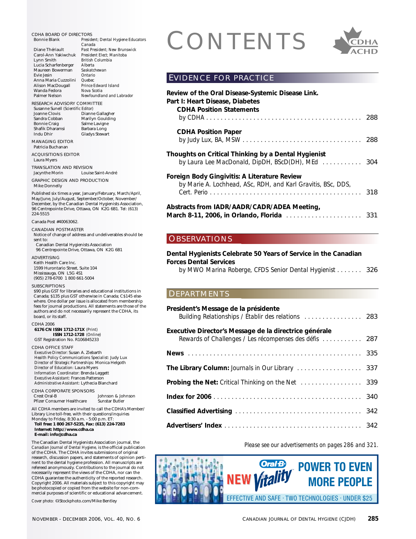CDHA BOARD OF DIRECTORS<br>
Bonnie Blank President; Dental Hygiene Educators<br>
Diane Thériault Pass President; New Brunswick<br>
Carol.Ann Vakiwchuk President Flect: Manitoba **President; Dental Hygiene Educators** *Canada* **Past President: New Brunswick** Carol-Ann Yakiwchuk *President Elect; Manitoba* Lynn Smith *British Columbia* Lucia Scharfenberger *Alberta* Maureen Bowerman *Saskatc*<br>Evie Jesin *Ontario* Evie Jesin *Ontario* Anna Maria Cuzzolini *Quebec* Alison MacDougall *Prince Edwa*<br>Wanda Fedora *Nova Scotia* Wanda Fedora *Nova Scotia*  $Newfoundland$  and Labrador RESEARCH ADVISORY COMMITTEE Susanne Sunell *(Scientific Editor)* Joanne Clovis Dianne Gallagher<br>Sandra Cobban Marilyn Goulding Sandra Cobban Marilyn Goulding Salme Lavigne<br>Barbara Long Shafik Dharamsi<br>Indu Dhir Gladys Stewart MANAGING EDITOR Patricia Buchanan ACQUISITIONS EDITOR Laura Myers TRANSLATION AND REVISION Jacynthe Morin Louise Saint-André GRAPHIC DESIGN AND PRODUCTION Mike Donnelly Published six times a year, January/February, March/April, May/June, July/August, September/October, November/ December, by the Canadian Dental Hygienists Association, 96 Centrepointe Drive, Ottawa, ON K2G 6B1. Tel: (613) 224-5515 Canada Post #40063062. CANADIAN POSTMASTER Notice of change of address and undeliverables should be sent to: Canadian Dental Hygienists Association 96 Centrepointe Drive, Ottawa, ON K2G 6B1 ADVERTISING Keith Health Care Inc. 1599 Hurontario Street, Suite 104 Mississauga, ON L5G 4S1 (905) 278-6700 1 800 661-5004 **SUBSCRIPTIONS** \$90 plus GST for libraries and educational institutions in Canada; \$135 plus GST otherwise in Canada; C\$145 elsewhere. One dollar per issue is allocated from membership fees for journal productions. All statements are those of the authors and do not necessarily represent the CDHA, its board, or its staff. CDHA 2006 **6176 CN ISSN 1712-171X** *(Print)* **ISSN 1712-1728** *(Online)* GST Registration No. R106845233 CDHA OFFICE STAFF *Executive Director:* Susan A. Ziebarth *Health Policy Communications Specialist:* Judy Lux *Director of Strategic Partnerships:* Monica Helgoth *Director of Education:* Laura Myers *Information Coordinator:* Brenda Leggett *Executive Assistant:* Frances Patterson *Administrative Assistant:* Lythecia Blanchard CDHA CORPORATE SPONSORS<br>Crest Oral-B Johnson & Johnson<br>Sunstar Butler Pfizer Consumer Healthcare All CDHA members are invited to call the CDHA's Member/ Library Line toll-free, with their questions/inquiries Monday to Friday, 8:30 a.m. - 5:00 p.m. ET: **Toll free: 1 800 267-5235, Fax: (613) 224-7283 Internet: http://www.cdha.ca E-mail: info@cdha.ca** The Canadian Dental Hygienists Association journal, the *Canadian Journal of Dental Hygiene,* is the official publication of the CDHA. The CDHA invites submissions of original research, discussion papers, and statements of opinion pertinent to the dental hygiene profession. All manuscripts are refereed anonymously. Contributions to the journal do not necessarily represent the views of the CDHA, nor can the CDHA guarantee the authenticity of the reported research. Copyright 2006. All materials subject to this copyright may be photocopied or copied from the website for non-com-OBSERVATIONS DEPARTMENTS

*Cover photo:* ©iStockphoto.com/Mike Bentley

mercial purposes of scientific or educational advancement.



# EVIDENCE FOR PRACTICE

| Review of the Oral Disease-Systemic Disease Link.<br>Part I: Heart Disease, Diabetes<br><b>CDHA Position Statements</b> |     |
|-------------------------------------------------------------------------------------------------------------------------|-----|
|                                                                                                                         | 288 |
| <b>CDHA Position Paper</b>                                                                                              |     |
|                                                                                                                         |     |
| Thoughts on Critical Thinking by a Dental Hygienist                                                                     |     |
| Foreign Body Gingivitis: A Literature Review                                                                            |     |
| by Marie A. Lochhead, ASc, RDH, and Karl Gravitis, BSc, DDS,                                                            |     |
| Abstracts from IADR/AADR/CADR/ADEA Meeting,                                                                             |     |
|                                                                                                                         |     |

**[Dental Hygienists Celebrate 50 Years of Service in the Canadian](#page-45-0) Forces Dental Services**

*by MWO Marina Roberge, CFDS Senior Dental Hygienist . . . . . . .* 326

| President's Message de la présidente<br>Building Relationships / Établir des relations  283                      |  |
|------------------------------------------------------------------------------------------------------------------|--|
| Executive Director's Message de la directrice générale<br>Rewards of Challenges / Les récompenses des défis  287 |  |
|                                                                                                                  |  |
| The Library Column: Journals in Our Library  337                                                                 |  |
| Probing the Net: Critical Thinking on the Net  339                                                               |  |
|                                                                                                                  |  |
|                                                                                                                  |  |
|                                                                                                                  |  |

*Please see our advertisements on pages 286 and 321.* 

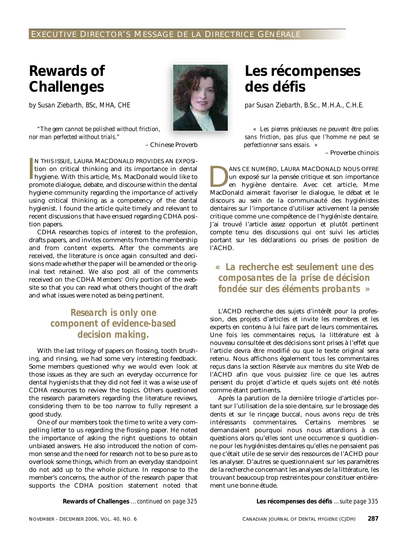# <span id="page-6-0"></span>**Rewards of Challenges**

*by Susan Ziebarth, BSc, MHA, CHE*

*"The gem cannot be polished without friction, nor man perfected without trials."* 



– Chinese Proverb

|<br>|<br>|<br>| N THIS ISSUE, LAURA MACDONALD PROVIDES AN EXPOSItion on critical thinking and its importance in dental hygiene. With this article, Ms. MacDonald would like to promote dialogue, debate, and discourse within the dental hygiene community regarding the importance of actively using critical thinking as a competency of the dental hygienist. I found the article quite timely and relevant to recent discussions that have ensued regarding CDHA position papers.

CDHA researches topics of interest to the profession, drafts papers, and invites comments from the membership and from content experts. After the comments are received, the literature is once again consulted and decisions made whether the paper will be amended or the original text retained. We also post all of the comments received on the CDHA *Members' Only* portion of the website so that you can read what others thought of the draft and what issues were noted as being pertinent.

# *Research is only one component of evidence-based decision making.*

With the last trilogy of papers on flossing, tooth brushing, and rinsing, we had some very interesting feedback. Some members questioned why we would even look at those issues as they are such an everyday occurrence for dental hygienists that they did not feel it was a wise use of CDHA resources to review the topics. Others questioned the research parameters regarding the literature reviews, considering them to be too narrow to fully represent a good study.

One of our members took the time to write a very compelling letter to us regarding the flossing paper. He noted the importance of asking the right questions to obtain unbiased answers. He also introduced the notion of common sense and the need for research not to be so pure as to overlook some things, which from an everyday standpoint do not add up to the whole picture. In response to the member's concerns, the author of the research paper that supports the CDHA position statement noted that

**Les récompenses des défis**

*par Susan Ziebarth, B.Sc., M.H.A., C.H.E.*

*« Les pierres précieuses ne peuvent être polies sans friction, pas plus que l'homme ne peut se perfectionner sans essais. »* 

– Proverbe chinois

ANS CE NUMÉRO, LAURA MACDONALD NOUS OFFRE<br>un exposé sur la pensée critique et son importance<br>en hygiène dentaire. Avec cet article, Mme<br>MacDonald aimerait favoriser le dialogue le débat et le un exposé sur la pensée critique et son importance en hygiène dentaire. Avec cet article, Mme MacDonald aimerait favoriser le dialogue, le débat et le discours au sein de la communauté des hygiénistes dentaires sur l'importance d'utiliser activement la pensée critique comme une compétence de l'hygiéniste dentaire. J'ai trouvé l'article assez opportun et plutôt pertinent compte tenu des discussions qui ont suivi les articles portant sur les déclarations ou prises de position de l'ACHD.

*« La recherche est seulement une des composantes de la prise de décision fondée sur des éléments probants »*

L'ACHD recherche des sujets d'intérêt pour la profession, des projets d'articles et invite les membres et les experts en contenu à lui faire part de leurs commentaires. Une fois les commentaires reçus, la littérature est à nouveau consultée et des décisions sont prises à l'effet que l'article devra être modifié ou que le texte original sera retenu. Nous affichons également tous les commentaires reçus dans la section *Réservée aux membres* du site Web de l'ACHD afin que vous puissiez lire ce que les autres pensent du projet d'article et quels sujets ont été notés comme étant pertinents.

Après la parution de la dernière trilogie d'articles portant sur l'utilisation de la soie dentaire, sur le brossage des dents et sur le rinçage buccal, nous avons reçu de très intéressants commentaires. Certains membres se demandaient pourquoi nous nous attardions à ces questions alors qu'elles sont une occurrence si quotidienne pour les hygiénistes dentaires qu'elles ne pensaient pas que c'était utile de se servir des ressources de l'ACHD pour les analyser. D'autres se questionnaient sur les paramètres de la recherche concernant les analyses de la littérature, les trouvant beaucoup trop restreintes pour constituer entièrement une bonne étude.

**[Rewards of Challenges](#page-44-0)** *…continued on page 325* **[Les récompenses des défis](#page-54-0)** *…suite page 335*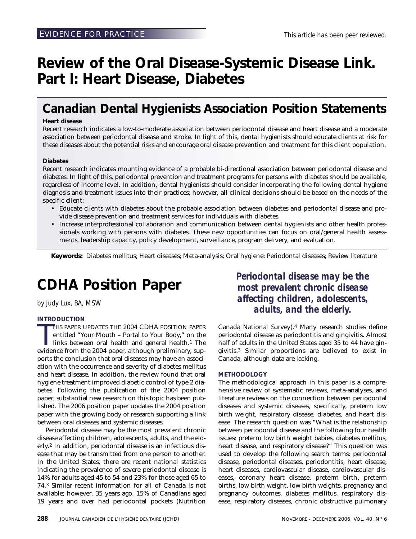# <span id="page-7-0"></span>**Review of the Oral Disease-Systemic Disease Link. Part I: Heart Disease, Diabetes**

# **Canadian Dental Hygienists Association Position Statements**

# **Heart disease**

Recent research indicates a low-to-moderate association between periodontal disease and heart disease and a moderate association between periodontal disease and stroke. In light of this, dental hygienists should educate clients at risk for these diseases about the potential risks and encourage oral disease prevention and treatment for this client population.

# **Diabetes**

Recent research indicates mounting evidence of a probable bi-directional association between periodontal disease and diabetes. In light of this, periodontal prevention and treatment programs for persons with diabetes should be available, regardless of income level. In addition, dental hygienists should consider incorporating the following dental hygiene diagnosis and treatment issues into their practices; however, all clinical decisions should be based on the needs of the specific client:

- Educate clients with diabetes about the probable association between diabetes and periodontal disease and provide disease prevention and treatment services for individuals with diabetes.
- Increase interprofessional collaboration and communication between dental hygienists and other health professionals working with persons with diabetes. These new opportunities can focus on oral/general health assessments, leadership capacity, policy development, surveillance, program delivery, and evaluation.

**Keywords:** Diabetes mellitus; Heart diseases; Meta-analysis; Oral hygiene; Periodontal diseases; Review literature

# **CDHA Position Paper**

*by Judy Lux, BA, MSW*

# **INTRODUCTION**

HIS PAPER UPDATES THE 2004 CDHA POSITION PAPER<br>entitled "Your Mouth – Portal to Your Body," on the<br>links between oral health and general health.<sup>1</sup> The<br>evidence from the 2004 paper, although preliminary, sup-HIS PAPER UPDATES THE 2004 CDHA POSITION PAPER entitled "Your Mouth – Portal to Your Body," on the links between oral health and general health.1 The ports the conclusion that oral diseases may have an association with the occurrence and severity of diabetes mellitus and heart disease. In addition, the review found that oral hygiene treatment improved diabetic control of type 2 diabetes. Following the publication of the 2004 position paper, substantial new research on this topic has been published. The 2006 position paper updates the 2004 position paper with the growing body of research supporting a link between oral diseases and systemic diseases.

Periodontal disease may be the most prevalent chronic disease affecting children, adolescents, adults, and the elderly.2 In addition, periodontal disease is an infectious disease that may be transmitted from one person to another. In the United States, there are recent national statistics indicating the prevalence of severe periodontal disease is 14% for adults aged 45 to 54 and 23% for those aged 65 to 74.3 Similar recent information for all of Canada is not available; however, 35 years ago, 15% of Canadians aged 19 years and over had periodontal pockets (Nutrition *Periodontal disease may be the most prevalent chronic disease affecting children, adolescents, adults, and the elderly.*

Canada National Survey).4 Many research studies define periodontal disease as periodontitis and gingivitis. Almost half of adults in the United States aged 35 to 44 have gingivitis.3 Similar proportions are believed to exist in Canada, although data are lacking.

# **METHODOLOGY**

The methodological approach in this paper is a comprehensive review of systematic reviews, meta-analyses, and literature reviews on the connection between periodontal diseases and systemic diseases, specifically, preterm low birth weight, respiratory disease, diabetes, and heart disease. The research question was "What is the relationship between periodontal disease and the following four health issues: preterm low birth weight babies, diabetes mellitus, heart disease, and respiratory disease?" This question was used to develop the following search terms: periodontal disease, periodontal diseases, periodontitis, heart disease, heart diseases, cardiovascular disease, cardiovascular diseases, coronary heart disease, preterm birth, preterm births, low birth weight, low birth weights, pregnancy and pregnancy outcomes, diabetes mellitus, respiratory disease, respiratory diseases, chronic obstructive pulmonary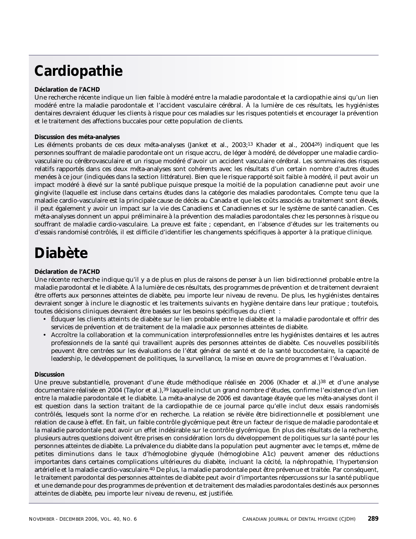# **Cardiopathie**

# **Déclaration de l'ACHD**

Une recherche récente indique un lien faible à modéré entre la maladie parodontale et la cardiopathie ainsi qu'un lien modéré entre la maladie parodontale et l'accident vasculaire cérébral. À la lumière de ces résultats, les hygiénistes dentaires devraient éduquer les clients à risque pour ces maladies sur les risques potentiels et encourager la prévention et le traitement des affections buccales pour cette population de clients.

# **Discussion des méta-analyses**

Les éléments probants de ces deux méta-analyses (Janket et al., 2003;13 Khader et al., 200426) indiquent que les personnes souffrant de maladie parodontale ont un risque accru, de léger à modéré, de développer une maladie cardiovasculaire ou cérébrovasculaire et un risque modéré d'avoir un accident vasculaire cérébral. Les sommaires des risques relatifs rapportés dans ces deux méta-analyses sont cohérents avec les résultats d'un certain nombre d'autres études menées à ce jour (indiquées dans la section littérature). Bien que le risque rapporté soit faible à modéré, il peut avoir un impact modéré à élevé sur la santé publique puisque presque la moitié de la population canadienne peut avoir une gingivite (laquelle est incluse dans certains études dans la catégorie des maladies parodontales. Compte tenu que la maladie cardio-vasculaire est la principale cause de décès au Canada et que les coûts associés au traitement sont élevés, il peut également y avoir un impact sur la vie des Canadiens et Canadiennes et sur le système de santé canadien. Ces méta-analyses donnent un appui préliminaire à la prévention des maladies parodontales chez les personnes à risque ou souffrant de maladie cardio-vasculaire. La preuve est faite ; cependant, en l'absence d'études sur les traitements ou d'essais randomisé contrôlés, il est difficile d'identifier les changements spécifiques à apporter à la pratique clinique.

# **Diabète**

# **Déclaration de l'ACHD**

Une récente recherche indique qu'il y a de plus en plus de raisons de penser à un lien bidirectionnel probable entre la maladie parodontal et le diabète. À la lumière de ces résultats, des programmes de prévention et de traitement devraient être offerts aux personnes atteintes de diabète, peu importe leur niveau de revenu. De plus, les hygiénistes dentaires devraient songer à inclure le diagnostic et les traitements suivants en hygiène dentaire dans leur pratique ; toutefois, toutes décisions cliniques devraient être basées sur les besoins spécifiques du client :

- Éduquer les clients atteints de diabète sur le lien probable entre le diabète et la maladie parodontale et offrir des services de prévention et de traitement de la maladie aux personnes atteintes de diabète.
- Accroître la collaboration et la communication interprofessionnelles entre les hygiénistes dentaires et les autres professionnels de la santé qui travaillent auprès des personnes atteintes de diabète. Ces nouvelles possibilités peuvent être centrées sur les évaluations de l'état général de santé et de la santé buccodentaire, la capacité de leadership, le développement de politiques, la surveillance, la mise en œuvre de programmes et l'évaluation.

# **Discussion**

Une preuve substantielle, provenant d'une étude méthodique réalisée en 2006 (Khader et al.)38 et d'une analyse documentaire réalisée en 2004 (Taylor et al.),<sup>39</sup> laquelle inclut un grand nombre d'études, confirme l'existence d'un lien entre la maladie parodontale et le diabète. La méta-analyse de 2006 est davantage étayée que les méta-analyses dont il est question dans la section traitant de la cardiopathie de ce journal parce qu'elle inclut deux essais randomisés contrôlés, lesquels sont la norme d'or en recherche. La relation se révèle être bidirectionnelle et possiblement une relation de cause à effet. En fait, un faible contrôle glycémique peut être un facteur de risque de maladie parodontale et la maladie parodontale peut avoir un effet indésirable sur le contrôle glycémique. En plus des résultats de la recherche, plusieurs autres questions doivent être prises en considération lors du développement de politiques sur la santé pour les personnes atteintes de diabète. La prévalence du diabète dans la population peut augmenter avec le temps et, même de petites diminutions dans le taux d'hémoglobine glyquée (hémoglobine A1c) peuvent amener des réductions importantes dans certaines complications ultérieures du diabète, incluant la cécité, la néphropathie, l'hypertension artérielle et la maladie cardio-vasculaire.40 De plus, la maladie parodontale peut être prévenue et traitée. Par conséquent, le traitement parodontal des personnes atteintes de diabète peut avoir d'importantes répercussions sur la santé publique et une demande pour des programmes de prévention et de traitement des maladies parodontales destinés aux personnes atteintes de diabète, peu importe leur niveau de revenu, est justifiée.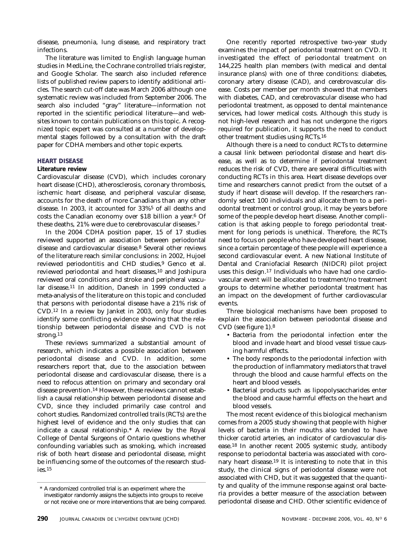disease, pneumonia, lung disease, and respiratory tract infections.

The literature was limited to English language human studies in MedLine, the Cochrane controlled trials register, and Google Scholar. The search also included reference lists of published review papers to identify additional articles. The search cut-off date was March 2006 although one systematic review was included from September 2006. The search also included "gray" literature—information not reported in the scientific periodical literature—and websites known to contain publications on this topic. A recognized topic expert was consulted at a number of developmental stages followed by a consultation with the draft paper for CDHA members and other topic experts.

# **HEART DISEASE**

# **Literature review**

Cardiovascular disease (CVD), which includes coronary heart disease (CHD), atherosclerosis, coronary thrombosis, ischemic heart disease, and peripheral vascular disease, accounts for the death of more Canadians than any other disease. In 2003, it accounted for 33%5 of all deaths and costs the Canadian economy over \$18 billion a year.6 Of these deaths, 21% were due to cerebrovascular diseases.7

In the 2004 CDHA position paper, 15 of 17 studies reviewed supported an association between periodontal disease and cardiovascular disease.8 Several other reviews of the literature reach similar conclusions: in 2002, Hujoel reviewed periodontitis and CHD studies,<sup>9</sup> Genco et al. reviewed periodontal and heart diseases,10 and Joshipura reviewed oral conditions and stroke and peripheral vascular disease.11 In addition, Danesh in 1999 conducted a meta-analysis of the literature on this topic and concluded that persons with periodontal disease have a 21% risk of CVD.12 In a review by Janket in 2003, only four studies identify some conflicting evidence showing that the relationship between periodontal disease and CVD is not strong.13

These reviews summarized a substantial amount of research, which indicates a possible association between periodontal disease and CVD. In addition, some researchers report that, due to the association between periodontal disease and cardiovascular disease, there is a need to refocus attention on primary and secondary oral disease prevention.14 However, these reviews cannot establish a causal relationship between periodontal disease and CVD, since they included primarily case control and cohort studies. Randomized controlled trails (RCTs) are the highest level of evidence and the only studies that can indicate a causal relationship.\* A review by the Royal College of Dental Surgeons of Ontario questions whether confounding variables such as smoking, which increased risk of both heart disease and periodontal disease, might be influencing some of the outcomes of the research studies.15

One recently reported retrospective two-year study examines the impact of periodontal treatment on CVD. It investigated the effect of periodontal treatment on 144,225 health plan members (with medical and dental insurance plans) with one of three conditions: diabetes, coronary artery disease (CAD), and cerebrovascular disease. Costs per member per month showed that members with diabetes, CAD, and cerebrovascular disease who had periodontal treatment, as opposed to dental maintenance services, had lower medical costs. Although this study is not high-level research and has not undergone the rigors required for publication, it supports the need to conduct other treatment studies using RCTs.16

Although there is a need to conduct RCTs to determine a causal link between periodontal disease and heart disease, as well as to determine if periodontal treatment reduces the risk of CVD, there are several difficulties with conducting RCTs in this area. Heart disease develops over time and researchers cannot predict from the outset of a study if heart disease will develop. If the researchers randomly select 100 individuals and allocate them to a periodontal treatment or control group, it may be years before some of the people develop heart disease. Another complication is that asking people to forego periodontal treatment for long periods is unethical. Therefore, the RCTs need to focus on people who have developed heart disease, since a certain percentage of these people will experience a second cardiovascular event. A new National Institute of Dental and Craniofacial Research (NIDCR) pilot project uses this design.17 Individuals who have had one cardiovascular event will be allocated to treatment/no treatment groups to determine whether periodontal treatment has an impact on the development of further cardiovascular events.

Three biological mechanisms have been proposed to explain the association between periodontal disease and CVD (see figure 1).8

- Bacteria from the periodontal infection enter the blood and invade heart and blood vessel tissue causing harmful effects.
- The body responds to the periodontal infection with the production of inflammatory mediators that travel through the blood and cause harmful effects on the heart and blood vessels.
- Bacterial products such as lipopolysaccharides enter the blood and cause harmful effects on the heart and blood vessels.

The most recent evidence of this biological mechanism comes from a 2005 study showing that people with higher levels of bacteria in their mouths also tended to have thicker carotid arteries, an indicator of cardiovascular disease.18 In another recent 2005 systemic study, antibody response to periodontal bacteria was associated with coronary heart disease.19 It is interesting to note that in this study, the clinical signs of periodontal disease were not associated with CHD, but it was suggested that the quantity and quality of the immune response against oral bacteria provides a better measure of the association between periodontal disease and CHD. Other scientific evidence of

<sup>\*</sup> A randomized controlled trial is an experiment where the investigator randomly assigns the subjects into groups to receive or not receive one or more interventions that are being compared.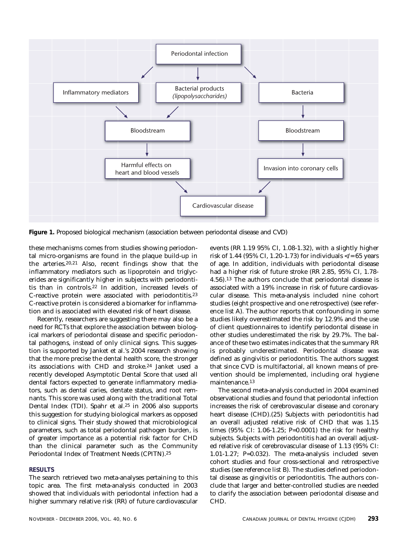

**Figure 1.** Proposed biological mechanism (association between periodontal disease and CVD)

these mechanisms comes from studies showing periodontal micro-organisms are found in the plaque build-up in the arteries.20,21 Also, recent findings show that the inflammatory mediators such as lipoprotein and triglycerides are significantly higher in subjects with periodontitis than in controls.22 In addition, increased levels of C-reactive protein were associated with periodontitis.23 C-reactive protein is considered a biomarker for inflammation and is associated with elevated risk of heart disease.

Recently, researchers are suggesting there may also be a need for RCTs that explore the association between biological markers of periodontal disease and specific periodontal pathogens, instead of only clinical signs. This suggestion is supported by Janket et al.'s 2004 research showing that the more precise the dental health score, the stronger its associations with CHD and stroke.24 Janket used a recently developed Asymptotic Dental Score that used all dental factors expected to generate inflammatory mediators, such as dental caries, dentate status, and root remnants. This score was used along with the traditional Total Dental Index (TDI). Spahr et al.25 in 2006 also supports this suggestion for studying biological markers as opposed to clinical signs. Their study showed that microbiological parameters, such as total periodontal pathogen burden, is of greater importance as a potential risk factor for CHD than the clinical parameter such as the Community Periodontal Index of Treatment Needs (CPITN).25

# **RESULTS**

The search retrieved two meta-analyses pertaining to this topic area. The first meta-analysis conducted in 2003 showed that individuals with periodontal infection had a higher summary relative risk (RR) of future cardiovascular events (RR 1.19 95% CI, 1.08-1.32), with a slightly higher risk of 1.44 (95% CI, 1.20-1.73) for individuals  $\langle \rangle = 65$  years of age. In addition, individuals with periodontal disease had a higher risk of future stroke (RR 2.85, 95% CI, 1.78- 4.56).13 The authors conclude that periodontal disease is associated with a 19% increase in risk of future cardiovascular disease. This meta-analysis included nine cohort studies (eight prospective and one retrospective) (see reference list A). The author reports that confounding in some studies likely overestimated the risk by 12.9% and the use of client questionnaires to identify periodontal disease in other studies underestimated the risk by 29.7%. The balance of these two estimates indicates that the summary RR is probably underestimated. Periodontal disease was defined as gingivitis or periodontitis. The authors suggest that since CVD is multifactorial, all known means of prevention should be implemented, including oral hygiene maintenance.13

The second meta-analysis conducted in 2004 examined observational studies and found that periodontal infection increases the risk of cerebrovascular disease and coronary heart disease (CHD).(25) Subjects with periodontitis had an overall adjusted relative risk of CHD that was 1.15 times (95% CI: 1.06-1.25; P=0.0001) the risk for healthy subjects. Subjects with periodontitis had an overall adjusted relative risk of cerebrovascular disease of 1.13 (95% CI: 1.01-1.27; P=0.032). The meta-analysis included seven cohort studies and four cross-sectional and retrospective studies (see reference list B). The studies defined periodontal disease as gingivitis or periodontitis. The authors conclude that larger and better-controlled studies are needed to clarify the association between periodontal disease and CHD.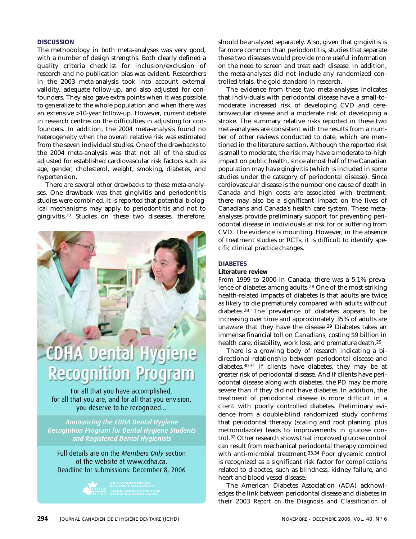# **DISCUSSION**

The methodology in both meta-analyses was very good, with a number of design strengths. Both clearly defined a quality criteria checklist for inclusion/exclusion of research and no publication bias was evident. Researchers in the 2003 meta-analysis took into account external validity, adequate follow-up, and also adjusted for confounders. They also gave extra points when it was possible to generalize to the whole population and when there was an extensive >10-year follow-up. However, current debate in research centres on the difficulties in adjusting for confounders. In addition, the 2004 meta-analysis found no heterogeneity when the overall relative risk was estimated from the seven individual studies. One of the drawbacks to the 2004 meta-analysis was that not all of the studies adjusted for established cardiovascular risk factors such as age, gender, cholesterol, weight, smoking, diabetes, and hypertension.

There are several other drawbacks to these meta-analyses. One drawback was that gingivitis and periodontitis studies were combined. It is reported that potential biological mechanisms may apply to periodontitis and not to gingivitis.27 Studies on these two diseases, therefore,

# **HA Dental Hygi Recognition Program**

For all that you have accomplished, for all that you are, and for all that you envision, you deserve to be recognized…

Announcing the CDHA Dental Hygiene Recognition Program for Dental Hygiene Students and Registered Dental Hygienists

Full details are on the *Members Only* section of the website at www.cdha.ca. Deadline for submissions: December 8, 2006



should be analyzed separately. Also, given that gingivitis is far more common than periodontitis, studies that separate these two diseases would provide more useful information on the need to screen and treat each disease. In addition, the meta-analyses did not include any randomized controlled trials, the gold standard in research.

The evidence from these two meta-analyses indicates that individuals with periodontal disease have a small-tomoderate increased risk of developing CVD and cerebrovascular disease and a moderate risk of developing a stroke. The summary relative risks reported in these two meta-analyses are consistent with the results from a number of other reviews conducted to date, which are mentioned in the literature section. Although the reported risk is small to moderate, the risk may have a moderate-to-high impact on public health, since almost half of the Canadian population may have gingivitis (which is included in some studies under the category of periodontal disease). Since cardiovascular disease is the number one cause of death in Canada and high costs are associated with treatment, there may also be a significant impact on the lives of Canadians and Canada's health care system. These metaanalyses provide preliminary support for preventing periodontal disease in individuals at risk for or suffering from CVD. The evidence is mounting. However, in the absence of treatment studies or RCTs, it is difficult to identify specific clinical practice changes.

# **DIABETES**

# **Literature review**

From 1999 to 2000 in Canada, there was a 5.1% prevalence of diabetes among adults.28 One of the most striking health-related impacts of diabetes is that adults are twice as likely to die prematurely compared with adults without diabetes.28 The prevalence of diabetes appears to be increasing over time and approximately 35% of adults are unaware that they have the disease.29 Diabetes takes an immense financial toll on Canadians, costing \$9 billion in health care, disability, work loss, and premature death.29

There is a growing body of research indicating a bidirectional relationship between periodontal disease and diabetes.30,31 If clients have diabetes, they may be at greater risk of periodontal disease. And if clients have periodontal disease along with diabetes, the PD may be more severe than if they did not have diabetes. In addition, the treatment of periodontal disease is more difficult in a client with poorly controlled diabetes. Preliminary evidence from a double-blind randomized study confirms that periodontal therapy (scaling and root planing, plus metronidazole) leads to improvements in glucose control.32 Other research shows that improved glucose control can result from mechanical periodontal therapy combined with anti-microbial treatment.33,34 Poor glycemic control is recognized as a significant risk factor for complications related to diabetes, such as blindness, kidney failure, and heart and blood vessel disease.

The American Diabetes Association (ADA) acknowledges the link between periodontal disease and diabetes in their 2003 *Report on the Diagnosis and Classification of*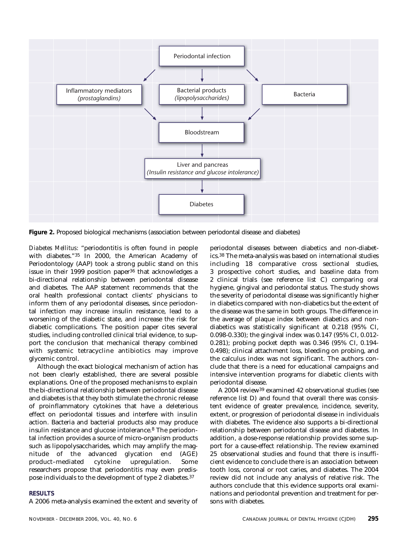

**Figure 2.** Proposed biological mechanisms (association between periodontal disease and diabetes)

*Diabetes Mellitus*: "periodontitis is often found in people with diabetes."35 In 2000, the American Academy of Periodontology (AAP) took a strong public stand on this issue in their 1999 position paper36 that acknowledges a bi-directional relationship between periodontal disease and diabetes. The AAP statement recommends that the oral health professional contact clients' physicians to inform them of any periodontal diseases, since periodontal infection may increase insulin resistance, lead to a worsening of the diabetic state, and increase the risk for diabetic complications. The position paper cites several studies, including controlled clinical trial evidence, to support the conclusion that mechanical therapy combined with systemic tetracycline antibiotics may improve glycemic control.

Although the exact biological mechanism of action has not been clearly established, there are several possible explanations. One of the proposed mechanisms to explain the bi-directional relationship between periodontal disease and diabetes is that they both stimulate the chronic release of proinflammatory cytokines that have a deleterious effect on periodontal tissues and interfere with insulin action. Bacteria and bacterial products also may produce insulin resistance and glucose intolerance.8 The periodontal infection provides a source of micro-organism products such as lipopolysaccharides, which may amplify the magnitude of the advanced glycation end (AGE) product–mediated cytokine upregulation. Some researchers propose that periodontitis may even predispose individuals to the development of type 2 diabetes.37

# **RESULTS**

A 2006 meta-analysis examined the extent and severity of

periodontal diseases between diabetics and non-diabetics.38 The meta-analysis was based on international studies including 18 comparative cross sectional studies, 3 prospective cohort studies, and baseline data from 2 clinical trials (see reference list C) comparing oral hygiene, gingival and periodontal status. The study shows the severity of periodontal disease was significantly higher in diabetics compared with non-diabetics but the extent of the disease was the same in both groups. The difference in the average of plaque index between diabetics and nondiabetics was statistically significant at 0.218 (95% CI, 0.098-0.330); the gingival index was 0.147 (95% CI, 0.012- 0.281); probing pocket depth was 0.346 (95% CI, 0.194- 0.498); clinical attachment loss, bleeding on probing, and the calculus index was not significant. The authors conclude that there is a need for educational campaigns and intensive intervention programs for diabetic clients with periodontal disease.

A 2004 review39 examined 42 observational studies (see reference list D) and found that overall there was consistent evidence of greater prevalence, incidence, severity, extent, or progression of periodontal disease in individuals with diabetes. The evidence also supports a bi-directional relationship between periodontal disease and diabetes. In addition, a dose-response relationship provides some support for a cause-effect relationship. The review examined 25 observational studies and found that there is insufficient evidence to conclude there is an association between tooth loss, coronal or root caries, and diabetes. The 2004 review did not include any analysis of relative risk. The authors conclude that this evidence supports oral examinations and periodontal prevention and treatment for persons with diabetes.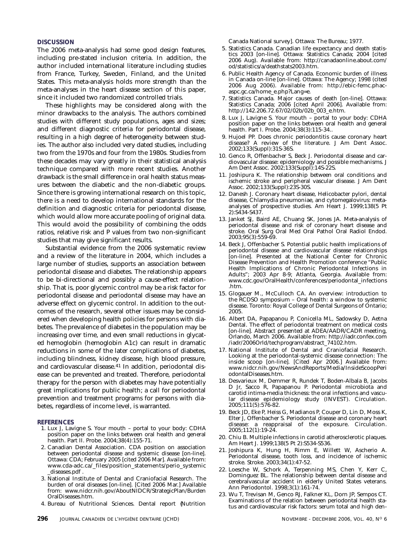# **DISCUSSION**

The 2006 meta-analysis had some good design features, including pre-stated inclusion criteria. In addition, the author included international literature including studies from France, Turkey, Sweden, Finland, and the United States. This meta-analysis holds more strength than the meta-analyses in the heart disease section of this paper, since it included two randomized controlled trials.

These highlights may be considered along with the minor drawbacks to the analysis. The authors combined studies with different study populations, ages and sizes; and different diagnostic criteria for periodontal disease, resulting in a high degree of heterogeneity between studies. The author also included very dated studies, including two from the 1970s and four from the 1980s. Studies from these decades may vary greatly in their statistical analysis technique compared with more recent studies. Another drawback is the small difference in oral health status measures between the diabetic and the non-diabetic groups. Since there is growing international research on this topic, there is a need to develop international standards for the definition and diagnostic criteria for periodontal disease, which would allow more accurate pooling of original data. This would avoid the possibility of combining the odds ratios, relative risk and P values from two non-significant studies that may give significant results.

Substantial evidence from the 2006 systematic review and a review of the literature in 2004, which includes a large number of studies, supports an association between periodontal disease and diabetes. The relationship appears to be bi-directional and possibly a cause-effect relationship. That is, poor glycemic control may be a risk factor for periodontal disease and periodontal disease may have an adverse effect on glycemic control. In addition to the outcomes of the research, several other issues may be considered when developing health policies for persons with diabetes. The prevalence of diabetes in the population may be increasing over time, and even small reductions in glycated hemoglobin (hemoglobin A1c) can result in dramatic reductions in some of the later complications of diabetes, including blindness, kidney disease, high blood pressure, and cardiovascular disease.41 In addition, periodontal disease can be prevented and treated. Therefore, periodontal therapy for the person with diabetes may have potentially great implications for public health; a call for periodontal prevention and treatment programs for persons with diabetes, regardless of income level, is warranted.

# **REFERENCES**

- 1. Lux J, Lavigne S. Your mouth portal to your body: CDHA position paper on the links between oral health and general health. Part II. Probe. 2004;38(4):155-71.
- 2. Canadian Dental Association. CDA position on association between periodontal disease and systemic disease [on-line]. Ottawa: CDA; February 2005 [cited 2006 Mar]. Available from: www.cda-adc.ca/\_files/position\_statements/perio\_systemic \_diseases.pdf .
- 3. National Institute of Dental and Craniofacial Research. The burden of oral diseases [on-line]. [Cited 2006 Mar.] Available from: www.nidcr.nih.gov/AboutNIDCR/StrategicPlan/Burden OralDiseases.htm.
- 4. Bureau of Nutritional Sciences. Dental report {Nutrition

Canada National survey]. Ottawa: The Bureau; 1977.

- 5. Statistics Canada. Canadian life expectancy and death statistics 2003 [on-line]. Ottawa: Statistics Canada; 2004 [cited 2006 Aug). Available from: http://canadaonline.about.com/ od/statistics/a/deathstats2003.htm.
- 6. Public Health Agency of Canada. Economic burden of illness in Canada on-line [on-line]. Ottawa: The Agency; 1998 (cited 2006 Aug 2006). Available from: http://ebic-femc.phacaspc.gc.ca/home\_e.php?Lang=e.
- 7. Statistics Canada. Major causes of death [on-line]. Ottawa: Statistics Canada; 2006 [cited April 2006]. Available from: http://142.206.72.67/02/02b/02b\_003\_e.htm.
- 8. Lux J, Lavigne S. Your mouth portal to your body: CDHA position paper on the links between oral health and general health. Part I. Probe. 2004;38(3):115-34..
- 9. Hujoel PP. Does chronic periodontitis cause coronary heart disease? A review of the literature. J Am Dent Assoc. 2002;133(Suppl):31S-36S.
- 10. Genco R, Offenbacher S, Beck J. Periodontal disease and cardiovascular disease: epidemiology and possible mechanisms. J Am Dent Assoc. 2002;133(Suppl):14S-22S.
- 11. Joshipura K. The relationship between oral conditions and ischemic stroke and peripheral vascular disease. J Am Dent Assoc. 2002;133(Suppl):23S-30S.
- 12. Danesh J. Coronary heart disease, Helicobacter pylori, dental disease, Chlamydia pneumoniae, and cytomegalovirus: metaanalyses of prospective studies. Am Heart J. 1999;138(5 Pt 2):S434-S437.
- 13. Janket SJ, Baird AE, Chuang SK, Jones JA. Meta-analysis of periodontal disease and risk of coronary heart disease and stroke. Oral Surg Oral Med Oral Pathol Oral Radiol Endod. 2003;95(3):559-69.
- 14. Beck J, Offenbacher S. Potential public health implications of periodontal disease and cardiovascular disease relationships [on-line]. Presented at the National Center for Chronic Disease Prevention and Health Promotion conference "Public Health Implications of Chronic Periodontal Infections in Adults"; 2003 Apr 8-9; Atlanta, Georgia. Available from: www.cdc.gov/OralHealth/conferences/periodontal\_infections .htm.
- 15. Glogauer M., McCulloch CA. An overview: introduction to the RCDSO symposium – Oral health: a window to systemic disease. Toronto: Royal College of Dental Surgeons of Ontario; 2005.
- 16. Albert DA, Papapanou P, Conicella ML, Sadowsky D, Aetna Dental. The effect of periodontal treatment on medical costs [on-line]. Abstract presented at ADEA/AADR/CADR meeting, Orlando, March 2006. Available from: http://iadr.confex.com /iadr/2006Orld/techprogram/abstract\_74102.htm.
- 17. National Institute of Dental and Craniofacial Research. Looking at the periodontal-systemic disease connection: The inside scoop [on-line]. [Cited Apr 2006.] Available from: www.nidcr.nih.gov/NewsAndReports/Media/InsideScoopPeri odontalDiseases.htm.
- 18. Desvarieux M, Demmer R, Rundek T, Boden-Albala B, Jacobs D Jr, Sacco R, Papapanou P. Periodontal microbiota and carotid intima-media thickness: the oral infections and vascular disease epidemiology study (INVEST). Circulation. 2005;111(5):576-82.
- 19. Beck JD, Eke P, Heiss G, Madianos P, Couper D, Lin D, Moss K, Elter J, Offenbacher S. Periodontal disease and coronary heart disease: a reappraisal of the exposure. Circulation. 2005;112(1):19-24.
- 20. Chiu B. Multiple infections in carotid atherosclerotic plaques. Am Heart J. 1999;138(5 Pt 2):S534-S536.
- 21. Joshipura K, Hung H, Rimm E, Willett W, Ascherio A. Periodontal disease, tooth loss, and incidence of ischemic stroke. Stroke. 2003;34(1):47-52.
- 22. Loesche W, Schork A, Terpenning MS, Chen Y, Kerr C, Dominguez BL. The relationship between dental disease and cerebralvascular accident in elderly United States veterans. Ann Periodontol. 1998;3(1):161-74.
- 23. Wu T, Trevisan M, Genco RJ, Falkner KL, Dorn JP, Sempos CT. Examinations of the relation between periodontal health status and cardiovascular risk factors: serum total and high den-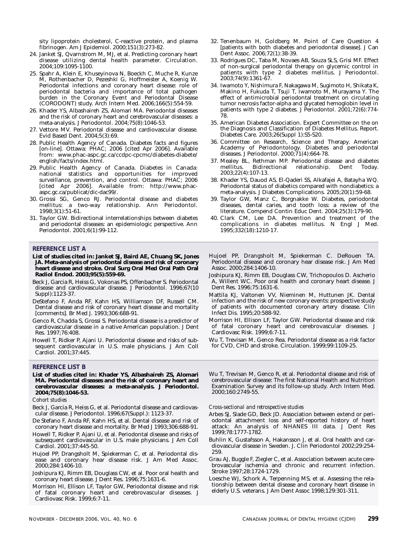sity lipoprotein cholesterol, C-reactive protein, and plasma fibrinogen. Am J Epidemiol. 2000;151(3):273-82.

- 24. Janket SJ, Qvarnstrom M, MJ, et al. Predicting coronary heart disease utilizing dental health parameter. Circulation. 2004;109:1095-1100.
- 25. Spahr A, Klein E, Khuseyinova N, Boeckh C, Muche R, Kunze M, Rothenbacher D, Pezeshki G, Hoffmeister A, Koenig W. Periodontal infections and coronary heart disease: role of periodontal bacteria and importance of total pathogen burden in the Coronary Event and Periodontal Disease (CORODONT) study. Arch Intern Med. 2006;166(5):554-59.
- 26. Khader YS, Albashaireh ZS, Alomari MA. Periodontal diseases and the risk of coronary heart and cerebrovascular diseases: a meta-analysis. J Periodontol. 2004;75(8):1046-53.
- 27. Vettore MV. Periodontal disease and cardiovascular disease. Evid Based Dent. 2004;5(3):69.
- 28. Public Health Agency of Canada. Diabetes facts and figures [on-line]. Ottawa: PHAC; 2006 [cited Apr 2006]. Available from: www.phac-aspc.gc.ca/ccdpc-cpcmc/diabetes-diabete/ english/facts/index.html.
- 29. Public Health Agency of Canada. Diabetes in Canada: national statistics and opportunities for improved surveillance, prevention, and control. Ottawa: PHAC; 2006 [cited Apr 2006]. Available from: http://www.phacaspc.gc.ca/publicat/dic-dac99/.
- 30. Grossi SG, Genco RJ. Periodontal disease and diabetes mellitus: a two-way relationship. Ann Periodontol. 1998;3(1):51-61.
- 31. Taylor GW. Bidirectional interrelationships between diabetes and periodontal diseases: an epidemiologic perspective. Ann Periodontol. 2001;6(1):99-112.

# **REFERENCE LIST A**

- **List of studies cited in: Janket SJ, Baird AE, Chuang SK, Jones JA. Meta-analysis of periodontal disease and risk of coronary heart disease and stroke. Oral Surg Oral Med Oral Path Oral Radiol Endod. 2003;95(5):559-69.**
- Beck J, Garcia R, Heiss G, Vokonas PS, Offenbacher S. Periodontal disease and cardiovascular disease. J Periodontol. 1996;67(10 Suppl):1123-37.
- DeStefano F, Anda RF, Kahn HS, Williamson DF, Russell CM. Dental disease and risk of coronary heart disease and mortality [comments]. Br Med J. 1993;306:688-91.
- Genco R, Chadda S, Grossi S. Periodontal disease is a predictor of cardiovascular disease in a native American population. J Dent Res. 1997;76:408.
- Howell T, Ridker P, Ajani U. Periodontal disease and risks of subsequent cardiovascular in U.S. male physicians. J Am Coll Cardiol. 2001;37:445.

# **REFERENCE LIST B**

**List of studies cited in: Khader YS, Albashaireh ZS, Alomari MA. Periodontal diseases and the risk of coronary heart and cerebrovascular diseases: a meta-analysis. J Periodontol. 2004;75(8):1046-53.**

## *Cohort studies*

- Beck J, Garcia R, Heiss G, et al. Periodontal disease and cardiovascular disease. J Periodontol. 1996;67(Suppl.): 1123-37.
- De Stefano F, Anda RF, Kahn HS, et al. Dental disease and risk of coronary heart disease and mortality. Br Med J 1993;306:688-91.
- Howell T, Ridker P, Ajani U, et al. Periodontal disease and risks of subsequent cardiovascular in U.S. male physicians. J Am Coll Cardiol. 2001;37:445-50.
- Hujoel PP, Drangsholt M, Spiekerman C, et al. Periodontal disease and coronary hear disease risk. J Am Med Assoc. 2000;284:1406-10.
- Joshipura KJ, Rimm EB, Douglass CW, et al. Poor oral health and coronary heart disease. J Dent Res. 1996;75:1631-6.
- Morrison HI, Ellison LF, Taylor GW, Periodontal disease and risk of fatal coronary heart and cerebrovascular diseases. J Cardiovasc Risk. 1999;6:7-11.
- 32. Tenenbaum H, Goldberg M. Point of Care Question 4 [patients with both diabetes and periodontal disease]. J Can Dent Assoc. 2006;72(1):38-39.
- 33. Rodrigues DC, Taba M, Novaes AB, Souza SLS, Grisi MF. Effect of non-surgical periodontal therapy on glycemic control in patients with type 2 diabetes mellitus. J Periodontol. 2003;74(9):1361-67.
- 34. Iwamoto Y, Nishimura F, Nakagawa M, Sugimoto H, Shikata K, Makino H, Fukuda T, Tsuji T, Iwamoto M, Murayama Y. The effect of antimicrobial periodontal treatment on circulating tumor necrosis factor-alpha and glycated hemoglobin level in patients with type 2 diabetes. J Periodontol. 2001;72(6):774- 78.
- 35. American Diabetes Association. Expert Committee on the on the Diagnosis and Classification of Diabetes Mellitus. Report. Diabetes Care. 2003;26(Suppl 1):S5-S20.
- 36. Committee on Research, Science and Therapy. American Academy of Periodontology. Diabetes and periodontal diseases. J Periodontol. 2000;71(4):664-78.
- 37. Mealey BL, Rethman MP. Periodontal disease and diabetes Bidirectional relationship. 2003;22(4):107-13.
- 38. Khader YS, Dauod AS, El-Qaderi SS, Alkafajei A, Batayha WQ. Periodontal status of diabetics compared with nondiabetics: a meta-analysis. J Diabetes Complications. 2005;20(1):59-68.
- 39. Taylor GW, Manz C, Borgnakke W. Diabetes, periodontal diseases, dental caries, and tooth loss: a review of the literature. Compend Contin Educ Dent. 2004;25(3):179-90.
- 40. Clark CM, Lee DA. Prevention and treatment of the complications in diabetes mellitus. N Engl J Med. 1995;332(18):1210-17.
- Hujoel PP, Drangsholt M, Spiekerman C. DeRouen TA. Periodontal disease and coronary hear disease risk. J Am Med Assoc. 2000;284:1406-10.
- Joshipura KJ, Rimm EB, Douglass CW, Trichopoulos D. Ascherio A, Willent WC. Poor oral health and coronary heart disease. J Dent Res. 1996;75:1631-6.
- Mattila KJ, Valtonen VV, Nieminen M, Huttunen JK. Dental infection and the risk of new coronary events: prospective study of patients with documented coronary artery disease. Clin Infect Dis. 1995;20:588-92.
- Morrison HI, Ellison LF, Taylor GW. Periodontal disease and risk of fatal coronary heart and cerebrovascular diseases. J Cardiovasc Risk. 1999;6:7-11.

Wu T, Trevisan M, Genco Rea. Periodontal disease as a risk factor for CVD, CHD and stroke. Circulation. 1999;99:1109-25.

Wu T, Trevisan M, Genco R, et al. Periodontal disease and risk of cerebrovascular disease: The first National Health and Nutrition Examination Survey and its follow-up study. Arch Intern Med. 2000;160:2749-55.

*Cross-sectional and retrospective studies*

- Arbes SJ, Slade GD, Beck JD. Association between extend or periodontal attachment loss and self-reported history of heart attack: An analysis of NHANES III data. J Dent Res 1999;78:1777-1782.
- Buhlin K, Gustafsson A, Hakansson J, et al. Oral health and cardiovascular disease in Sweden. J. Clin Periodontol 2002;29:254- 259.
- Grau AJ, Buggle F, Ziegler C, et al. Association between acute cerebrovascular ischemia and chronic and recurrent infection. Stroke 1997;28:1724-1729.
- Loesche WJ, Schork A, Terpenning MS, et al. Assessing the relationship between dental disease and coronary heart disease in elderly U.S. veterans. J Am Dent Assoc 1998;129:301-311.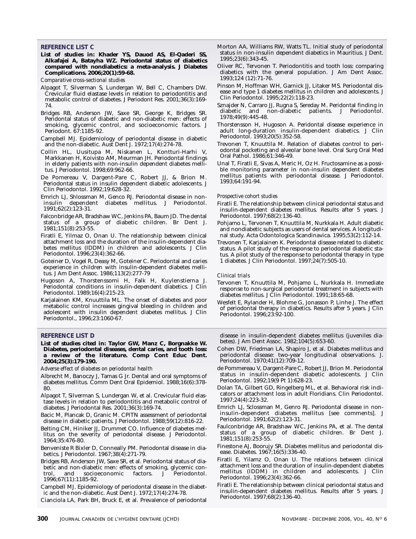# **REFERENCE LIST C**

**List of studies in: Khader YS, Dauod AS, El-Qaderi SS, Alkafajei A, Batayha WZ. Periodontal status of diabetics compared with nondiabetics: a meta-analysis. J Diabetes Complications. 2006;20(1):59-68.**

*Comparative cross-sectional studies*

- Alpagot T, Silverman S, Lundergan W, Bell C, Chambers DW. Crevicular fluid elastase levels in relation to periodontitis and metabolic control of diabetes. J Periodont Res. 2001;36(3):169- 74.
- Bridges RB, Anderson JW, Saxe SR, George K, Bridges SR. Peridontal status of diabetic and non-diabetic men: effects of smoking, glycemic control, and socioeconomic factors. J Periodont. 67:1185-92.
- Campbell MJ. Epidemiology of periodontal disease in diabetic and the non-diabetic. Aust Dent J. 1972;17(4):274-78.
- Collin HL, Uusitupa M, Niskanen L, Kontturi-Harhi V, Markkanen H, Koivisto AM, Meurman JH. Periodontal findings in elderly patients with non-insulin dependent diabetes mellitus. J Periodontol. 1998;69:962-66.
- De Pomereau V, Dargent-Pare C, Robert JJ, & Brion M. Periodontal status in insulin dependent diabetic adolescents. J Clin Periodontol. 1992;19:628-32.
- Emrich LJ, Shlossman M, Genco RJ. Periodontal disease in noninsulin dependent diabetes mellitus. J Periodontol. 1991;62(2):123-31.
- Falconbridge AR, Bradshaw WC, Jenkins PA, Baum JD. The dental status of a group of diabetic children. Br Dent J. 1981;151(8):253-55.
- Firatli E, Yilmaz O, Onan U. The relationship between clinical attachment loss and the duration of the insulin-dependent diabetes mellitus (IDDM) in children and adolescents. J Clin Periodontol. 1996;23(4):362-66.
- Goteiner D, Vogel R, Deasy M, Goteiner C. Periodontal and caries experience in children with insulin-dependent diabetes mellitus. J Am Dent Assoc. 1986;113(2):277-79
- Hugoson A, Thorstenssomi H, Falk H, Kuylenstierna J. Periodontal conditions in insulin-dependent diabetics. J Clin Periodontol. 1989;16(4):215-23.
- Karjalainen KM, Knuuttila ML. The onset of diabetes and poor metabolic control increases gingival bleeding in children and adolescent with insulin dependent diabetes mellitus. J Clin Periodontol., 1996;23:1060-67.

## **REFERENCE LIST D**

**List of studies cited in: Taylor GW, Manz C, Borgnakke W. Diabetes, periodontal diseases, dental caries, and tooth loss: a review of the literature. Comp Cont Educ Dent. 2004;25(3):179-190.** 

*Adverse effect of diabetes on periodontal health*

- Albrecht M, Banoczy J, Tamas G Jr. Dental and oral symptoms of diabetes mellitus. Comm Dent Oral Epidemiol. 1988;16(6):378- 80.
- Alpagot T, Silverman S, Lundergan W, et al. Crevicular fluid elastase levels in relation to periodontitis and metabolic control of diabetes. J Periodontal Res. 2001;36(3):169-74.
- Bacic M, Plancak D, Granic M. CPITN assessment of periodontal disease in diabetic patients. J Periodontol. 1988;59(12):816-22.
- Belting CM, Hiniker JJ, Drummet CO. Influence of diabetes mellitus on the severity of periodontal disease. J Periodontol. 1964;35:476-80.
- Benveniste R Bixler D, Conneally PM. Periodontal disease in diabetics. J Periodontol. 1967;38(4):271-79.
- Bridges RB, Anderson JW, Saxe SR, et al. Periodontal status of diabetic and non-diabetic men: effects of smoking, glycemic control, and socioeconomic factors. J Periodontol. 1996;67(11):1185-92.

Campbell MJ. Epidemiology of periodontal disease in the diabetic and the non-diabetic. Aust Dent J. 1972;17(4):274-78.

Cianciola LA, Park BH, Bruck E, et al. Prevalence of periodontal

- Morton AA, Williams RW, Watts TL. Initial study of periodontal status in non-insulin dependent diabetics in Mauritius. J Dent. 1995;23(6):343-45.
- Oliver RC, Tervonen T. Periodontitis and tooth loss: comparing diabetics with the general population. J Am Dent Assoc. 1993;124 (12):71-76.
- Pinson M, Hoffman WH, Garnick JJ, Litaker MS. Periodontal disease and type 1 diabetes mellitus in children and adolescents. J Clin Periodontol. 1995;22(2):118-23.
- Sznajder N, Carraro JJ, Rugna S, Sereday M. Peridontal finding in diabetic and non-diabetic patients. J Periodontol. 1978;49(9):445-48.
- Thorstensson H, Hugoson A. Peridontal disease experience in adult long-duration insulin-dependent diabetics. J Clin Periodontol. 1993;20(5):352-58.
- Trevonen T, Knuuttila M. Relation of diabetes control to periodontal pocketing and alveolar bone level. Oral Surg Oral Med Oral Pathol. 1986;61:346-49.
- Unal T, Firatli E, Sivas A, Meric H, Oz H. Fructosamine as a possible monitoring parameter in non-insulin dependent diabetes mellitus patients with periodontal disease. J Periodontol. 1993;64:191-94.

#### *Prospective cohort studies*

- Firatli E. The relationship between clinical periodontal status and insulin-dependent diabetes mellitus. Results after 5 years. J Periodontol. 1997;68(2):136-40.
- Pohjamo L, Tervonen T, Knuuttila M, Nurkkala H. Adult diabetic and nondiabetic subjects as users of dental services. A longitudinal study. Acta Odontologica Scandinavica. 1995;53(2):112-14.
- Trevonen T, Karjalainen K. Periodontal disease related to diabetic status. A pilot study of the response to periodontal diabetic status. A pilot study of the response to periodontal therapy in type 1 diabetes. J Clin Periodontol. 1997;24(7):505-10.

#### *Clinical trials*

- Tervonen T, Knuuttila M, Pohjamo L, Nurkkala H. Immediate response to non-surgical periodontal treatment in subjects with diabetes mellitus. J Clin Periodontol. 1991;18:65-68.
- Wesfelt E, Rylander H, Blohme G, Jonasson P, Linhe J. The effect of periodontal therapy in diabetics. Results after 5 years. J Clin Periodontol. 1996;23:92-100.

disease in insulin-dependent diabetes mellitus (juveniles diabetes). J Am Dent Assoc. 1982;104(5):653-60.

- Cohen DW, Friedman LA, Shapiro J, et al. Diabetes mellitus and periodontal disease: two-year longitudinal observations. J. Periodontol. 1970;41(12):709-12.
- de Pommereau V, Dargent-Pare C, Robert JJ, Brion M. Periodontal status in insulin-dependent diabetic adolescents. J Clin Periodontol. 1992;19(9 Pt 1):628-23.
- Dolan TA, Gilbert GD, Ringelberg ML, et al. Behavioral risk indicators or attachment loss in adult Floridians. Clin Periodontol. 1997;24(4):223-32.
- Emrich LJ, Sclossman M, Genro RJ. Periodontal disease in noninsulin-dependent diabetes mellitus [see comments]. J Periodontol. 1991;62(2):123-31.
- Faulconbridge AR, Bradshaw WC, Jenkins PA, et al. The dental status of a group of diabetic children. Br Dent J. 1981;151(8):253-55.
- Finestone AJ, Boorujy SR. Diabetes mellitus and periodontal disease. Diabetes. 1967;16(5):336-40.
- Firatli E, Yilamz O, Onan U. The relations between clinical attachment loss and the duration of insulin-dependent diabetes mellitus (IDDM) in children and adolescents. J Clin Periodontol. 1996;23(4):362-66.
- Firatli E. The relationship between clinical periodontal status and insulin-dependent diabetes mellitus. Results after 5 years. J Periodontol. 1997;68(2):136-40.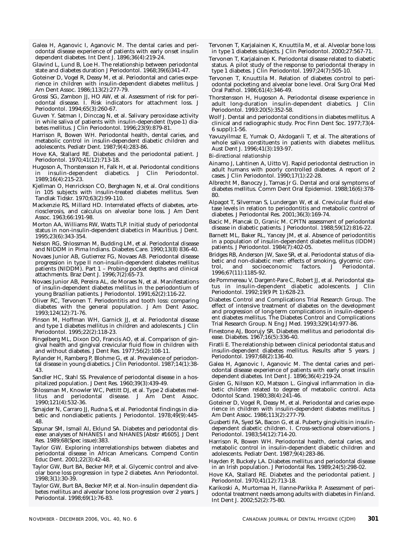- Galea H, Aganovic I, Aganovic M. The dental caries and periodontal disease experience of patients with early onset insulin dependent diabetes. Int Dent J. 1896;36(4):219-24.
- Glavind L, Lund B, Loe H. The relationship between periodontal state and diabetes duration J Periodontol. 1968;39(6)341-47.
- Goteiner D, Vogel R, Deasy M, et al. Periodontal and caries experience in children with insulin-dependent diabetes mellitus. J Am Dent Assoc. 1986;113(2):277-79.
- Grossi SG, Zambon JJ, HO AW, et al. Assessment of risk for periodontal disease. I. Risk indicators for attachment loss. J Periodontol. 1994;65(3):260-67.
- Guven Y. Satman I, Dinccag N, et al. Salivary peroxidase activity in while saliva of patients with insulin-dependent (type-1) diabetes mellitus. J Clin Periodontol. 1996;23(9):879-81.
- Harrison R, Bowen WH. Periodontal health, dental caries, and metabolic control in insulin-dependent diabetic children and adolescents. Pediatr Dent. 1987;9(4):283-86.
- Hove KA, Stallard RE. Diabetes and the periodontal patient. J Periodontol. 1970;41(12):713-18.
- Hugoson A, Thorstensson H, Falk H, et al. Periodontal conditions in insulin-dependent diabetics. J Clin Periodontol. 1989;16(4):215-23.
- Kjellman O, Henrickson CO, Berghagen N, et al. Oral conditions in 105 subjects with insulin-treated diabetes mellitus. Sven Tandlak Tidskr. 1970;63(2):99-110.
- Mackenzie RS, Millard HD. Interrelated effects of diabetes, arteriosclerosis, and calculus on alveolar bone loss. J Am Dent Assoc. 1963;66:191-98.
- Morton AA, Williams RW, Watts TLP. Initial study of periodontal status in non-insulin-dependent diabetics in Mauritius. J Dent. 1995;23(6):343-354.
- Nelson RG, Shlossman M, Budding LM, et al. Periodontal disease and NIDDM in Pima Indians. Diabetes Care. 1990;13(8) 836-40.
- Novaes Junior AB, Gutierrez FG, Novaes AB. Periodontal disease progression in type II non-insulin-dependent diabetes mellitus patients (NIDDM). Part 1 - Probing pocket depths and clinical attachments. Braz Dent J. 1996;7(2):65-73.
- Novaes Junior AB, Pereira AL, de Moraes N, et al. Manifestations of insulin-dependent diabetes mellitus in the periodontium of young Brazilian patients. J Periodontol. 1991;62(2):116-22.
- Oliver RC, Tervonen T. Periodontitis and tooth loss: comparing diabetes with the general population. J Am Dent Assoc. 1993;124(12):71-76.
- Pinson M, Hoffman WH, Garnick JJ, et al. Periodontal disease and type 1 diabetes mellitus in children and adolescents. J Clin Periodontol. 1995;22(2):118-23.
- Ringelberg ML, Dixon DO, Francis AO, et al. Comparison of gingival health and gingival crevicular fluid flow in children with and without diabetes. J Dent Res. 1977;56(2):108-11.
- Rylander H, Ramberg P, Blohme G, et al. Prevalence of periodontal disease in young diabetics. J Clin Periodontol. 1987;14(1):38- 43.
- Sandler HC, Stahl SS. Prevalence of periodontal disease in a hospitalized population. J Dent Res. 1960;39(3):439-49.
- Shlossman M, Knowler WC, Pettitt DJ, et al. Type 2 diabetes mellitus and periodontal disease. J Am Dent Assoc. 1990;121(4):532-36.
- Sznajder N, Carraro JJ, Rudna S, et al. Periodontal findings in diabetic and nondiabetic patients. J Periodontol. 1978;49(9):445- 48.
- Szpunar SM, Ismail AI, Eklund SA. Diabetes and periodontal disease: analyses of NHANES I and NHANES [Abstr #1605]. J Dent Res. 1989;68(Spec issue):383.
- Taylor GW. Exploring interrelationships between diabetes and periodontal disease in African Americans. Compend Contin Educ Dent. 2001;22(3):42-48.
- Taylor GW, Burt BA, Becker MP, et al. Glycemic control and alveolar bone loss progression in type 2 diabetes. Ann Periodontol. 1998;3(1):30-39.
- Taylor GW, Burt BA, Becker MP, et al. Non-insulin dependent diabetes mellitus and alveolar bone loss progression over 2 years. J Periodontal. 1998;69(1):76-83.
- Tervonen T, Karjalainen K, Knuuttila M, et al. Alveolar bone loss in type 1 diabetes subjects. J Clin Periodontol. 2000;27:567-71.
- Tervonen T, Karjalainen K. Periodontal disease related to diabetic status. A pilot study of the response to periodontal therapy in type 1 diabetes. J Clin Periodontol. 1997;24(7):505-10.
- Tervonen T, Knuuttila M. Relation of diabetes control to periodontal pocketing and alveolar bone level. Oral Surg Oral Med Oral Pathol. 1986;61(4):346-49.
- Thorstensson H, Hugoson A. Periodontal disease experience in adult long-duration insulin-dependent diabetics. J Clin Periodontol. 1993:20(5):352-58.
- Wolf J. Dental and periodontal conditions in diabetes mellitus. A clinical and radiographic study. Proc Finn Dent Soc. 1977;73(4- 6 suppl):1-56.
- Yavuzyilmaz E, Yumak O, Akdoganli T, et al. The alterations of whole saliva constituents in patients with diabetes mellitus. Aust Dent J. 1996;41(3):193-97.

*Bi-directional relationship*

- Ainamo J, Lahtinen A, Uitto VJ. Rapid periodontal destruction in adult humans with poorly controlled diabetes. A report of 2 cases. J Clin Periodontol. 1990;17(1):22-28.
- Albrecht M, Banoczy J, Tamas Jr G. Dental and oral symptoms of diabetes mellitus. Comm Dent Oral Epidemiol. 1988;16(6):378- 80.
- Alpagot T, Silverman S, Lundergan W, et al. Crevicular fluid elastase levels in relation to periodontitis and metabolic control of diabetes. J Periodontal Res. 2001;36(3):169-74.
- Bacic M, Plancak D, Granic M. CPITN assessment of periodontal disease in diabetic patients. J Periodontol. 1988;59(12):816-22.
- Barnett ML, Baker RL, Yancey JM, et al. Absence of periodontitis in a population of insulin-dependent diabetes mellitus (IDDM) patients. J Periodontol. 1984(7):402-05.
- Bridges RB, Anderson JW, Saxe SR, et al. Periodontal status of diabetic and non-diabetic men: effects of smoking, glycemic control, and socioeconomic factors. J Periodontal. 1996;67(11):1185-92.
- de Pommereau V, Dargent-Pare C, Robert JJ, et al. Periodontal status in insulin-dependent diabetic adolescents. J Clin Periodontol. 1992;19(9 Pt 1):628-23.
- Diabetes Control and Complications Trial Research Group. The effect of intensive treatment of diabetes on the development and progression of long-term complications in insulin-dependent diabetes mellitus. The Diabetes Control and Complications Trial Research Group. N Eng J Med. 1993;329(14):977-86.
- Finestone AJ, Boorujy SR. Diabetes mellitus and periodontal disease. Diabetes. 1967;16(5):336-40.
- Firatli E. The relationship between clinical periodontal status and insulin-dependent diabetes mellitus. Results after 5 years. J Periodontol. 1997;68(2):136-40.
- Galea H, Aganovic I, Aganovic M. The dental caries and periodontal disease experience of patients with early onset insulin dependent diabetes. Int Dent J. 1896;36(4):219-24.
- Gislen G, Nilsson KO, Matsson L. Gingival inflammation in diabetic children related to degree of metabolic control. Acta Odontol Scand. 1980;38(4):241-46.
- Goteiner D, Vogel R, Deasy M, et al. Periodontal and caries experience in children with insulin-dependent diabetes mellitus. J Am Dent Assoc. 1986;113(2):277-79.
- Gusberti FA, Syed SA, Bacon G, et al. Puberty gingivitis in insulindependent diabetic children. I. Cross-sectional observations. J Periodontol. 1983;54(12):714-20.
- Harrison R, Bowen WH. Periodontal health, dental caries, and metabolic control in insulin-dependent diabetic children and adolescents. Pediatr Dent. 1987;9(4):283-86.
- Hayden P, Buckely LA. Diabetes mellitus and periodontal disease in an Irish population. J Periodontal Res. 1989;24(5):298-02.
- Hove KA, Stallard RE. Diabetes and the periodontal patient. J Periodontol. 1970;41(12):713-18.
- Karikoski A, Murtomaa H, Ilanne-Parikka P. Assessment of periodontal treatment needs among adults with diabetes in Finland. Int Dent J. 2002;52(2):75-80.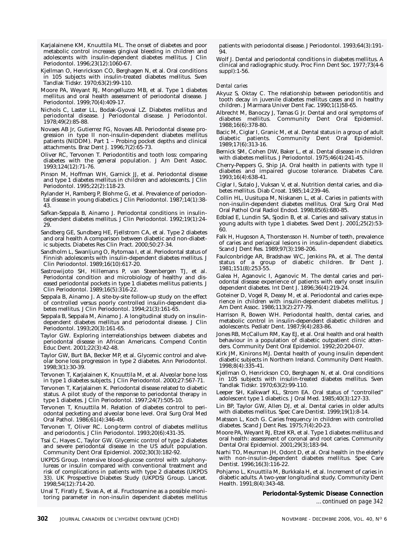- <span id="page-21-0"></span>Karjalainene KM, Knuuttila ML. The onset of diabetes and poor metabolic control increases gingival bleeding in children and adolescents with insulin-dependent diabetes mellitus. J Clin Periodontol. 1996;23(12):1060-67.
- Kjellman O, Henrickson CO, Berghagen N, et al. Oral conditions in 105 subjects with insulin-treated diabetes mellitus. Sven Tandlak Tidskr. 1970;63(2):99-110.
- Moore PA, Weyant RJ, Mongelluzzo MB, et al. Type 1 diabetes mellitus and oral health assessment of periodontal disease. J Periodontol. 1999;70(4):409-17.
- Nichols C, Laster LL, Bodak-Gyovai LZ. Diabetes mellitus and periodontal disease. J Periodontal disease. J Periodontol. 1978;49(2):85-88.
- Novaes AB Jr, Gutierrez FG, Novaes AB. Periodontal disease progression in type II non-insulin-dependent diabetes mellitus patients (NIDDM). Part 1 – Probing pocket depths and clinical attachments. Braz Dent J. 1996;7(2):65-73.
- Oliver RC, Tervonen T. Periodontitis and tooth loss: comparing diabetes with the general population. J Am Dent Assoc. 1993;124(12):71-76.
- Pinson M, Hoffman WH, Garnick JJ, et al. Periodontal disease and type 1 diabetes mellitus in children and adolescents. J Clin Periodontol. 1995;22(2):118-23.
- Rylander H, Ramberg P, Blohme G, et al. Prevalence of periodontal disease in young diabetics. J Clin Periodontol. 1987;14(1):38- 43.
- Safkan-Seppala B, Ainamo J. Periodontal conditions in insulindependent diabetes mellitus. J Clin Periodontol. 1992;19(1):24- 29.
- Sandberg GE, Sundberg HE, Fjellstrom CA, et al. Type 2 diabetes and oral health A comparison between diabetic and non-diabetic subjects. Diabetes Res Clin Pract. 2000;50:27-34.
- Sandholm L, Swanljung O, Rytomaa I, et al. Periodontal status of Finnish adolescents with insulin-dependent diabetes mellitus. J Clin Periodontol. 1989;16(10):617-20.
- Sastrowijoto SH, Hillemans P, van Steenbergen TJ, et al. Periodontal condition and microbiology of healthy and diseased periodontal pockets in type 1 diabetes mellitus patients. J Clin Periodontol. 1989;16(5):316-22.
- Seppala B, Ainamo J. A site-by-site follow-up study on the effect of controlled versus poorly controlled insulin-dependent diabetes mellitus. J Clin Periodontol. 1994;21(3):161-65.
- Seppala B, Seppala M, Ainamo J. A longitudinal study on insulindependent diabetes mellitus and periodontal disease. J Clin Periodontol. 1993;20(3):161-65.
- Taylor GW. Exploring interrelationships between diabetes and periodontal disease in African Americans. Compend Contin Educ Dent. 2001;22(3):42-48.
- Taylor GW, Burt BA, Becker MP, et al. Glycemic control and alveolar bone loss progression in type 2 diabetes. Ann Periodontol. 1998;3(1):30-39.
- Tervonen T, Karjalainen K, Knuuttila M, et al. Alveolar bone loss in type 1 diabetes subjects. J Clin Periodontol. 2000;27:567-71.
- Tervonen T, Karjalainen K. Periodontal disease related to diabetic status. A pilot study of the response to periodontal therapy in type 1 diabetes. J Clin Periodontol. 1997;24(7):505-10.
- Tervonen T, Knuuttila M. Relation of diabetes control to periodontal pecketing and alveolar bone level. Oral Surg Oral Med Oral Pathol. 1986;61(4):346-49.
- Tervonen T, Oliver RC. Long-term control of diabetes mellitus and periodontis. J Clin Periodontol. 1993;20(6):431-35.
- Tsai C, Hayes C, Taylor GW. Glycemic control of type 2 diabetes and severe periodontal disease in the US adult population. Community Dent Oral Epidemiol. 2002;30(3):182-92.
- UKPDS Group. Intensive blood-glucose control with sulphonylureas or insulin compared with conventional treatment and risk of complications in patients with type 2 diabetes (UKPDS 33). UK Prospective Diabetes Study (UKPDS) Group. Lancet. 1998;54(12):714-20.
- Unal T, Firatly E, Sivas A, et al. Fructosamine as a possible monitoring parameter in non-insulin dependent diabetes mellitus

patients with periodontal disease. J Periodontol. 1993;64(3):191- 94.

Wolf J. Dental and periodontal conditions in diabetes mellitus. A clinical and radiographic study. Proc Finn Dent Soc. 1977;73(4-6 suppl):1-56.

# *Dental caries*

- Akyuz S, Oktay C. The relationship between periodontitis and tooth decay in juvenile diabetes mellitus cases and in healthy children. J Marmara Univer Dent Fac. 1990;1(1)58-65.
- Albrecht M, Banoczy J, Tamas G Jr. Dental and oral symptoms of diabetes mellitus. Community Dent Oral Epidemiol. 1988;16(6):378-80.
- Bacic M, Ciglar I, Granic M, et al. Dental status in a group of adult diabetic patients. Community Dent Oral Epidemiol. 1989;17(6):313-16.
- Bernick SM, Cohen DW, Baker L, et al. Dental disease in children with diabetes mellitus. J Periodontol. 1975;46(4):241-45.
- Cherry-Peppers G, Ship JA. Oral health in patients with type II diabetes and impaired glucose tolerance. Diabetes Care. 1993;16(4):638-41.
- Ciglar I, Sutalo J, Vuksan V, et al. Nutrition dental caries, and diabetes mellitus. Diab Croat. 1985;14:239-46.
- Collin HL, Uusitupa M, Niskanen L, et al. Caries in patients with non-insulin-dependent diabetes mellitus. Oral Surg Oral Med Oral Pathol Oral Radiol Endod. 1998;85(6):680-85.
- Edblad E, Lundin SA, Sjodin B, et al. Caries and salivary status in young adults with type 1 diabetes. Swed Dent J. 2001;25(2):53- 60.
- Falk H, Hugoson A, Thorstensson H. Number of teeth, prevalence of caries and periapical lesions in insulin-dependent diabetics. Scand J Dent Res. 1989;97(3):198-206.
- Faulconbridge AR, Bradshaw WC, Jenkins PA, et al. The dental status of a group of diabetic children. Br Dent J. 1981;151(8):253-55.
- Galea H, Aganovic I, Aganovic M. The dental caries and periodontal disease experience of patients with early onset insulin dependent diabetes. Int Dent J. 1896;36(4):219-24.
- Goteiner D, Vogel R, Deasy M, et al. Periodontal and caries experience in children with insulin-dependent diabetes mellitus. J Am Dent Assoc. 1986;113(2):277-79.
- Harrison R, Bowen WH. Periodontal health, dental caries, and metabolic control in insulin-dependent diabetic children and adolescents. Pediatr Dent. 1987;9(4):283-86.
- Jones RB, McCallum RM, Kay EJ, et al. Oral health and oral health behaviour in a population of diabetic outpatient clinic attenders. Community Dent Oral Epidemiol. 1992;20:204-07.
- Kirk JM, Kinirons MJ. Dental health of young insulin dependent diabetic subjects in Northern Ireland. Community Dent Health. 1998;8(4):335-41.
- Kjellman O, Henrickson CO, Berghagen N, et al. Oral conditions in 105 subjects with insulin-treated diabetes mellitus. Sven Tandlak Tidskr. 1970;63(2):99-110.
- Leeper SH, Kalkwarf KL, Strom EA. Oral status of "controlled" adolescent type 1 diabetics. J Oral Med. 1985;40(3):127-33.
- Lin BP, Taylor GW, Allen DJ, et al. Dental caries in older adults with diabetes mellitus. Spec Care Dentist. 1999;19(1):8-14.
- Matsson L, Koch G. Caries frequency in children with controlled diabetes. Scand J Dent Res. 1975;7(4):20-23.
- Moore PA, Weyant RJ, Etzel KR, et al. Type 1 diabetes mellitus and oral health: assessment of coronal and root caries. Community Dental Oral Epidemiol. 2001;29(3);183-94.
- Narhi TO, Meurman JH, Odont D, et al. Oral health in the elderly with non-insulin-dependent diabetes mellitus. Spec Care Dentist. 1996;16(3):116-22.
- Pohjamo L, Knuuttila M, Burkkala H, et al. Increment of caries in diabetic adults. A two-year longitudinal study. Community Dent Health. 1991;8(4):343-48.

**[Periodontal-Systemic Disease Connection](#page-61-0)** *…continued on page 342*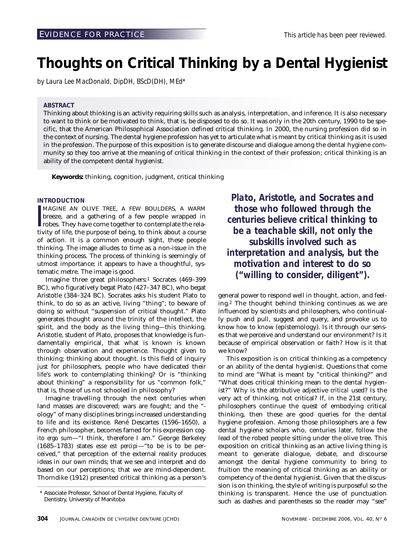# <span id="page-23-0"></span>**Thoughts on Critical Thinking by a Dental Hygienist**

*by Laura Lee MacDonald, DipDH, BScD(DH), MEd\**

# **ABSTRACT**

Thinking about thinking is an activity requiring skills such as analysis, interpretation, and inference. It is also necessary to want to think or be motivated to think, that is, be disposed to do so. It was only in the 20th century, 1990 to be specific, that the American Philosophical Association defined critical thinking. In 2000, the nursing profession did so in the context of nursing. The dental hygiene profession has yet to articulate what is meant by critical thinking as it is used in the profession. The purpose of this exposition is to generate discourse and dialogue among the dental hygiene community so they too arrive at the meaning of critical thinking in the context of their profession; critical thinking is an ability of the competent dental hygienist.

**Keywords:** thinking, cognition, judgment, critical thinking

# **INTRODUCTION**

**I**<br>Iiv MAGINE AN OLIVE TREE, A FEW BOULDERS, A WARM breeze, and a gathering of a few people wrapped in robes. They have come together to contemplate the relativity of life, the purpose of being, to think about a course of action. It is a common enough sight, these people thinking. The image alludes to time as a non-issue in the thinking process. The process of thinking is seemingly of utmost importance; it appears to have a thoughtful, systematic metre. The image is good.

Imagine three great philosophers:<sup>1</sup> Socrates (469-399 BC), who figuratively begat Plato (427–347 BC), who begat Aristotle (384–324 BC). Socrates asks his student Plato to think, to do so as an active, living "thing"; to beware of doing so without "suspension of critical thought." Plato generates thought around the trinity of the intellect, the spirit, and the body as the living thing—this thinking. Aristotle, student of Plato, proposes that knowledge is fundamentally empirical, that what is known is known through observation and experience. Thought given to thinking; thinking about thought. Is this field of inquiry just for philosophers, people who have dedicated their life's work to contemplating thinking? Or is "thinking about thinking" a responsibility for us "common folk," that is, those of us not schooled in philosophy?

Imagine travelling through the next centuries when land masses are discovered; wars are fought; and the " ology" of many disciplines brings increased understanding to life and its existence. René Descartes (1596–1650), a French philosopher, becomes famed for his expression *cogito ergo sum*—"I think, therefore I am." George Berkeley (1685–1783) states *esse est percipi*—"to be is to be perceived," that perception of the external reality produces ideas in our own minds; that we see and interpret and do based on our perceptions; that we are mind-dependent. Thorndike (1912) presented critical thinking as a person's

*Plato, Aristotle, and Socrates and those who followed through the centuries believe critical thinking to be a teachable skill, not only the subskills involved such as interpretation and analysis, but the motivation and interest to do so ("willing to consider, diligent").*

general power to respond well in thought, action, and feeling.2 The thought behind thinking continues as we are influenced by scientists and philosophers, who continually push and pull, suggest and query, and provoke us to know *how* to know (epistemology). Is it through our senses that we perceive and understand our environment? Is it because of empirical observation or faith? How is it that we know?

This exposition is on critical thinking as a competency or an ability of the dental hygienist. Questions that come to mind are "What is meant by "critical thinking?" and "What does critical thinking mean to the dental hygienist?" Why is the attributive adjective *critical* used? Is the very act of thinking, not critical? If, in the 21st century, philosophers continue the quest of embodying critical thinking, then these are good queries for the dental hygiene profession. Among those philosophers are a few dental hygiene scholars who, centuries later, follow the lead of the robed people sitting under the olive tree. This exposition on critical thinking as an active living thing is meant to generate dialogue, debate, and discourse amongst the dental hygiene community to bring to fruition the meaning of critical thinking as an ability or competency of the dental hygienist. Given that the discussion is on thinking, the style of writing is purposeful so the thinking is transparent. Hence the use of punctuation such as dashes and parentheses so the reader may "see"

<sup>\*</sup> Associate Professor, School of Dental Hygiene, Faculty of Dentistry, University of Manitoba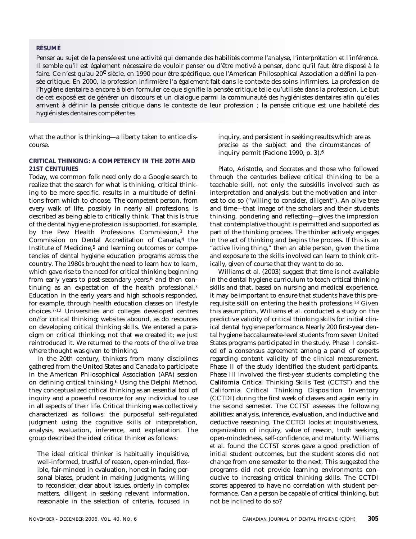# **RÉSUMÉ**

Penser au sujet de la pensée est une activité qui demande des habilités comme l'analyse, l'interprétation et l'inférence. Il semble qu'il est également nécessaire de vouloir penser ou d'être motivé à penser, donc qu'il faut être disposé à le faire. Ce n'est qu'au 20<sup>e</sup> siècle, en 1990 pour être spécifique, que l'American Philosophical Association a défini la pensée critique. En 2000, la profession infirmière l'a également fait dans le contexte des soins infirmiers. La profession de l'hygiène dentaire a encore à bien formuler ce que signifie la pensée critique telle qu'utilisée dans la profession. Le but de cet exposé est de générer un discours et un dialogue parmi la communauté des hygiénistes dentaires afin qu'elles arrivent à définir la pensée critique dans le contexte de leur profession ; la pensée critique est une habileté des hygiénistes dentaires compétentes.

what the author is thinking—a liberty taken to entice discourse.

# **CRITICAL THINKING: A COMPETENCY IN THE 20TH AND 21ST CENTURIES**

Today, we common folk need only do a Google search to realize that the search for what is thinking, critical thinking to be more specific, results in a multitude of definitions from which to choose. The competent person, from every walk of life, possibly in nearly all professions, is described as being able to critically think. That this is true of the dental hygiene profession is supported, for example, by the Pew Health Professions Commission,3 the Commission on Dental Accreditation of Canada,<sup>4</sup> the Institute of Medicine,5 and learning outcomes or competencies of dental hygiene education programs across the country. The 1980s brought the need to learn *how* to learn, which gave rise to the need for critical thinking beginning from early years to post-secondary years, $6$  and then continuing as an expectation of the health professional.3 Education in the early years and high schools responded, for example, through health education classes on lifestyle choices.7-12 Universities and colleges developed centres on/for critical thinking; websites abound, as do resources on developing critical thinking skills. We entered a paradigm on critical thinking; not that we created it; we just reintroduced it. We returned to the roots of the olive tree where thought was given to thinking.

In the 20th century, thinkers from many disciplines gathered from the United States and Canada to participate in the American Philosophical Association (APA) session on defining critical thinking.6 Using the Delphi Method, they conceptualized critical thinking as an essential tool of inquiry and a powerful resource for any individual to use in all aspects of their life. Critical thinking was collectively characterized as follows: the purposeful self-regulated judgment using the cognitive skills of interpretation, analysis, evaluation, inference, and explanation. The group described the ideal critical thinker as follows:

The ideal critical thinker is habitually inquisitive, well-informed, trustful of reason, open-minded, flexible, fair-minded in evaluation, honest in facing personal biases, prudent in making judgments, willing to reconsider, clear about issues, orderly in complex matters, diligent in seeking relevant information, reasonable in the selection of criteria, focused in

inquiry, and persistent in seeking results which are as precise as the subject and the circumstances of inquiry permit (Facione 1990, p. 3).6

Plato, Aristotle, and Socrates and those who followed through the centuries believe critical thinking to be a teachable skill, not only the subskills involved such as interpretation and analysis, but the motivation and interest to do so ("willing to consider, diligent"). An olive tree and time—that image of the scholars and their students thinking, pondering and reflecting—gives the impression that contemplative thought is permitted and supported as part of the thinking process. The thinker actively engages in the act of thinking and begins the process. If this is an "active living thing," then an able person, given the time and exposure to the skills involved can learn to think critically, given of course that they want to do so.

Williams et al. (2003) suggest that time is not available in the dental hygiene curriculum to teach critical thinking skills and that, based on nursing and medical experience, it may be important to ensure that students have this prerequisite skill on entering the health professions.13 Given this assumption, Williams et al. conducted a study on the predictive validity of critical thinking skills for initial clinical dental hygiene performance. Nearly 200 first-year dental hygiene baccalaureate-level students from seven United States programs participated in the study. Phase I consisted of a consensus agreement among a panel of experts regarding content validity of the clinical measurement. Phase II of the study identified the student participants. Phase III involved the first-year students completing the California Critical Thinking Skills Test (CCTST) and the California Critical Thinking Disposition Inventory (CCTDI) during the first week of classes and again early in the second semester. The CCTST assesses the following abilities: analysis, inference, evaluation, and inductive and deductive reasoning. The CCTDI looks at inquisitiveness, organization of inquiry, value of reason, truth seeking, open-mindedness, self-confidence, and maturity. Williams et al. found the CCTST scores gave a good prediction of initial student outcomes, but the student scores did not change from one semester to the next. This suggested the programs did not provide learning environments conducive to increasing critical thinking skills. The CCTDI scores appeared to have no correlation with student performance. Can a person be capable of critical thinking, but not be inclined to do so?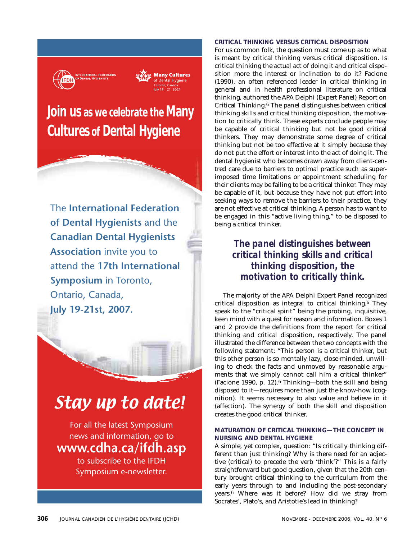

**Many Cultures** of Dental Hygiene Toronto, Canada<br>Iulv 19 – 21. 2007

# **Join us as we celebrate the Many Cultures of Dental Hygiene**

The **International Federation of Dental Hygienists** and the **Canadian Dental Hygienists Association** invite you to attend the **17th International Symposium** in Toronto, Ontario, Canada, **July 19-21st, 2007.**



For all the latest Symposium news and information, go to **www.cdha.ca/ifdh.asp** to subscribe to the IFDH Symposium e-newsletter.

# **CRITICAL THINKING VERSUS CRITICAL DISPOSITION**

For us common folk, the question must come up as to what is meant by critical thinking versus critical disposition. Is critical thinking the actual act of doing it and critical disposition more the interest or inclination to do it? Facione (1990), an often referenced leader in critical thinking in general and in health professional literature on critical thinking, authored the APA Delphi (Expert Panel) Report on Critical Thinking.6 The panel distinguishes between critical thinking skills and critical thinking disposition, the motivation to critically think. These experts conclude people may be capable of critical thinking but not be good critical thinkers. They may demonstrate some degree of critical thinking but not be too effective at it simply because they do not put the effort or interest into the act of doing it. The dental hygienist who becomes drawn away from client-centred care due to barriers to optimal practice such as superimposed time limitations or appointment scheduling for their clients may be failing to be a critical thinker. They may be capable of it, but because they have not put effort into seeking ways to remove the barriers to their practice, they are not effective at critical thinking. A person has to want to be engaged in this "active living thing," to be disposed to being a critical thinker.

> *The panel distinguishes between critical thinking skills and critical thinking disposition, the motivation to critically think.*

The majority of the APA Delphi Expert Panel recognized critical disposition as integral to critical thinking.6 They speak to the "critical spirit" being the probing, inquisitive, keen mind with a quest for reason and information. Boxes 1 and 2 provide the definitions from the report for critical thinking and critical disposition, respectively. The panel illustrated the difference between the two concepts with the following statement: "This person is a critical thinker, but this other person is so mentally lazy, close-minded, unwilling to check the facts and unmoved by reasonable arguments that we simply cannot call him a critical thinker" (Facione 1990, p. 12).6 Thinking—both the skill and being disposed to it—requires more than just the know-how (cognition). It seems necessary to also value and believe in it (affection). The synergy of both the skill and disposition creates the good critical thinker.

# **MATURATION OF CRITICAL THINKING—THE CONCEPT IN NURSING AND DENTAL HYGIENE**

A simple, yet complex, question: "Is critically thinking different than just thinking? Why is there need for an adjective (critical) to precede the verb 'think'?" This is a fairly straightforward but good question, given that the 20th century brought critical thinking to the curriculum from the early years through to and including the post-secondary years.6 Where was it before? How did we stray from Socrates', Plato's, and Aristotle's lead in thinking?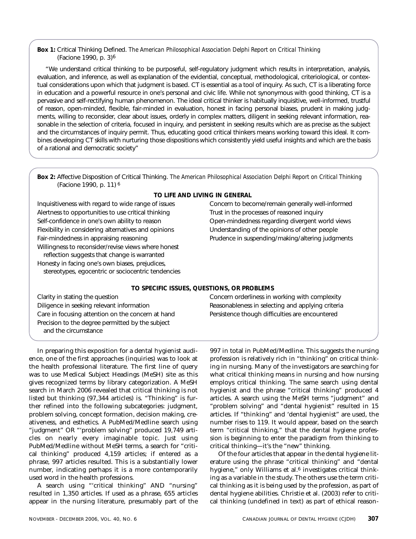# **Box 1:** Critical Thinking Defined. *The American Philosophical Association Delphi Report on Critical Thinking* (Facione 1990, p. 3)6

"We understand critical thinking to be purposeful, self-regulatory judgment which results in interpretation, analysis, evaluation, and inference, as well as explanation of the evidential, conceptual, methodological, criteriological, or contextual considerations upon which that judgment is based. CT is essential as a tool of inquiry. As such, CT is a liberating force in education and a powerful resource in one's personal and civic life. While not synonymous with good thinking, CT is a pervasive and self-rectifying human phenomenon. The ideal critical thinker is habitually inquisitive, well-informed, trustful of reason, open-minded, flexible, fair-minded in evaluation, honest in facing personal biases, prudent in making judgments, willing to reconsider, clear about issues, orderly in complex matters, diligent in seeking relevant information, reasonable in the selection of criteria, focused in inquiry, and persistent in seeking results which are as precise as the subject and the circumstances of inquiry permit. Thus, educating good critical thinkers means working toward this ideal. It combines developing CT skills with nurturing those dispositions which consistently yield useful insights and which are the basis of a rational and democratic society"

**Box 2:** Affective Disposition of Critical Thinking. *The American Philosophical Association Delphi Report on Critical Thinking* (Facione 1990, p. 11) 6

Inquisitiveness with regard to wide range of issues Concern to become/remain generally well-informed Alertness to opportunities to use critical thinking Trust in the processes of reasoned inquiry Self-confidence in one's own ability to reason **Open-mindedness regarding divergent world views** Flexibility in considering alternatives and opinions Understanding of the opinions of other people Willingness to reconsider/revise views where honest reflection suggests that change is warranted Honesty in facing one's own biases, prejudices, stereotypes, egocentric or sociocentric tendencies

# **TO LIFE AND LIVING IN GENERAL**

Fair-mindedness in appraising reasoning example and providence in suspending/making/altering judgments

# **TO SPECIFIC ISSUES, QUESTIONS, OR PROBLEMS**

Diligence in seeking relevant information **Reasonableness** in selecting and applying criteria Care in focusing attention on the concern at hand Persistence though difficulties are encountered Precision to the degree permitted by the subject and the circumstance

In preparing this exposition for a dental hygienist audience, one of the first approaches (inquiries) was to look at the health professional literature. The first line of query was to use Medical Subject Headings (MeSH) site as this gives recognized terms by library categorization. A MeSH search in March 2006 revealed that critical thinking is not listed but thinking (97,344 articles) is. "Thinking" is further refined into the following subcategories: judgment, problem solving, concept formation, decision making, creativeness, and esthetics. A PubMed/Medline search using "judgment" OR "'problem solving" produced 19,749 articles on nearly every imaginable topic. Just using PubMed/Medline without MeSH terms, a search for "critical thinking" produced 4,159 articles; if entered as a phrase, 997 articles resulted. This is a substantially lower number, indicating perhaps it is a more contemporarily used word in the health professions.

A search using "'critical thinking" AND "nursing" resulted in 1,350 articles. If used as a phrase, 655 articles appear in the nursing literature, presumably part of the

Clarity in stating the question Concern orderliness in working with complexity

997 in total in PubMed/Medline. This suggests the nursing profession is relatively rich in "thinking" on critical thinking in nursing. Many of the investigators are searching for what critical thinking means in nursing and how nursing employs critical thinking. The same search using dental hygienist and the phrase "critical thinking" produced 4 articles. A search using the MeSH terms "judgment" and "problem solving" and "dental hygienist" resulted in 15 articles. If "thinking" and 'dental hygienist" are used, the number rises to 119. It would appear, based on the search term "critical thinking," that the dental hygiene profession is beginning to enter the paradigm from thinking to critical thinking—it's the "new" thinking.

Of the four articles that appear in the dental hygiene literature using the phrase "critical thinking" and "dental hygiene," only Williams et al.<sup>6</sup> investigates critical thinking as a variable in the study. The others use the term critical thinking as it is being used by the profession, as part of dental hygiene abilities. Christie et al. (2003) refer to critical thinking (undefined in text) as part of ethical reason-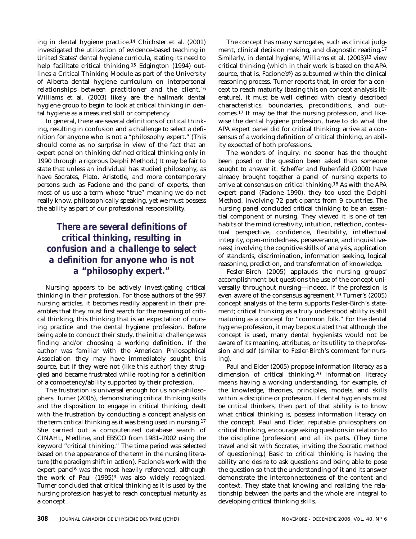ing in dental hygiene practice.14 Chichster et al. (2001) investigated the utilization of evidence-based teaching in United States' dental hygiene curricula, stating its need to help facilitate critical thinking.<sup>15</sup> Edgington (1994) outlines a Critical Thinking Module as part of the University of Alberta dental hygiene curriculum on interpersonal relationships between practitioner and the client.16 Williams et al. (2003) likely are the hallmark dental hygiene group to begin to look at critical thinking in dental hygiene as a measured skill or competency.

In general, there are several definitions of critical thinking, resulting in confusion and a challenge to select a definition for anyone who is not a "philosophy expert." (This should come as no surprise in view of the fact that an expert panel on thinking defined critical thinking only in 1990 through a rigorous Delphi Method.) It may be fair to state that unless an individual has studied philosophy, as have Socrates, Plato, Aristotle, and more contemporary persons such as Facione and the panel of experts, then most of us use a term whose "true" meaning we do not really know, philosophically speaking, yet we must possess the ability as part of our professional responsibility.

# *There are several definitions of critical thinking, resulting in confusion and a challenge to select a definition for anyone who is not a "philosophy expert."*

Nursing appears to be actively investigating critical thinking in their profession. For those authors of the 997 nursing articles, it becomes readily apparent in their preambles that they must first search for the meaning of critical thinking, this thinking that is an expectation of nursing practice and the dental hygiene profession. Before being able to conduct their study, the initial challenge was finding and/or choosing a working definition. If the author was familiar with the American Philosophical Association they may have immediately sought this source, but if they were not (like this author) they struggled and became frustrated while rooting for a definition of a competency/ability supported by their profession.

The frustration is universal enough for us non-philosophers. Turner (2005), demonstrating critical thinking skills and the disposition to engage in critical thinking, dealt with the frustration by conducting a concept analysis on the term critical thinking as it was being used in nursing.17 She carried out a computerized database search of CINAHL, Medline, and EBSCO from 1981–2002 using the keyword "critical thinking." The time period was selected based on the appearance of the term in the nursing literature (the paradigm shift in action). Facione's work with the expert panel<sup>6</sup> was the most heavily referenced, although the work of Paul (1995)<sup>9</sup> was also widely recognized. Turner concluded that critical thinking as it is used by the nursing profession has yet to reach conceptual maturity as a concept.

The concept has many surrogates, such as clinical judgment, clinical decision making, and diagnostic reading.17 Similarly, in dental hygiene, Williams et al. (2003)13 view critical thinking (which in their work is based on the APA source, that is, Facione's $6$ ) as subsumed within the clinical reasoning process. Turner reports that, in order for a concept to reach maturity (basing this on concept analysis literature), it must be well defined with clearly described characteristics, boundaries, preconditions, and outcomes.17 It may be that the nursing profession, and likewise the dental hygiene profession, have to do what the APA expert panel did for critical thinking: arrive at a consensus of a working definition of critical thinking, an ability expected of both professions.

The wonders of inquiry: no sooner has the thought been posed or the question been asked than someone sought to answer it. Scheffer and Rubenfeld (2000) have already brought together a panel of nursing experts to arrive at consensus on critical thinking.18 As with the APA expert panel (Facione 1990), they too used the Delphi Method, involving 72 participants from 9 countries. The nursing panel concluded critical thinking to be an essential component of nursing. They viewed it is one of ten habits of the mind (creativity, intuition, reflection, contextual perspective, confidence, flexibility, intellectual integrity, open-mindedness, perseverance, and inquisitiveness) involving the cognitive skills of analysis, application of standards, discrimination, information seeking, logical reasoning, prediction, and transformation of knowledge.

Fesler-Birch (2005) applauds the nursing groups' accomplishment but questions the use of the concept universally throughout nursing—indeed, if the profession is even aware of the consensus agreement.19 Turner's (2005) concept analysis of the term supports Fesler-Birch's statement; critical thinking as a truly understood ability is still maturing as a concept for "common folk." For the dental hygiene profession, it may be postulated that although the concept is used, many dental hygienists would not be aware of its meaning, attributes, or its utility to the profession and self (similar to Fesler-Birch's comment for nursing).

Paul and Elder (2005) propose information literacy as a dimension of critical thinking.20 Information literacy means having a working understanding, for example, of the knowledge, theories, principles, models, and skills within a discipline or profession. If dental hygienists must be critical thinkers, then part of that ability is to know what critical thinking is, possess information literacy on the concept. Paul and Elder, reputable philosophers on critical thinking, encourage asking questions in relation to the discipline (profession) and all its parts. (They time travel and sit with Socrates, inviting the Socratic method of questioning.) Basic to critical thinking is having the ability and desire to ask questions and being able to pose the question so that the understanding of it and its answer demonstrate the interconnectedness of the content and context. They state that knowing and realizing the relationship between the parts and the whole are integral to developing critical thinking skills.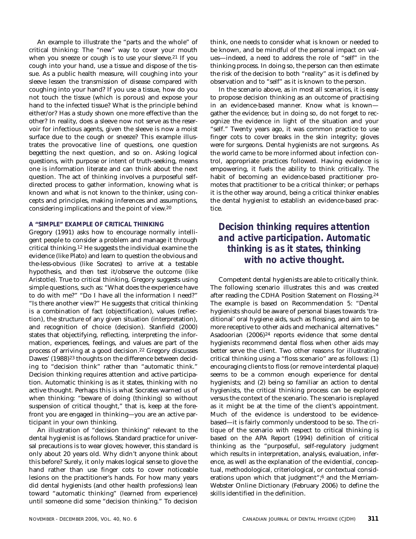An example to illustrate the "parts and the whole" of critical thinking: The "new" way to cover your mouth when you sneeze or cough is to use your sleeve.<sup>21</sup> If you cough into your hand, use a tissue and dispose of the tissue. As a public health measure, will coughing into your sleeve lessen the transmission of disease compared with coughing into your hand? If you use a tissue, how do you not touch the tissue (which is porous) and expose your hand to the infected tissue? What is the principle behind either/or? Has a study shown one more effective than the other? In reality, does a sleeve now not serve as the reservoir for infectious agents, given the sleeve is now a moist surface due to the cough or sneeze? This example illustrates the provocative line of questions, one question begetting the next question, and so on. Asking logical questions, with purpose or intent of truth-seeking, means one is information literate and can think about the next question. The act of thinking involves a purposeful selfdirected process to gather information, knowing what is known and what is not known to the thinker, using concepts and principles, making inferences and assumptions, considering implications and the point of view.20

# **A "SIMPLE" EXAMPLE OF CRITICAL THINKING**

Gregory (1991) asks how to encourage normally intelligent people to consider a problem and manage it through critical thinking.12 He suggests the individual examine the evidence (like Plato) and learn to question the obvious and the-less-obvious (like Socrates) to arrive at a testable hypothesis, and then test it/observe the outcome (like Aristotle). True to critical thinking, Gregory suggests using simple questions, such as: "What does the experience have to do with me?" "Do I have all the information I need?" "Is there another view?" He suggests that critical thinking is a combination of fact (objectification), values (reflection), the structure of any given situation (interpretation), and recognition of choice (decision). Stanfield (2000) states that objectifying, reflecting, interpreting the information, experiences, feelings, and values are part of the process of arriving at a good decision.22 Gregory discusses Dawes' (1988)<sup>23</sup> thoughts on the difference between deciding to "decision think" rather than "automatic think." Decision thinking requires attention and active participation. Automatic thinking is as it states, thinking with no active thought. Perhaps this is what Socrates warned us of when thinking: "beware of doing (thinking) so without suspension of critical thought," that is, keep at the forefront you are engaged in thinking—you are an active participant in your own thinking.

An illustration of "decision thinking" relevant to the dental hygienist is as follows. Standard practice for universal precautions is to wear gloves; however, this standard is only about 20 years old. Why didn't anyone think about this before? Surely, it only makes logical sense to glove the hand rather than use finger cots to cover noticeable lesions on the practitioner's hands. For how many years did dental hygienists (and other health professions) lean toward "automatic thinking" (learned from experience) until someone did some "decision thinking." To decision

think, one needs to consider what is known or needed to be known, and be mindful of the personal impact on values—indeed, a need to address the role of "self" in the thinking process. In doing so, the person can then estimate the risk of the decision to both "reality" as it is defined by observation and to "self" as it is known to the person.

In the scenario above, as in most all scenarios, it is easy to propose decision thinking as an outcome of practising in an evidence-based manner. Know what is known gather the evidence; but in doing so, do not forget to recognize the evidence in light of the situation and your "self." Twenty years ago, it was common practice to use finger cots to cover breaks in the skin integrity; gloves were for surgeons. Dental hygienists are not surgeons. As the world came to be more informed about infection control, appropriate practices followed. Having evidence is empowering, it fuels the ability to think critically. The habit of becoming an evidence-based practitioner promotes that practitioner to be a critical thinker; or perhaps it is the other way around, being a critical thinker enables the dental hygienist to establish an evidence-based practice.

# *Decision thinking requires attention and active participation. Automatic thinking is as it states, thinking with no active thought.*

Competent dental hygienists are able to critically think. The following scenario illustrates this and was created after reading the CDHA Position Statement on Flossing.24 The example is based on Recommendation 5: "Dental hygienists should be aware of personal biases towards 'traditional' oral hygiene aids, such as flossing, and aim to be more receptive to other aids and mechanical alternatives." Asadoorian (2006)24 reports evidence that some dental hygienists recommend dental floss when other aids may better serve the client. Two other reasons for illustrating critical thinking using a "floss scenario" are as follows: (1) encouraging clients to floss (or remove interdental plaque) seems to be a common enough experience for dental hygienists; and (2) being so familiar an action to dental hygienists, the critical thinking process can be explored versus the context of the scenario. The scenario is replayed as it might be at the time of the client's appointment. Much of the evidence is understood to be evidencebased—it is fairly commonly understood to be so. The critique of the scenario with respect to critical thinking is based on the APA Report (1994) definition of critical thinking as the "purposeful, self-regulatory judgment which results in interpretation, analysis, evaluation, inference, as well as the explanation of the evidential, conceptual, methodological, criteriological, or contextual considerations upon which that judgment";6 and the Merriam-Webster Online Dictionary (February 2006) to define the skills identified in the definition.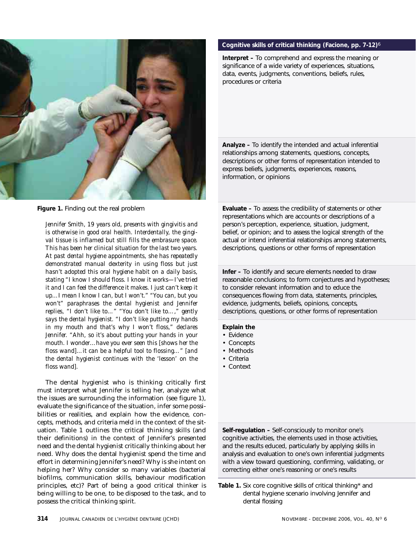

**Figure 1.** Finding out the real problem

*Jennifer Smith, 19 years old, presents with gingivitis and is otherwise in good oral health. Interdentally, the gingival tissue is inflamed but still fills the embrasure space. This has been her clinical situation for the last two years. At past dental hygiene appointments, she has repeatedly demonstrated manual dexterity in using floss but just hasn't adopted this oral hygiene habit on a daily basis, stating "I know I should floss. I know it works—I've tried it and I can feel the difference it makes. I just can't keep it up…I mean I know I can, but I won't." "You can, but you won't" paraphrases the dental hygienist and Jennifer replies, "I don't like to…" "You don't like to…," gently says the dental hygienist. "I don't like putting my hands in my mouth and that's why I won't floss," declares Jennifer. "Ahh, so it's about putting your hands in your mouth. I wonder…have you ever seen this [shows her the floss wand]…it can be a helpful tool to flossing…" [and the dental hygienist continues with the 'lesson' on the floss wand].*

The dental hygienist who is thinking critically first must interpret what Jennifer is telling her, analyze what the issues are surrounding the information (see figure 1), evaluate the significance of the situation, infer some possibilities or realities, and explain how the evidence, concepts, methods, and criteria meld in the context of the situation. Table 1 outlines the critical thinking skills (and their definitions) in the context of Jennifer's presented need and the dental hygienist critically thinking about her need. Why does the dental hygienist spend the time and effort in determining Jennifer's need? Why is she intent on helping her? Why consider so many variables (bacterial biofilms, communication skills, behaviour modification principles, etc)? Part of being a good critical thinker is being willing to be one, to be disposed to the task, and to possess the critical thinking spirit.

# **Cognitive skills of critical thinking (Facione, pp. 7-12)**6

**Interpret –** To comprehend and express the meaning or significance of a wide variety of experiences, situations, data, events, judgments, conventions, beliefs, rules, procedures or criteria

**Analyze –** To identify the intended and actual inferential relationships among statements, questions, concepts, descriptions or other forms of representation intended to express beliefs, judgments, experiences, reasons, information, or opinions

**Evaluate –** To assess the credibility of statements or other representations which are accounts or descriptions of a person's perception, experience, situation, judgment, belief, or opinion; and to assess the logical strength of the actual or intend inferential relationships among statements, descriptions, questions or other forms of representation

**Infer –** To identify and secure elements needed to draw reasonable conclusions; to form conjectures and hypotheses; to consider relevant information and to educe the consequences flowing from data, statements, principles, evidence, judgments, beliefs, opinions, concepts, descriptions, questions, or other forms of representation

# **Explain the**

- Evidence
- Concepts
- Methods
- Criteria
- Context

**Self-regulation –** Self-consciously to monitor one's cognitive activities, the elements used in those activities, and the results educed, particularly by applying skills in analysis and evaluation to one's own inferential judgments with a view toward questioning, confirming, validating, or correcting either one's reasoning or one's results

**Table 1.** Six core cognitive skills of critical thinking\* and dental hygiene scenario involving Jennifer and dental flossing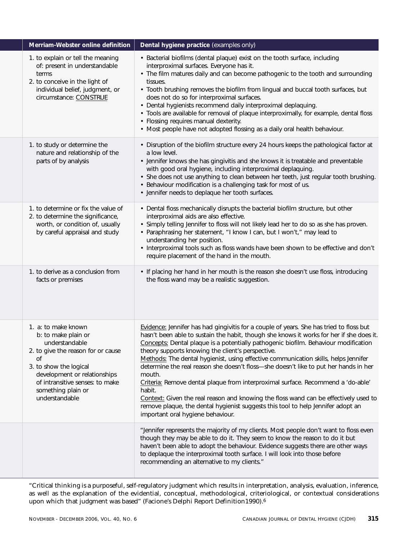| Merriam-Webster online definition                                                                                                                                                                                                             | Dental hygiene practice (examples only)                                                                                                                                                                                                                                                                                                                                                                                                                                                                                                                                                                                                                                                                                                                                                                                                 |
|-----------------------------------------------------------------------------------------------------------------------------------------------------------------------------------------------------------------------------------------------|-----------------------------------------------------------------------------------------------------------------------------------------------------------------------------------------------------------------------------------------------------------------------------------------------------------------------------------------------------------------------------------------------------------------------------------------------------------------------------------------------------------------------------------------------------------------------------------------------------------------------------------------------------------------------------------------------------------------------------------------------------------------------------------------------------------------------------------------|
| 1. to explain or tell the meaning<br>of: present in understandable<br>terms<br>2. to conceive in the light of<br>individual belief, judgment, or<br>circumstance: CONSTRUE                                                                    | • Bacterial biofilms (dental plaque) exist on the tooth surface, including<br>interproximal surfaces. Everyone has it.<br>• The film matures daily and can become pathogenic to the tooth and surrounding<br>tissues.<br>• Tooth brushing removes the biofilm from lingual and buccal tooth surfaces, but<br>does not do so for interproximal surfaces.<br>• Dental hygienists recommend daily interproximal deplaquing.<br>· Tools are available for removal of plaque interproximally, for example, dental floss<br>• Flossing requires manual dexterity.<br>• Most people have not adopted flossing as a daily oral health behaviour.                                                                                                                                                                                                |
| 1. to study or determine the<br>nature and relationship of the<br>parts of by analysis                                                                                                                                                        | • Disruption of the biofilm structure every 24 hours keeps the pathological factor at<br>a low level.<br>• Jennifer knows she has gingivitis and she knows it is treatable and preventable<br>with good oral hygiene, including interproximal deplaquing.<br>• She does not use anything to clean between her teeth, just regular tooth brushing.<br>• Behaviour modification is a challenging task for most of us.<br>• Jennifer needs to deplaque her tooth surfaces.                                                                                                                                                                                                                                                                                                                                                                 |
| 1. to determine or fix the value of<br>2. to determine the significance,<br>worth, or condition of, usually<br>by careful appraisal and study                                                                                                 | • Dental floss mechanically disrupts the bacterial biofilm structure, but other<br>interproximal aids are also effective.<br>• Simply telling Jennifer to floss will not likely lead her to do so as she has proven.<br>• Paraphrasing her statement, "I know I can, but I won't," may lead to<br>understanding her position.<br>• Interproximal tools such as floss wands have been shown to be effective and don't<br>require placement of the hand in the mouth.                                                                                                                                                                                                                                                                                                                                                                     |
| 1. to derive as a conclusion from<br>facts or premises                                                                                                                                                                                        | • If placing her hand in her mouth is the reason she doesn't use floss, introducing<br>the floss wand may be a realistic suggestion.                                                                                                                                                                                                                                                                                                                                                                                                                                                                                                                                                                                                                                                                                                    |
| 1. a: to make known<br>b: to make plain or<br>understandable<br>2. to give the reason for or cause<br>οf<br>3. to show the logical<br>development or relationships<br>of intransitive senses: to make<br>something plain or<br>understandable | Evidence: Jennifer has had gingivitis for a couple of years. She has tried to floss but<br>hasn't been able to sustain the habit, though she knows it works for her if she does it.<br>Concepts: Dental plaque is a potentially pathogenic biofilm. Behaviour modification<br>theory supports knowing the client's perspective.<br>Methods: The dental hygienist, using effective communication skills, helps Jennifer<br>determine the real reason she doesn't floss-she doesn't like to put her hands in her<br>mouth.<br>Criteria: Remove dental plaque from interproximal surface. Recommend a 'do-able'<br>habit.<br>Context: Given the real reason and knowing the floss wand can be effectively used to<br>remove plaque, the dental hygienist suggests this tool to help Jennifer adopt an<br>important oral hygiene behaviour. |
|                                                                                                                                                                                                                                               | "Jennifer represents the majority of my clients. Most people don't want to floss even<br>though they may be able to do it. They seem to know the reason to do it but<br>haven't been able to adopt the behaviour. Evidence suggests there are other ways<br>to deplaque the interproximal tooth surface. I will look into those before<br>recommending an alternative to my clients."                                                                                                                                                                                                                                                                                                                                                                                                                                                   |

"Critical thinking is a purposeful, self-regulatory judgment which results in interpretation, analysis, evaluation, inference, as well as the explanation of the evidential, conceptual, methodological, criteriological, or contextual considerations upon which that judgment was based" (Facione's Delphi Report Definition1990).6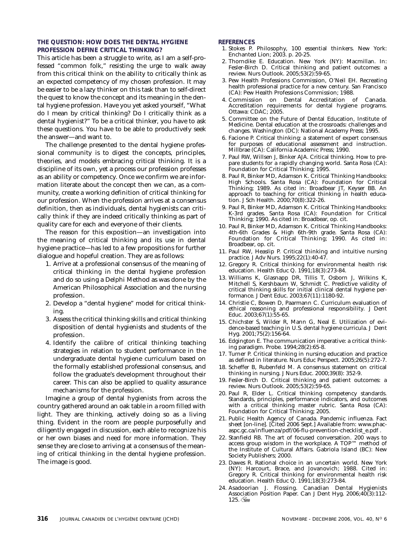# **THE QUESTION: HOW DOES THE DENTAL HYGIENE PROFESSION DEFINE CRITICAL THINKING?**

This article has been a struggle to write, as I am a self-professed "common folk," resisting the urge to walk away from this critical think on the ability to critically think as an expected competency of my chosen profession. It may be easier to be a lazy thinker on this task than to self-direct the quest to know the concept and its meaning in the dental hygiene profession. Have you yet asked yourself, "What do I mean by critical thinking? Do I critically think as a dental hygienist?" To be a critical thinker, you have to ask these questions. You have to be able to productively seek the answer—and want to.

The challenge presented to the dental hygiene professional community is to digest the concepts, principles, theories, and models embracing critical thinking. It is a discipline of its own, yet a process our profession professes as an ability or competency. Once we confirm we are information literate about the concept then we can, as a community, create a working definition of critical thinking for our profession. When the profession arrives at a consensus definition, then as individuals, dental hygienists can critically think if they are indeed critically thinking as part of quality care for each and everyone of their clients.

The reason for this exposition—an investigation into the meaning of critical thinking and its use in dental hygiene practice—has led to a few propositions for further dialogue and hopeful creation. They are as follows:

- 1. Arrive at a professional consensus of the meaning of critical thinking in the dental hygiene profession and do so using a Delphi Method as was done by the American Philosophical Association and the nursing profession.
- 2. Develop a "dental hygiene" model for critical thinking.
- 3. Assess the critical thinking skills and critical thinking disposition of dental hygienists and students of the profession.
- 4. Identify the calibre of critical thinking teaching strategies in relation to student performance in the undergraduate dental hygiene curriculum based on the formally established professional consensus, and follow the graduate's development throughout their career. This can also be applied to quality assurance mechanisms for the profession.

Imagine a group of dental hygienists from across the country gathered around an oak table in a room filled with light. They are thinking, actively doing so as a living thing. Evident in the room are people purposefully and diligently engaged in discussion, each able to recognize his or her own biases and need for more information. They sense they are close to arriving at a consensus of the meaning of critical thinking in the dental hygiene profession. The image is good.

# **REFERENCES**

- 1. Stokes P. Philosophy, 100 essential thinkers. New York: Enchanted Lion; 2003. p. 20-25.
- 2. Thorndike E. Education. New York (NY): Macmillan. In: Fesler-Birch D. Critical thinking and patient outcomes: a review. Nurs Outlook. 2005;53(2):59-65.
- 3. Pew Health Professions Commission, O'Neil EH. Recreating health professional practice for a new century. San Francisco (CA): Pew Health Professions Commission; 1988.
- 4. Commission on Dental Accreditation of Canada. Accreditation requirements for dental hygiene programs. Ottawa: CDAC; 2005.
- 5. Committee on the Future of Dental Education, Institute of Medicine. Dental education at the crossroads: challenges and changes. Washington (DC): National Academy Press; 1995.
- 6. Facione P. Critical thinking: a statement of expert consensus for purposes of educational assessment and instruction. Millbrae (CA): California Academic Press; 1990.
- 7. Paul RW, Willsen J, Binker AJA. Critical thinking. How to prepare students for a rapidly changing world. Santa Rosa (CA): .<br>Foundation for Critical Thinking; 1995.
- 8. Paul R, Binker MD, Adamson K. Critical Thinking Handbooks: High Schools. Santa Rosa (CA): Foundation for Critical Thinking; 1989. As cited in: Broadbear JT, Keyser BB. An approach to teaching for critical thinking in health education. J Sch Health. 2000;70(8):322-26.
- 9. Paul R, Binker MD, Adamson K. Critical Thinking Handbooks: K-3rd grades. Santa Rosa (CA): Foundation for Critical Thinking; 1990. As cited in: Broadbear, op. cit.
- 10. Paul R, Binker MD, Adamson K. Critical Thinking Handbooks: 4th-6th Grades & High 6th-9th grade. Santa Rosa (CA): Foundation for Critical Thinking; 1990. As cited in: Broadbear, op. cit.
- 11. Paul RW, Heaslip P. Critical thinking and intuitive nursing practice. J Adv Nurs. 1995;22(1):40-47.
- 12. Gregory R. Critical thinking for environmental health risk education. Health Educ Q. 1991;18(3):273-84.
- 13. Williams K, Glasnapp DR, Tillis T, Osborn J, Wilkins K, Mitchell S, Kershbaum W, Schmidt C. Predictive validity of critical thinking skills for initial clinical dental hygiene performance. J Dent Educ. 2003;67(11):1180-92.
- 14. Christie C, Bowen D, Paarmann C. Curriculum evaluation of ethical reasoning and professional responsibility. J Dent Educ. 2003;67(1):55-65.
- 15. Chichster S, Wilder R, Mann G, Neal E. Utilization of evidence-based teaching in U.S. dental hygiene curricula. J Dent Hyg. 2001;75(2):156-64.
- 16. Edgington E. The communication imperative: a critical thinking paradigm. Probe. 1994;28(2):65-8.
- 17. Turner P. Critical thinking in nursing education and practice as defined in literature. Nurs Educ Perspect. 2005;26(5):272-7.
- 18. Scheffer B, Rubenfeld M. A consensus statement on critical thinking in nursing. J Nurs Educ. 2000;39(8): 352-9.
- 19. Fesler-Birch D. Critical thinking and patient outcomes: a review. Nurs Outlook. 2005;53(2):59-65.
- 20. Paul R, Elder L. Critical thinking competency standards. Standards, principles, performance indicators, and outcomes with a critical thinking master rubric. Santa Rosa (CA): Foundation for Critical Thinking; 2005.
- 21. Public Health Agency of Canada. Pandemic influenza. Fact sheet [on-line]. [Cited 2006 Sept.] Available from: www.phacaspc.gc.ca/influenza/pdf/06-flu-prevention-checklist\_e.pdf .
- 22. Stanfield RB. The art of focused conversation. 200 ways to access group wisdom in the workplace. A TOP™ method of the Institute of Cultural Affairs. Gabriola Island (BC): New Society Publishers; 2000.
- 23. Dawes R. Rational choice in an uncertain world. New York (NY): Harcourt, Brace, and Jovanovich; 1988. Cited in: Gregory R. Critical thinking for environmental health risk education. Health Educ Q. 1991;18(3):273-84.
- 24. Asadoorian J. Flossing. Canadian Dental Hygienists Association Position Paper. Can J Dent Hyg. 2006;40(3):112-  $125.$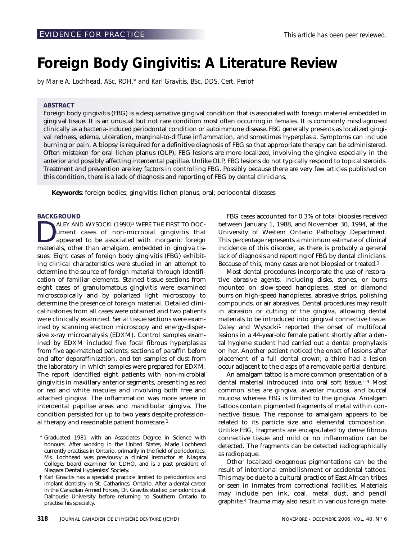# <span id="page-37-0"></span>**Foreign Body Gingivitis: A Literature Review**

*by Marie A. Lochhead, ASc, RDH,\* and Karl Gravitis, BSc, DDS, Cert. Perio†*

# **ABSTRACT**

Foreign body gingivitis (FBG) is a desquamative gingival condition that is associated with foreign material embedded in gingival tissue. It is an unusual but not rare condition most often occurring in females. It is commonly misdiagnosed clinically as a bacteria-induced periodontal condition or autoimmune disease. FBG generally presents as localized gingival redness, edema, ulceration, marginal-to-diffuse inflammation, and sometimes hyperplasia. Symptoms can include burning or pain. A biopsy is required for a definitive diagnosis of FBG so that appropriate therapy can be administered. Often mistaken for oral lichen planus (OLP), FBG lesions are more localized, involving the gingiva especially in the anterior and possibly affecting interdental papillae. Unlike OLP, FBG lesions do not typically respond to topical steroids. Treatment and prevention are key factors in controlling FBG. Possibly because there are very few articles published on this condition, there is a lack of diagnosis and reporting of FBG by dental clinicians.

**Keywords**: foreign bodies; gingivitis; lichen planus, oral; periodontal diseases

# **BACKGROUND**

ALEY AND WYSOCKI (1990)<sup>1</sup> WERE THE FIRST TO DOC-<br>ument cases of non-microbial gingivitis that<br>appeared to be associated with inorganic foreign<br>materials other than amalgam embedded in gingiva tisument cases of non-microbial gingivitis that appeared to be associated with inorganic foreign materials, other than amalgam, embedded in gingiva tissues. Eight cases of foreign body gingivitis (FBG) exhibiting clinical characteristics were studied in an attempt to determine the source of foreign material through identification of familiar elements. Stained tissue sections from eight cases of granulomatous gingivitis were examined microscopically and by polarized light microscopy to determine the presence of foreign material. Detailed clinical histories from all cases were obtained and two patients were clinically examined. Serial tissue sections were examined by scanning electron microscopy and energy-dispersive x-ray microanalysis (EDXM). Control samples examined by EDXM included five focal fibrous hyperplasias from five age-matched patients, sections of paraffin before and after deparaffinization, and ten samples of dust from the laboratory in which samples were prepared for EDXM. The report identified eight patients with non-microbial gingivitis in maxillary anterior segments, presenting as red or red and white macules and involving both free and attached gingiva. The inflammation was more severe in interdental papillae areas and mandibular gingiva. The condition persisted for up to two years despite professional therapy and reasonable patient homecare.1

FBG cases accounted for 0.3% of total biopsies received between January 1, 1988, and November 30, 1994, at the University of Western Ontario Pathology Department. This percentage represents a minimum estimate of clinical incidence of this disorder, as there is probably a general lack of diagnosis and reporting of FBG by dental clinicians. Because of this, many cases are not biopsied or treated.1

Most dental procedures incorporate the use of restorative abrasive agents, including disks, stones, or burrs mounted on slow-speed handpieces, steel or diamond burrs on high-speed handpieces, abrasive strips, polishing compounds, or air abrasives. Dental procedures may result in abrasion or cutting of the gingiva, allowing dental materials to be introduced into gingival connective tissue. Daley and Wysocki<sup>1</sup> reported the onset of multifocal lesions in a 44-year-old female patient shortly after a dental hygiene student had carried out a dental prophylaxis on her. Another patient noticed the onset of lesions after placement of a full dental crown; a third had a lesion occur adjacent to the clasps of a removable partial denture.

An amalgam tattoo is a more common presentation of a dental material introduced into oral soft tissue.1-4 Most common sites are gingiva, alveolar mucosa, and buccal mucosa whereas FBG is limited to the gingiva. Amalgam tattoos contain pigmented fragments of metal within connective tissue. The response to amalgam appears to be related to its particle size and elemental composition. Unlike FBG, fragments are encapsulated by dense fibrous connective tissue and mild or no inflammation can be detected. The fragments can be detected radiographically as radiopaque.

Other localized exogenous pigmentations can be the result of intentional embellishment or accidental tattoos. This may be due to a cultural practice of East African tribes or seen in inmates from correctional facilities. Materials may include pen ink, coal, metal dust, and pencil graphite.4 Trauma may also result in various foreign mate-

Graduated 1981 with an Associates Degree in Science with honours. After working in the United States, Marie Lochhead currently practises in Ontario, primarily in the field of periodontics. Ms. Lochhead was previously a clinical instructor at Niagara College, board examiner for CDHO, and is a past president of Niagara Dental Hygienists' Society.

<sup>†</sup> Karl Gravitis has a specialist practice limited to periodontics and implant dentistry in St. Catharines, Ontario. After a dental career in the Canadian Armed Forces, Dr. Gravitis studied periodontics at Dalhousie University before returning to Southern Ontario to practise his specialty.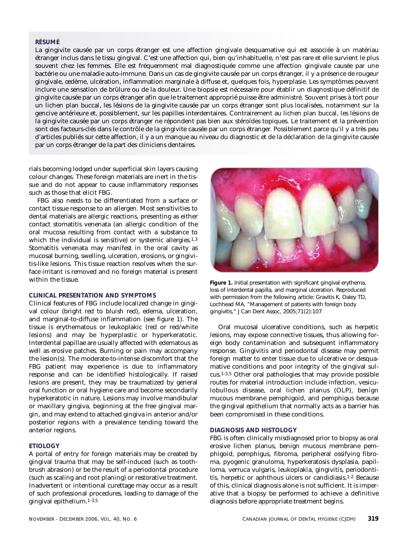# **RÉSUMÉ**

La gingivite causée par un corps étranger est une affection gingivale desquamative qui est associée à un matériau étranger inclus dans le tissu gingival. C'est une affection qui, bien qu'inhabituelle, n'est pas rare et elle survient le plus souvent chez les femmes. Elle est fréquemment mal diagnostiquée comme une affection gingivale causée par une bactérie ou une maladie auto-immune. Dans un cas de gingivite causée par un corps étranger, il y a présence de rougeur gingivale, œdème, ulcération, inflammation marginale à diffuse et, quelques fois, hyperplasie. Les symptômes peuvent inclure une sensation de brûlure ou de la douleur. Une biopsie est nécessaire pour établir un diagnostique définitif de gingivite causée par un corps étranger afin que le traitement approprié puisse être administré. Souvent prises à tort pour un lichen plan buccal, les lésions de la gingivite causée par un corps étranger sont plus localisées, notamment sur la gencive antérieure et, possiblement, sur les papilles interdentaires. Contrairement au lichen plan buccal, les lésions de la gingivite causée par un corps étranger ne répondent pas bien aux stéroïdes topiques. Le traitement et la prévention sont des facteurs-clés dans le contrôle de la gingivite causée par un corps étranger. Possiblement parce qu'il y a très peu d'articles publiés sur cette affection, il y a un manque au niveau du diagnostic et de la déclaration de la gingivite causée par un corps étranger de la part des cliniciens dentaires.

rials becoming lodged under superficial skin layers causing colour changes. These foreign materials are inert in the tissue and do not appear to cause inflammatory responses such as those that elicit FBG.

FBG also needs to be differentiated from a surface or contact tissue response to an allergen. Most sensitivities to dental materials are allergic reactions, presenting as either contact stomatitis venenata (an allergic condition of the oral mucosa resulting from contact with a substance to which the individual is sensitive) or systemic allergies.<sup>1,3</sup> Stomatitis venenata may manifest in the oral cavity as mucosal burning, swelling, ulceration, erosions, or gingivitis-like lesions. This tissue reaction resolves when the surface irritant is removed and no foreign material is present within the tissue.

# **CLINICAL PRESENTATION AND SYMPTOMS**

Clinical features of FBG include localized change in gingival colour (bright red to bluish red), edema, ulceration, and marginal-to-diffuse inflammation (see figure 1). The tissue is erythematous or leukoplakic (red or red/white lesions) and may be hyperplastic or hyperkeratotic. Interdental papillae are usually affected with edematous as well as erosive patches. Burning or pain may accompany the lesion(s). The moderate-to-intense discomfort that the FBG patient may experience is due to inflammatory response and can be identified histologically. If raised lesions are present, they may be traumatized by general oral function or oral hygiene care and become secondarily hyperkeratotic in nature. Lesions may involve mandibular or maxillary gingiva, beginning at the free gingival margin, and may extend to attached gingiva in anterior and/or posterior regions with a prevalence tending toward the anterior regions.

# **ETIOLOGY**

A portal of entry for foreign materials may be created by gingival trauma that may be self-induced (such as toothbrush abrasion) or be the result of a periodontal procedure (such as scaling and root planing) or restorative treatment. Inadvertent or intentional curettage may occur as a result of such professional procedures, leading to damage of the gingival epithelium.1-3,5



**Figure 1.** Initial presentation with significant gingival erythema, loss of interdental papilla, and marginal ulceration. Reproduced with permission from the following article: Gravitis K, Daley TD, Lochhead MA, "Management of patients with foreign body gingivitis," J Can Dent Assoc, 2005;71(2):107

Oral mucosal ulcerative conditions, such as herpetic lesions, may expose connective tissues, thus allowing foreign body contamination and subsequent inflammatory response. Gingivitis and periodontal disease may permit foreign matter to enter tissue due to ulcerative or desquamative conditions and poor integrity of the gingival sulcus.1-3,5 Other oral pathologies that may provide possible routes for material introduction include infection, vesiculobullous disease, oral lichen planus (OLP), benign mucous membrane pemphigoid, and pemphigus because the gingival epithelium that normally acts as a barrier has been compromised in these conditions.

# **DIAGNOSIS AND HISTOLOGY**

FBG is often clinically misdiagnosed prior to biopsy as oral erosive lichen planus, benign mucous membrane pemphigoid, pemphigus, fibroma, peripheral ossifying fibroma, pyogenic granuloma, hyperkeratosis dysplasia, papilloma, verruca vulgaris, leukoplakia, gingivitis, periodontitis, herpetic or aphthous ulcers or candidiasis.1-2 Because of this, clinical diagnosis alone is not sufficient. It is imperative that a biopsy be performed to achieve a definitive diagnosis before appropriate treatment begins.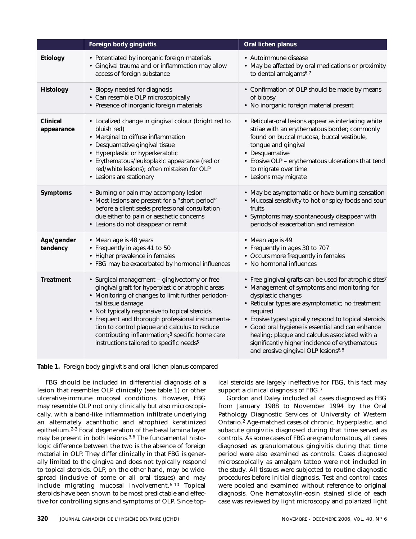|                        | Foreign body gingivitis                                                                                                                                                                                                                                                                                                                                                                                                                        | Oral lichen planus                                                                                                                                                                                                                                                                                                                                                                                                                                              |
|------------------------|------------------------------------------------------------------------------------------------------------------------------------------------------------------------------------------------------------------------------------------------------------------------------------------------------------------------------------------------------------------------------------------------------------------------------------------------|-----------------------------------------------------------------------------------------------------------------------------------------------------------------------------------------------------------------------------------------------------------------------------------------------------------------------------------------------------------------------------------------------------------------------------------------------------------------|
| Etiology               | • Potentiated by inorganic foreign materials<br>• Gingival trauma and or inflammation may allow<br>access of foreign substance                                                                                                                                                                                                                                                                                                                 | • Autoimmune disease<br>• May be affected by oral medications or proximity<br>to dental amalgams <sup>6,7</sup>                                                                                                                                                                                                                                                                                                                                                 |
| Histology              | • Biopsy needed for diagnosis<br>• Can resemble OLP microscopically<br>• Presence of inorganic foreign materials                                                                                                                                                                                                                                                                                                                               | • Confirmation of OLP should be made by means<br>of biopsy<br>• No inorganic foreign material present                                                                                                                                                                                                                                                                                                                                                           |
| Clinical<br>appearance | • Localized change in gingival colour (bright red to<br>bluish red)<br>• Marginal to diffuse inflammation<br>• Desquamative gingival tissue<br>• Hyperplastic or hyperkeratotic<br>· Erythematous/leukoplakic appearance (red or<br>red/white lesions); often mistaken for OLP<br>• Lesions are stationary                                                                                                                                     | • Reticular-oral lesions appear as interlacing white<br>striae with an erythematous border; commonly<br>found on buccal mucosa, buccal vestibule,<br>tongue and gingival<br>• Desquamative<br>• Erosive OLP - erythematous ulcerations that tend<br>to migrate over time<br>• Lesions may migrate                                                                                                                                                               |
| Symptoms               | • Burning or pain may accompany lesion<br>• Most lesions are present for a "short period"<br>before a client seeks professional consultation<br>due either to pain or aesthetic concerns<br>• Lesions do not disappear or remit                                                                                                                                                                                                                | • May be asymptomatic or have burning sensation<br>• Mucosal sensitivity to hot or spicy foods and sour<br>fruits<br>• Symptoms may spontaneously disappear with<br>periods of exacerbation and remission                                                                                                                                                                                                                                                       |
| Age/gender<br>tendency | • Mean age is 48 years<br>• Frequently in ages 41 to 50<br>• Higher prevalence in females<br>• FBG may be exacerbated by hormonal influences                                                                                                                                                                                                                                                                                                   | • Mean age is 49<br>• Frequently in ages 30 to 707<br>• Occurs more frequently in females<br>• No hormonal influences                                                                                                                                                                                                                                                                                                                                           |
| <b>Treatment</b>       | • Surgical management - gingivectomy or free<br>gingival graft for hyperplastic or atrophic areas<br>• Monitoring of changes to limit further periodon-<br>tal tissue damage<br>• Not typically responsive to topical steroids<br>• Frequent and thorough professional instrumenta-<br>tion to control plaque and calculus to reduce<br>contributing inflammation;8 specific home care<br>instructions tailored to specific needs <sup>5</sup> | • Free gingival grafts can be used for atrophic sites7<br>• Management of symptoms and monitoring for<br>dysplastic changes<br>• Reticular types are asymptomatic; no treatment<br>required<br>• Erosive types typically respond to topical steroids<br>• Good oral hygiene is essential and can enhance<br>healing; plaque and calculus associated with a<br>significantly higher incidence of erythematous<br>and erosive gingival OLP lesions <sup>6,8</sup> |



FBG should be included in differential diagnosis of a lesion that resembles OLP clinically (see table 1) or other ulcerative-immune mucosal conditions. However, FBG may resemble OLP not only clinically but also microscopically, with a band-like inflammation infiltrate underlying an alternately acanthotic and atrophied keratinized epithelium.2-3 Focal degeneration of the basal lamina layer may be present in both lesions.3,6 The fundamental histologic difference between the two is the absence of foreign material in OLP. They differ clinically in that FBG is generally limited to the gingiva and does not typically respond to topical steroids. OLP, on the other hand, may be widespread (inclusive of some or all oral tissues) and may include migrating mucosal involvement.6-10 Topical steroids have been shown to be most predictable and effective for controlling signs and symptoms of OLP. Since topical steroids are largely ineffective for FBG, this fact may support a clinical diagnosis of FBG.7

Gordon and Daley included all cases diagnosed as FBG from January 1988 to November 1994 by the Oral Pathology Diagnostic Services of University of Western Ontario.2 Age-matched cases of chronic, hyperplastic, and subacute gingivitis diagnosed during that time served as controls. As some cases of FBG are granulomatous, all cases diagnosed as granulomatous gingivitis during that time period were also examined as controls. Cases diagnosed microscopically as amalgam tattoo were not included in the study. All tissues were subjected to routine diagnostic procedures before initial diagnosis. Test and control cases were pooled and examined without reference to original diagnosis. One hematoxylin-eosin stained slide of each case was reviewed by light microscopy and polarized light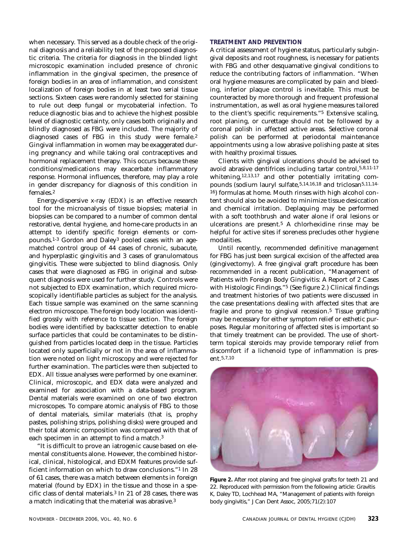when necessary. This served as a double check of the original diagnosis and a reliability test of the proposed diagnostic criteria. The criteria for diagnosis in the blinded light microscopic examination included presence of chronic inflammation in the gingival specimen, the presence of foreign bodies in an area of inflammation, and consistent localization of foreign bodies in at least two serial tissue sections. Sixteen cases were randomly selected for staining to rule out deep fungal or mycobaterial infection. To reduce diagnostic bias and to achieve the highest possible level of diagnostic certainty, only cases both originally and blindly diagnosed as FBG were included. The majority of diagnosed cases of FBG in this study were female.2 Gingival inflammation in women may be exaggerated during pregnancy and while taking oral contraceptives and hormonal replacement therapy. This occurs because these conditions/medications may exacerbate inflammatory response. Hormonal influences, therefore, may play a role in gender discrepancy for diagnosis of this condition in females.2

Energy-dispersive x-ray (EDX) is an effective research tool for the microanalysis of tissue biopsies; material in biopsies can be compared to a number of common dental restorative, dental hygiene, and home-care products in an attempt to identify specific foreign elements or compounds.1-3 Gordon and Daley3 pooled cases with an agematched control group of 44 cases of chronic, subacute, and hyperplastic gingivitis and 3 cases of granulomatous gingivitis. These were subjected to blind diagnosis. Only cases that were diagnosed as FBG in original and subsequent diagnosis were used for further study. Controls were not subjected to EDX examination, which required microscopically identifiable particles as subject for the analysis. Each tissue sample was examined on the same scanning electron microscope. The foreign body location was identified grossly with reference to tissue section. The foreign bodies were identified by backscatter detection to enable surface particles that could be contaminates to be distinguished from particles located deep in the tissue. Particles located only superficially or not in the area of inflammation were noted on light microscopy and were rejected for further examination. The particles were then subjected to EDX. All tissue analyses were performed by one examiner. Clinical, microscopic, and EDX data were analyzed and examined for association with a data-based program. Dental materials were examined on one of two electron microscopes. To compare atomic analysis of FBG to those of dental materials, similar materials (that is, prophy pastes, polishing strips, polishing disks) were grouped and their total atomic composition was compared with that of each specimen in an attempt to find a match.3

"It is difficult to prove an iatrogenic cause based on elemental constituents alone. However, the combined historical, clinical, histological, and EDXM features provide sufficient information on which to draw conclusions."1 In 28 of 61 cases, there was a match between elements in foreign material (found by EDX) in the tissue and those in a specific class of dental materials.3 In 21 of 28 cases, there was a match indicating that the material was abrasive.3

# **TREATMENT AND PREVENTION**

A critical assessment of hygiene status, particularly subgingival deposits and root roughness, is necessary for patients with FBG and other desquamative gingival conditions to reduce the contributing factors of inflammation. "When oral hygiene measures are complicated by pain and bleeding, inferior plaque control is inevitable. This must be counteracted by more thorough and frequent professional instrumentation, as well as oral hygiene measures tailored to the client's specific requirements."5 Extensive scaling, root planing, or curettage should not be followed by a coronal polish in affected active areas. Selective coronal polish can be performed at periodontal maintenance appointments using a low abrasive polishing paste at sites with healthy proximal tissues.

Clients with gingival ulcerations should be advised to avoid abrasive dentifrices including tartar control,5,8,11-17 whitening,<sup>12,13,17</sup> and other potentially irritating compounds (sodium lauryl sulfate,5,14,16,18 and triclosan5,11,14- 16) formulas at home. Mouth rinses with high alcohol content should also be avoided to minimize tissue desiccation and chemical irritation. Deplaquing may be performed with a soft toothbrush and water alone if oral lesions or ulcerations are present.5 A chlorhexidine rinse may be helpful for active sites if soreness precludes other hygiene modalities.

Until recently, recommended definitive management for FBG has just been surgical excision of the affected area (gingivectomy). A free gingival graft procedure has been recommended in a recent publication, "Management of Patients with Foreign Body Gingivitis: A Report of 2 Cases with Histologic Findings."5 (See figure 2.) Clinical findings and treatment histories of two patients were discussed in the case presentations dealing with affected sites that are fragile and prone to gingival recession.5 Tissue grafting may be necessary for either symptom relief or esthetic purposes. Regular monitoring of affected sites is important so that timely treatment can be provided. The use of shortterm topical steroids may provide temporary relief from discomfort if a lichenoid type of inflammation is present.5,7,10



**Figure 2.** After root planing and free gingival grafts for teeth 21 and 22. Reproduced with permission from the following article: Gravitis K, Daley TD, Lochhead MA, "Management of patients with foreign body gingivitis," J Can Dent Assoc, 2005;71(2):107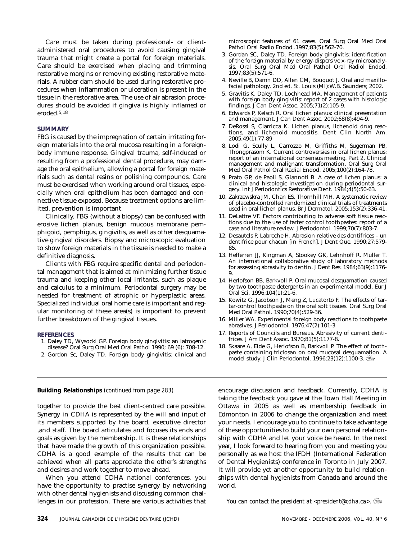<span id="page-43-0"></span>Care must be taken during professional- or clientadministered oral procedures to avoid causing gingival trauma that might create a portal for foreign materials. Care should be exercised when placing and trimming restorative margins or removing existing restorative materials. A rubber dam should be used during restorative procedures when inflammation or ulceration is present in the tissue in the restorative area. The use of air abrasion procedures should be avoided if gingiva is highly inflamed or eroded.5,18

# **SUMMARY**

FBG is caused by the impregnation of certain irritating foreign materials into the oral mucosa resulting in a foreignbody immune response. Gingival trauma, self-induced or resulting from a professional dental procedure, may damage the oral epithelium, allowing a portal for foreign materials such as dental resins or polishing compounds. Care must be exercised when working around oral tissues, especially when oral epithelium has been damaged and connective tissue exposed. Because treatment options are limited, prevention is important.

Clinically, FBG (without a biopsy) can be confused with erosive lichen planus, benign mucous membrane pemphigoid, pemphigus, gingivitis, as well as other desquamative gingival disorders. Biopsy and microscopic evaluation to show foreign materials in the tissue is needed to make a definitive diagnosis.

Clients with FBG require specific dental and periodontal management that is aimed at minimizing further tissue trauma and keeping other local irritants, such as plaque and calculus to a minimum. Periodontal surgery may be needed for treatment of atrophic or hyperplastic areas. Specialized individual oral home care is important and regular monitoring of these area(s) is important to prevent further breakdown of the gingival tissues.

# **REFERENCES**

- 1. Daley TD, Wysocki GP. Foreign body gingivitis: an iatrogenic disease? Oral Surg Oral Med Oral Pathol 1990; 69 (6): 708-12.
- 2. Gordon Sc, Daley TD. Foreign body gingivitis: clinical and

microscopic features of 61 cases. Oral Surg Oral Med Oral Pathol Oral Radio Endod .1997;83(5):562-70.

- 3. Gordan SC, Daley TD. Foreign body gingivitis: identification of the foreign material by energy-dispersive x-ray microanalysis. Oral Surg Oral Med Oral Pathol Oral Radiol Endod. 1997;83(5):571-6.
- 4. Neville B, Damn DD, Allen CM, Bouquot J. Oral and maxillofacial pathology. 2nd ed. St. Louis (MI):W.B. Saunders; 2002.
- 5. Gravitis K, Daley TD, Lochhead MA. Management of patients with foreign body gingivitis: report of 2 cases with histologic findings. J Can Dent Assoc. 2005;71(2):105-9.
- 6. Edwards P, Kelsch R. Oral lichen planus: clinical presentation and management. J Can Dent Assoc. 2002;68(8):494-9.
- 7. DeRossi S, Ciarricca K. Lichen planus, lichenoid drug reactions, and lichenoid mucositis. Dent Clin North Am. 2005;49(1):77-89
- 8. Lodi G, Scully L, Carrozzo M, Griffiths M, Sugerman PB, Thongprasom K. Current controversies in oral lichen planus: report of an international consensus meeting. Part 2. Clinical management and malignant transformation. Oral Surg Oral Med Oral Pathol Oral Radial Endod. 2005;100(2):164-78.
- 9. Prato GP, de Paoli S, Giannoti B. A case of lichen planus: a clinical and histologic investigation during periodontal surgery. Int J Periodontics Restorative Dent. 1984;4(5):50-63.
- 10. Zakrzewskra JM, Chan ES, Thornhill MH. A systematic review of placebo-controlled randomized clinical trials of treatments used in oral lichen planus. Br J Dermatol. 2005;153(2):336-41.
- 11. DeLattre VF. Factors contributing to adverse soft tissue reactions due to the use of tarter control toothpastes: report of a case and literature review. J Periodontol. 1999;70(7):803-7.
- 12. Desautels P, Labreche H. Abrasion relative des dentifrices un dentifrice pour chacun [in French]. J Dent Que. 1990;27:579- 85.
- 13. Hefferren JJ, Kingman A, Stookey GK, Lehnhoff R, Muller T. An international collaborative study of laboratory methods for assessing abrasivity to dentin. J Dent Res. 1984;63(9):1176- 9.
- 14. Herlofson BB, Barkvoll P. Oral mucosal desquamation caused by two toothpaste detergents in an experimental model. Eur J Oral Sci. 1996;104(1):21-6.
- 15. Kowitz G, Jacobson J, Meng Z, Lucatorto F. The effects of tartar-control toothpaste on the oral soft tissues. Oral Surg Oral Med Oral Pathol. 1990;70(4):529-36.
- 16. Miller WA. Experimental foreign body reactions to toothpaste abrasives. J Periodontol. 1976;47(2):101-3
- 17. Reports of Councils and Bureaus. Abrasivity of current dentifrices. J Am Dent Assoc. 1970;81(5):1177-8.
- 18. Skaare A, Eide G, Herlofson B, Barkvoll P. The effect of toothpaste containing triclosan on oral mucosal desquamation. A model study. J Clin Periodontol. 1996;23(12):1100-3.

together to provide the best client-centred care possible. Synergy in CDHA is represented by the will and input of its members supported by the board, executive director ,and staff. The board articulates and focuses its ends and goals as given by the membership. It is these relationships that have made the growth of this organization possible. CDHA is a good example of the results that can be achieved when all parts appreciate the other's strengths and desires and work together to move ahead.

When you attend CDHA national conferences, you have the opportunity to practise synergy by networking with other dental hygienists and discussing common challenges in our profession. There are various activities that

**Building Relationships** *[\(continued from page 283\)](#page-2-0)* encourage discussion and feedback. Currently, CDHA is taking the feedback you gave at the Town Hall Meeting in Ottawa in 2005 as well as membership feedback in Edmonton in 2006 to change the organization and meet your needs. I encourage you to continue to take advantage of these opportunities to build your own personal relationship with CDHA and let your voice be heard. In the next year, I look forward to hearing from you and meeting you personally as we host the IFDH (International Federation of Dental Hygienists) conference in Toronto in July 2007. It will provide yet another opportunity to build relationships with dental hygienists from Canada and around the world.

*You can contact the president at <president@cdha.ca>.*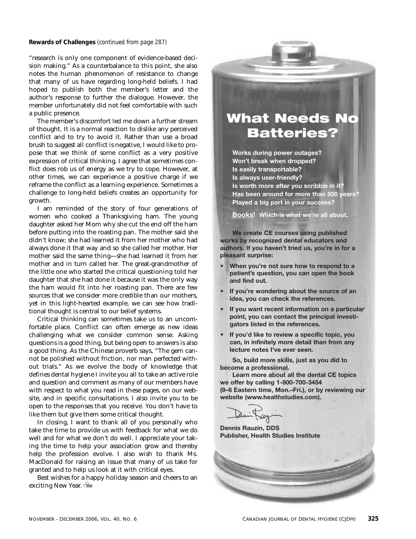<span id="page-44-0"></span>**Rewards of Challenges** *[\(continued from page 287\)](#page-6-0)*

"research is only one component of evidence-based decision making." As a counterbalance to this point, she also notes the human phenomenon of resistance to change that many of us have regarding long-held beliefs. I had hoped to publish both the member's letter and the author's response to further the dialogue. However, the member unfortunately did not feel comfortable with such a public presence.

The member's discomfort led me down a further stream of thought. It is a normal reaction to dislike any perceived conflict and to try to avoid it. Rather than use a broad brush to suggest all conflict is negative, I would like to propose that we think of some conflict as a very positive expression of critical thinking. I agree that sometimes conflict does rob us of energy as we try to cope. However, at other times, we can experience a positive charge if we reframe the conflict as a learning experience. Sometimes a challenge to long-held beliefs creates an opportunity for growth.

I am reminded of the story of four generations of women who cooked a Thanksgiving ham. The young daughter asked her Mom why she cut the end off the ham before putting into the roasting pan. The mother said she didn't know; she had learned it from her mother who had always done it that way and so she called her mother. Her mother said the same thing—she had learned it from her mother and in turn called her. The great-grandmother of the little one who started the critical questioning told her daughter that she had done it because it was the only way the ham would fit into her roasting pan. There are few sources that we consider more credible than our mothers, yet in this light-hearted example, we can see how traditional thought is central to our belief systems.

Critical thinking can sometimes take us to an uncomfortable place. Conflict can often emerge as new ideas challenging what we consider common sense. Asking questions is a good thing, but being open to answers is also a good thing. As the Chinese proverb says, "The gem cannot be polished without friction, nor man perfected without trials." As we evolve the body of knowledge that defines dental hygiene I invite you all to take an active role and question and comment as many of our members have with respect to what you read in these pages, on our website, and in specific consultations. I also invite you to be open to the responses that you receive. You don't have to like them but give them some critical thought.

In closing, I want to thank all of you personally who take the time to provide us with feedback for what we do well and for what we don't do well. I appreciate your taking the time to help your association grow and thereby help the profession evolve. I also wish to thank Ms. MacDonald for raising an issue that many of us take for granted and to help us look at it with critical eyes.

Best wishes for a happy holiday season and cheers to an exciting New Year.

# What Needs No **Batteries?**

**Works during power outages? Won't break when dropped? ls easily transportable? ls always user-friendly? ls worth more after you scribble in it?** Has been around for more than 500 years? **Played a big part in your success?** 

Books! Which is what we're all about.

We create CE courses using published works by recognized dental educators and authors. If you haven't tried us, you're in for a pleasant surprise:

- When you're not sure how to respond to a patient's question, you can open the book and find out.
- If you're wondering about the source of an idea, you can check the references.
- If you want recent information on a particular point, you can contact the principal investigators listed in the references.
- If you'd like to review a specific topic, you can, in infinitely more detail than from any lecture notes I've ever seen.

So, build more skills, just as you did to **become a professional.** 

**Learn more about all the dental CE topics** we offer by calling 1-800-700-3454 **(9-6 Eastern time, Mon.-Fri.), or by reviewing our** website (www.healthstudies.com).



**Dennis Rauzin, DDS Publisher, Health Studies Institute** 

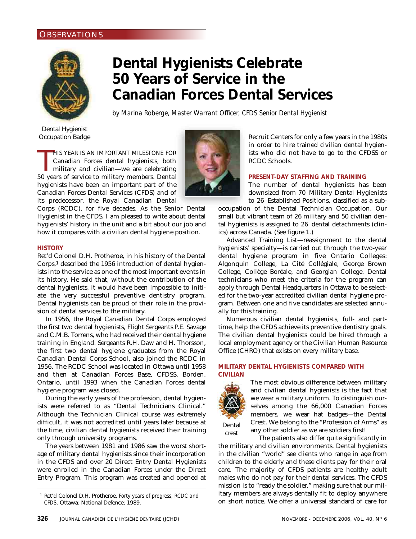# <span id="page-45-0"></span>**OBSERVATIONS**



# **Dental Hygienists Celebrate 50 Years of Service in the Canadian Forces Dental Services**

*by Marina Roberge, Master Warrant Officer, CFDS Senior Dental Hygienist*

Dental Hygienist Occupation Badge

HIS YEAR IS AN IMPORTANT MILESTONE FOR Canadian Forces dental hygienists, both military and civilian—we are celebrating<br>50 years of service to military members. Dental HIS YEAR IS AN IMPORTANT MILESTONE FOR Canadian Forces dental hygienists, both military and civilian—we are celebrating hygienists have been an important part of the Canadian Forces Dental Services (CFDS) and of its predecessor, the Royal Canadian Dental

Corps (RCDC), for five decades. As the Senior Dental Hygienist in the CFDS, I am pleased to write about dental hygienists' history in the unit and a bit about our job and how it compares with a civilian dental hygiene position.

# **HISTORY**

Ret'd Colonel D.H. Protheroe, in his history of the Dental Corps,1 described the 1956 introduction of dental hygienists into the service as one of the most important events in its history. He said that, without the contribution of the dental hygienists, it would have been impossible to initiate the very successful preventive dentistry program. Dental hygienists can be proud of their role in the provision of dental services to the military.

In 1956, the Royal Canadian Dental Corps employed the first two dental hygienists, Flight Sergeants P.E. Savage and C.M.B. Torrens, who had received their dental hygiene training in England. Sergeants R.H. Daw and H. Thorsson, the first two dental hygiene graduates from the Royal Canadian Dental Corps School, also joined the RCDC in 1956. The RCDC School was located in Ottawa until 1958 and then at Canadian Forces Base, CFDSS, Borden, Ontario, until 1993 when the Canadian Forces dental hygiene program was closed.

During the early years of the profession, dental hygienists were referred to as "Dental Technicians Clinical." Although the Technician Clinical course was extremely difficult, it was not accredited until years later because at the time, civilian dental hygienists received their training only through university programs.

The years between 1981 and 1986 saw the worst shortage of military dental hygienists since their incorporation in the CFDS and over 20 Direct Entry Dental Hygienists were enrolled in the Canadian Forces under the Direct Entry Program. This program was created and opened at Recruit Centers for only a few years in the 1980s in order to hire trained civilian dental hygienists who did not have to go to the CFDSS or RCDC Schools.

# **PRESENT-DAY STAFFING AND TRAINING**

The number of dental hygienists has been downsized from 70 Military Dental Hygienists to 26 Established Positions, classified as a sub-

occupation of the Dental Technician Occupation. Our small but vibrant team of 26 military and 50 civilian dental hygienists is assigned to 26 dental detachments (clinics) across Canada. (See figure 1.)

Advanced Training List—reassignment to the dental hygienists' specialty—is carried out through the two-year dental hygiene program in five Ontario Colleges: Algonquin College, La Cité Collégiale, George Brown College, Collège Boréale, and Georgian College. Dental technicians who meet the criteria for the program can apply through Dental Headquarters in Ottawa to be selected for the two-year accredited civilian dental hygiene program. Between one and five candidates are selected annually for this training.

Numerous civilian dental hygienists, full- and parttime, help the CFDS achieve its preventive dentistry goals. The civilian dental hygienists could be hired through a local employment agency or the Civilian Human Resource Office (CHRO) that exists on every military base.

# **MILITARY DENTAL HYGIENISTS COMPARED WITH CIVILIAN**



crest

The most obvious difference between military and civilian dental hygienists is the fact that we wear a military uniform. To distinguish ourselves among the 66,000 Canadian Forces members, we wear hat badges—the Dental Crest. We belong to the "Profession of Arms" as any other soldier as we are soldiers first!

The patients also differ quite significantly in the military and civilian environments. Dental hygienists in the civilian "world" see clients who range in age from children to the elderly and these clients pay for their oral care. The majority of CFDS patients are healthy adult males who do not pay for their dental services. The CFDS mission is to "ready the soldier," making sure that our military members are always dentally fit to deploy anywhere on short notice. We offer a universal standard of care for

<sup>1</sup> Ret'd Colonel D.H. Protheroe, *Forty years of progress, RCDC and CFDS*. Ottawa: National Defence; 1989.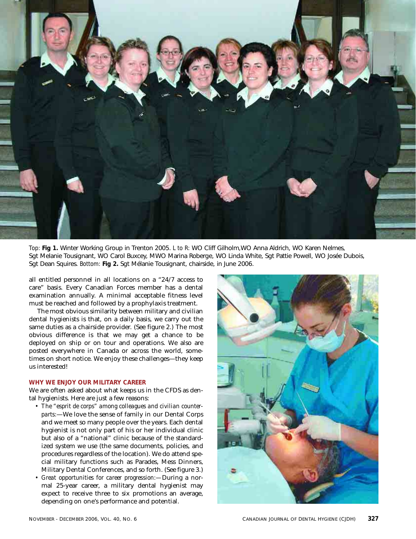

*Top:* **Fig 1.** Winter Working Group in Trenton 2005. *L to R:* WO Cliff Gilholm,WO Anna Aldrich, WO Karen Nelmes, Sgt Melanie Tousignant, WO Carol Buxcey, MWO Marina Roberge, WO Linda White, Sgt Pattie Powell, WO Josée Dubois, Sgt Dean Squires. *Bottom:* **Fig 2.** Sgt Mélanie Tousignant, chairside, in June 2006.

all entitled personnel in all locations on a "24/7 access to care" basis. Every Canadian Forces member has a dental examination annually. A minimal acceptable fitness level must be reached and followed by a prophylaxis treatment.

The most obvious similarity between military and civilian dental hygienists is that, on a daily basis, we carry out the same duties as a chairside provider. (See figure 2.) The most obvious difference is that we may get a chance to be deployed on ship or on tour and operations. We also are posted everywhere in Canada or across the world, sometimes on short notice. We enjoy these challenges—they keep us interested!

# **WHY WE ENJOY OUR MILITARY CAREER**

We are often asked about what keeps us in the CFDS as dental hygienists. Here are just a few reasons:

- *The "esprit de corps" among colleagues and civilian counterparts:*—We love the sense of family in our Dental Corps and we meet so many people over the years. Each dental hygienist is not only part of his or her individual clinic but also of a "national" clinic because of the standardized system we use (the same documents, policies, and procedures regardless of the location). We do attend special military functions such as Parades, Mess Dinners, Military Dental Conferences, and so forth. (See figure 3.)
- *Great opportunities for career progression:—*During a normal 25-year career, a military dental hygienist may expect to receive three to six promotions an average, depending on one's performance and potential.

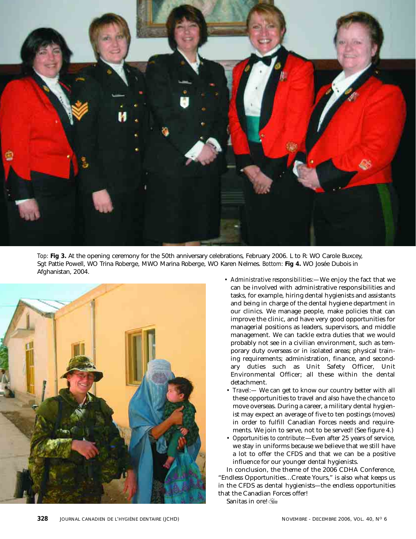

*Top:* **Fig 3.** At the opening ceremony for the 50th anniversary celebrations, February 2006. L to R: WO Carole Buxcey, Sgt Pattie Powell, WO Trina Roberge, MWO Marina Roberge, WO Karen Nelmes. *Bottom:* **Fig 4.** WO Josée Dubois in Afghanistan, 2004.



- *Administrative responsibilities:—*We enjoy the fact that we can be involved with administrative responsibilities and tasks, for example, hiring dental hygienists and assistants and being in charge of the dental hygiene department in our clinics. We manage people, make policies that can improve the clinic, and have very good opportunities for managerial positions as leaders, supervisors, and middle management. We can tackle extra duties that we would probably not see in a civilian environment, such as temporary duty overseas or in isolated areas; physical training requirements; administration, finance, and secondary duties such as Unit Safety Officer, Unit Environmental Officer; all these within the dental detachment.
- *Travel:—* We can get to know our country better with all these opportunities to travel and also have the chance to move overseas. During a career, a military dental hygienist may expect an average of five to ten postings (moves) in order to fulfill Canadian Forces needs and requirements. We join to serve, not to be served! (See figure 4.)
- *Opportunities to contribute:*—Even after 25 years of service, we stay in uniforms because we believe that we still have a lot to offer the CFDS and that we can be a positive influence for our younger dental hygienists.

In conclusion, the theme of the 2006 CDHA Conference, "Endless Opportunities…Create Yours," is also what keeps us in the CFDS as dental hygienists—the endless opportunities that the Canadian Forces offer!

Sanitas in ore!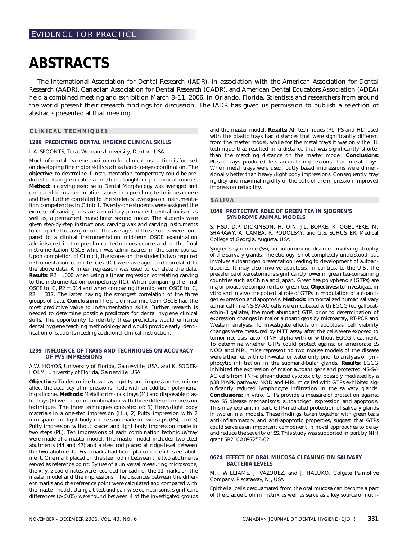# <span id="page-50-0"></span>**ABSTRACTS**

The International Association for Dental Research (IADR), in association with the American Association for Dental Research (AADR), Canadian Association for Dental Research (CADR), and American Dental Educators Association (ADEA) held a combined meeting and exhibition March 8–11, 2006, in Orlando, Florida. Scientists and researchers from around the world present their research findings for discussion. The IADR has given us permission to publish a selection of abstracts presented at that meeting.

# **CLINICAL TECHNIQUES**

# **1289 PREDICTING DENTAL HYGIENE CLINICAL SKILLS**

# L.A. SPOONTS, Texas Woman's University, Denton, USA

Much of dental hygiene curriculum for clinical instruction is focused on developing fine motor skills such as hand-to-eye coordination. The **objective**: to determine if instrumentation competency could be predicted utilizing educational methods taught in pre-clinical courses. **Method:** a carving exercise in Dental Morphology was averaged and compared to instrumentation scores in a pre-clinic techniques course and then further correlated to the students' averages on instrumentation competencies in Clinic I. Twenty-one students were assigned the exercise of carving to scale a maxillary permanent central incisor, as well as, a permanent mandibular second molar. The students were given step-by-step instructions, carving wax and carving instruments to complete the assignment. The averages of these scores were compared to a clinical instrumentation mid-term OSCE examination administered in the pre-clinical techniques course and to the final instrumentation OSCE which was administered in the same course. Upon completion of Clinic I, the scores on the student's two required instrumentation competencies (IC) were averaged and correlated to the above data. A linear regression was used to correlate the data. **Results:** R2 = .000 when using a linear regression correlating carving to the instrumentation competency (IC). When comparing the final OSCE to IC, R2 = .014 and when comparing the mid-term OSCE to IC,  $R2 = .317$ . The latter having the strongest correlation of the three groups of data. **Conclusion:** The pre-clinical mid-term OSCE had the most predictive value to instrumentation skills. Further research is needed to determine possible predictors for dental hygiene clinical skills. The opportunity to identify these predictors would enhance dental hygiene teaching methodology and would provide early identification of students needing additional clinical instruction.

## **1299 INFLUENCE OF TRAYS AND TECHNIQUES ON ACCURACY OF PVS IMPRESSIONS**

A.W. HOYOS, University of Florida, Gainesville, USA, and K. SODER-HOLM, University of Florida, Gainesville, USA

**Objectives:** To determine how tray rigidity and impression technique affect the accuracy of impressions made with an addition polymerizing silicone. **Methods:** Metallic rim-lock trays (M) and disposable plastic trays (P) were used in combination with three different impression techniques. The three techniques consisted of: 1) Heavy/light body materials in a one-step impression (HL), 2) Putty impression with 2 mm space and light body impression made in two steps (PS), and 3) Putty impression without spacer and light body impression made in two steps (PL). Ten impressions of each combination technique/tray were made of a master model. The master model included two steel abutments (44 and 47) and a steel rod placed at ridge level between the two abutments. Five marks had been placed on each steel abutment. One mark placed on the steel rod in between the two abutments served as reference point. By use of a universal measuring microscope, the x, y, z-coordinates were recorded for each of the 11 marks on the master model and the impressions. The distances between the different marks and the reference point were calculated and compared with the master model. Using a t-test and pair wise comparisons, significant differences (p<0.05) were found between 4 of the investigated groups

and the master model. **Results:** All techniques (PL, PS and HL) used with the plastic trays had distances that were significantly different from the master model, while for the metal trays it was only the HL technique that resulted in a distance that was significantly shorter than the matching distance on the master model. **Conclusions:** Plastic trays produced less accurate impressions than metal trays. When metal trays were used, putty based impressions were dimensionally better than heavy /light body impressions. Consequently, tray rigidity and maximal rigidity of the bulk of the impression improved impression reliability.

# **SALIVA**

# **1049 PROTECTIVE ROLE OF GREEN TEA IN SJOGREN'S SYNDROME ANIMAL MODELS**

S. HSU, D.P. DICKINSON, H. QIN, J.L. BORKE, K. OGBUREKE, M. SHARAWY, A. CAMBA, R. PODOLSKY, and G.S. SCHUSTER, Medical College of Georgia, Augusta, USA

Sjogren's syndrome (SS), an autoimmune disorder involving atrophy of the salivary glands. The etiology is not completely understood, but involves autoantigen presentation leading to development of autoantibodies. It may also involve apoptosis. In contrast to the U.S., the prevalence of xerostomia is significantly lower in green tea-consuming countries such as China and Japan. Green tea polyphenols (GTPs) are major bioactive components of green tea. **Objectives:** to investigate in vitro and in vivo the potential role of GTPs in modulation of autoantigen expression and apoptosis. **Methods:** Immortalized human salivary acinar cell line NS-SV-AC cells were incubated with EGCG (epigallocatechin-3 gallate), the most abundant GTP, prior to determination of expression changes in major autoantigens by microarray, RT-PCR and Western analysis. To investigate effects on apoptosis, cell viability changes were measured by MTT assay after the cells were exposed to tumor necrosis factor (TNF)-alpha with or without EGCG treatment. To determine whether GTPs could protect against or ameliorate SS NOD and MRL mice representing two mouse models of the disease were either fed with GTP-water or water only prior to analysis of lymphocytic infiltration in the submandibular glands. **Results:** EGCG inhibited the expression of major autoantigens and protected NS-SV-AC cells from TNF-alpha-induced cytotoxicity, possibly mediated by a p38 MAPK pathway. NOD and MRL mice fed with GTPs exhibited significantly reduced lymphocyte infiltration in the salivary glands. **Conclusions:** in vitro, GTPs provide a measure of protection against two SS disease mechanisms: autoantigen expression and apoptosis. This may explain, in part, GTP-mediated protection of salivary glands in two animal models. These findings, taken together with green tea's anti-inflammatory and anti-apoptotic properties, suggest that GTPs could serve as an important component in novel approaches to delay and reduce the severity of SS. This study was supported in part by NIH grant 5R21CA097258-02.

# **0624 EFFECT OF ORAL MUCOSA CLEANING ON SALIVARY BACTERIA LEVELS**

M.I. WILLIAMS, J. VAZQUEZ, and J. HALUKO, Colgate Palmolive Company, Piscataway, NJ, USA

Epithelial cells desquamated from the oral mucosa can become a part of the plaque biofilm matrix as well as serve as a key source of nutri-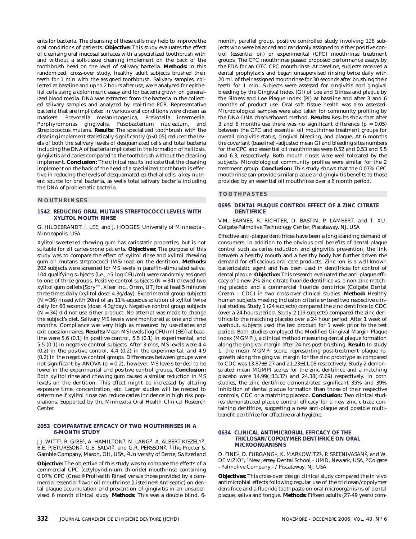ents for bacteria. The cleansing of these cells may help to improve the oral conditions of patients. **Objective:** This study evaluates the effect of cleansing oral mucosal surfaces with a specialized toothbrush with and without a soft-tissue cleaning implement on the back of the toothbrush head on the level of salivary bacteria. **Methods:** In this randomized, cross-over study, healthy adult subjects brushed their teeth for 1 min with the assigned toothbrush. Salivary samples, collected at baseline and up to 2 hours after use, were analyzed for epithelial cells using a colorimetric assay and for bacteria grown on generalized blood media. DNA was extracted from the bacteria in the collected salivary samples and analyzed by real-time PCR. Representative bacteria that are implicated in various oral conditions were chosen as markers: Prevotella melaninogenica, Prevotella intermedia, Porphyromonas gingivalis, Fusobacterium nucleatum, and Streptococcus mutans. **Results:** The specialized toothbrush with the cleaning implement statistically significantly (p<0.05) reduced the levels of both the salivary levels of desquamated cells and total bacteria including the DNA of bacteria implicated in the formation of halitosis, gingivitis and caries compared to the toothbrush without the cleaning implement. **Conclusion:** The clinical results indicate that the cleaning implement on the back of the head of a specialized toothbrush is effective in reducing the levels of desquamated epithelial cells, a key nutrient source for oral bacteria, as wells total salivary bacteria including the DNA of problematic bacteria.

# **MOUTHRINSES**

# **1542 REDUCING ORAL MUTANS STREPTOCOCCI LEVELS WITH XYLITOL MOUTH RINSE**

G. HILDEBRANDT, I. LEE, and J. HODGES, University of Minnesota -, Minneapolis, USA

Xylitol-sweetened chewing gum has cariostatic properties, but is not suitable for all caries-prone patients. **Objectives:** The purpose of this study was to compare the effect of xylitol rinse and xylitol chewing gum on mutans streptococci (MS) load on the dentition. **Methods:** 202 subjects were screened for MS levels in paraffin-stimulated saliva. 104 qualifying subjects (i.e., ≥5 log CFU/ml) were randomly assigned to one of three groups. Positive control subjects  $(N = 34)$  chewed two xylitol gum pellets [Spry™, Xlear Inc., Orem, UT] for at least 5 minutes three times daily (xylitol dose: 4.3g/day). Experimental group subjects (N = 36) rinsed with 20ml of an 11%-aqueous solution of xylitol twice daily for 60 seconds (dose: 4.3g/day). Negative control group subjects  $(N = 34)$  did not use either product. No attempt was made to change the subject's diet. Salivary MS levels were monitored at one and three months. Compliance was very high as measured by use-diaries and exit questionnaires. **Results:** Mean MS levels [log CFU/ml (SE)] at baseline were 5.6 (0.1) in positive control, 5.5 (0.1) in experimental, and 5.5 (0.1) in negative control subjects. After 3-mos, MS levels were 4.4 (0.2) in the positive control, 4.4 (0.2) in the experimental, and 4.9 (0.2) in the negative control groups. Differences between groups were not significant by ANOVA ( $p = 0.2$ ), however, MS levels tended to be lower in the experimental and positive control groups. **Conclusion:** Both xylitol rinse and chewing gum caused a similar reduction in MS levels on the dentition. This effect might be increased by altering exposure time, concentration, etc. Larger studies will be needed to determine if xylitol rinse can reduce caries incidence in high risk populations. Supported by the Minnesota Oral Health Clinical Research Center.

## **2053 COMPARATIVE EFFICACY OF TWO MOUTHRINSES IN A 6-MONTH STUDY**

J.J. WITT1, R. GIBB1, A. HAMILTON1, N. LANG2, A. ALBERT-KISZELY2, B.E. PJETURSSON<sup>2</sup>, G.E. SALVI<sup>2</sup>, and G.R. PERSSON<sup>2</sup>, <sup>1</sup>The Procter & Gamble Company, Mason, OH, USA, 2University of Berne, Switzerland

**Objective:** The objective of this study was to compare the effects of a commercial CPC (cetylpyridinium chloride) mouthrinse containing 0.07% CPC (Crest® ProHealth Rinse) versus those provided by a commercial essential flavor oil mouthrinse (Listerine® Antiseptic) on dental plaque accumulation and prevention of gingivitis in an unsupervised 6 month clinical study. **Methods:** This was a double blind, 6month, parallel group, positive controlled study involving 128 subjects who were balanced and randomly assigned to either positive control (essential oil) or experimental (CPC) mouthrinse treatment groups. The CPC mouthrinse passed proposed performance assays by the FDA for an OTC CPC mouthrinse. At baseline, subjects received a dental prophylaxis and began unsupervised rinsing twice daily with 20 ml. of their assigned mouthrinse for 30 seconds after brushing their teeth for 1 min. Subjects were assessed for gingivitis and gingival bleeding by the Gingival Index (GI) of Loe and Silness and plaque by the Silness and Loe Plaque Index (PI) at baseline and after 3 and 6 months of product use. Oral soft tissue health was also assessed. Microbiological samples were also taken for community profiling by the DNA-DNA checkerboard method. **Results:** Results show that after 3 and 6 months use there was no significant difference  $(p = 0.05)$ between the CPC and essential oil mouthrinse treatment groups for overall gingivitis status, gingival bleeding, and plaque. At 6 months the covariant (baseline) –adjusted mean GI and bleeding sites numbers for the CPC and essential oil mouthrinses were 0.52 and 0.53 and 5.5 and 6.3, respectively. Both mouth rinses were well tolerated by the subjects. Microbiological community profiles were similar for the 2 treatment group. **Conclusion:** This study shows that the 0.07% CPC mouthrinse can provide similar plaque and gingivitis benefits to those provided by an essential oil mouthrinse over a 6 month period.

## **TOOTHPASTES**

# **0695 DENTAL PLAQUE CONTROL EFFECT OF A ZINC CITRATE DENTIFRICE**

V.M. BARNES, R. RICHTER, D. BASTIN, P. LAMBERT, and T. XU, Colgate-Palmolive Technology Center, Piscataway, NJ, USA

Effective anti-plaque dentifrices have been a long standing demand of consumers. In addition to the obvious oral benefits of dental plaque control such as caries reduction and gingivitis prevention, the link between a healthy mouth and a healthy body has further driven the demand for efficacious oral care products. Zinc ion is a well-known bacteriostatic agent and has been used in dentifrices for control of dental plaque. **Objective:** This research evaluated the anti-plaque efficacy of a new 2% zinc citrate fluoride dentifrice vs. a non-zinc matching placebo and a commercial fluoride dentifrice (Colgate Dental Cream – CDC) in two cross-over clinical studies. **Method:** Healthy human subjects meeting inclusion criteria entered two respective clinical studies. Study 1 (24 subjects) compared the zinc dentifrice to CDC (over a 24 hours period. Study 2 (19 subjects) compared the zinc dentifrice to the matching placebo over a 24 hour period. After 1 week of washout, subjects used the test product for 1 week prior to the test period. Both studies employed the Modified Gingival Margin Plaque Index (MGMPI), a clinical method measuring dental plaque formation along the gingival margin after 24-hrs post-brushing. **Result:** In study 1, the mean MGMPI score, representing post-treatment plaque regrowth along the gingival margin for the zinc prototype as compared to CDC was 13.87±8.27 and 21.23±11.08 respectively. Study 2 demonstrated mean MGMPI scores for the zinc dentifrice and a matching placebo were  $14.99(\pm 13.32)$  and  $24.38(\pm 7.69)$  respectively. In both studies, the zinc dentifrice demonstrated significant 35% and 39% inhibition of dental plaque formation than those of their respective controls, CDC or a matching placebo. **Conclusion:** Two clinical studies demonstrated plaque control efficacy for a new zinc citrate containing dentifrice, suggesting a new anti-plaque and possible multibenefit dentifrice for effective oral hygiene.

## **0634 CLINICAL ANTIMICROBIAL EFFICACY OF THE TRICLOSAN/COPOLYMER DENTIFRICE ON ORAL MICROORGANISMS**

D. FINE<sup>1</sup>, D. FURGANG<sup>1</sup>, K. MARKOWITZ<sup>1</sup>, P. SREENIVASAN<sup>2</sup>, and W. DE VIZIO2, 1New Jersey Dental School - UMD, Newark, USA, 2Colgate - Palmolive Company - / Piscataway, NJ, USA

**Objectives:** This cross-over design clinical study compared the in vivo antimicrobial effects following regular use of the triclosan/copolymer dentifrice and a fluoride toothpaste on oral microorganisms of dental plaque, saliva and tongue. **Methods:** Fifteen adults (27-49 years) com-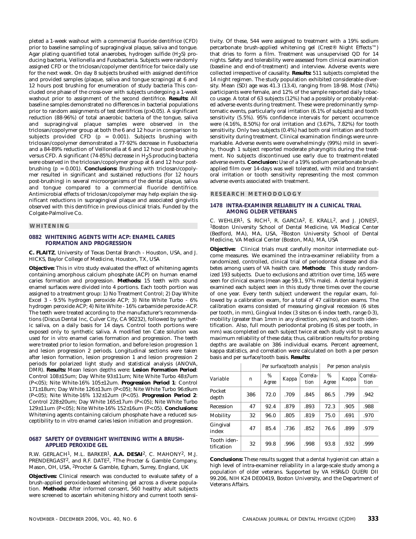pleted a 1-week washout with a commercial fluoride dentifrice (CFD) prior to baseline sampling of supragingival plaque, saliva and tongue. Agar plating quantified total anaerobes, hydrogen sulfide  $(H<sub>2</sub>S)$  producing bacteria, Veillonella and Fusobacteria. Subjects were randomly assigned CFD or the triclosan/copolymer dentifrice for twice daily use for the next week. On day 8 subjects brushed with assigned dentifrice and provided samples (plaque, saliva and tongue scrapings) at 6 and 12 hours post brushing for enumeration of study bacteria This concluded one phase of the cross-over with subjects undergoing a 1-week washout prior to assignment of the second dentifrice. **Results:** All baseline samples demonstrated no differences in bacterial populations prior to random assignments of test dentifrices (p>0.05). A significant reduction (88-96%) of total anaerobic bacteria of the tongue, saliva and supragingival plaque samples were observed in the triclosan/copolymer group at both the 6 and 12 hour in comparison to subjects provided CFD (p = 0.001). Subjects brushing with triclosan/copolymer demonstrated a 77-92% decrease in Fusobacteria and a 84-89% reduction of Veillonella at 6 and 12 hour post-brushing versus CFD. A significant (74-85%) decrease in H2S producing bacteria were observed in the triclosan/copolymer group at 6 and 12 hour postbrushing (p = 0.001). **Conclusions:** Brushing with triclosan/copolymer resulted in significant and sustained reductions (for 12 hours post-brushing) in several microorganisms of the dental plaque, saliva and tongue compared to a commercial fluoride dentifrice. Antimicrobial effects of triclosan/copolymer may help explain the significant reductions in supragingival plaque and associated gingivitis observed with this dentifrice in previous clinical trials. Funded by the Colgate-Palmolive Co.

# **WHITENING**

# **0882 WHITENING AGENTS WITH ACP: ENAMEL CARIES FORMATION AND PROGRESSION**

**C. FLAITZ**, University of Texas Dental Branch - Houston, USA, and J. HICKS, Baylor College of Medicine, Houston, TX, USA

**Objective:** This *in vitro* study evaluated the effect of whitening agents containing amorphous calcium phosphate (ACP) on human enamel caries formation and progression. **Methods:** 15 teeth with sound enamel surfaces were divided into 4 portions. Each tooth portion was assigned to a treatment group: 1) No Treatment Control; 2) Day White Excel 3 - 9.5% hydrogen peroxide ACP; 3) Nite White Turbo - 6% hydrogen peroxide ACP; 4) Nite White - 16% carbamide peroxide ACP. The teeth were treated according to the manufacturer's recommendations (Discus Dental Inc, Culver City, CA 90232), followed by synthetic saliva, on a daily basis for 14 days. Control tooth portions were exposed only to synthetic saliva. A modified ten Cate solution was used for *in vitro* enamel caries formation and progression. The teeth were treated prior to lesion formation, and before lesion progression 1 and lesion progression 2 periods. Longitudinal sections were taken after lesion formation, lesion progression 1 and lesion progression 2 periods for polarized light study and statistical analysis (ANOVA, DMR). **Results:** Mean lesion depths were: **Lesion Formation Period**: Control 108±15um; Day White 93±11um; Nite White Turbo 48±7um (P<.05); Nite White-16% 105±12um. **Progression Period 1**: Control 171±18um; Day White 126±13um (P<.05); Nite White Turbo 96±9um (P<.05); Nite White-16% 132±12um (P<.05). **Progression Period 2**: Control 228±20um; Day White 165±17um (P<.05); Nite White Turbo 129±11um (P<.05); Nite White-16% 152±16um (P<.05). **Conclusions:** Whitening agents containing calcium phosphate have a reduced susceptibility to *in vitro* enamel caries lesion initiation and progression.

# **0687 SAFETY OF OVERNIGHT WHITENING WITH A BRUSH-APPLIED PEROXIDE GEL**

R.W. GERLACH1, M.L. BARKER1, **A.A. DESAI**2, C. MAHONY2, M.J. PRENDERGAST2, and R.F. DATE2, 1The Procter & Gamble Company, Mason, OH, USA, 2Procter & Gamble, Egham, Surrey, England, UK

**Objectives:** Clinical research was conducted to evaluate safety of a brush-applied peroxide-based whitening gel across a diverse population. **Methods:** After informed consent, 560 healthy adult subjects were screened to ascertain whitening history and current tooth sensitivity. Of these, 544 were assigned to treatment with a 19% sodium percarbonate brush-applied whitening gel (Crest® Night Effects™) that dries to form a film. Treatment was unsupervised QD for 14 nights. Safety and tolerability were assessed from clinical examination (baseline and end-of-treatment) and interview. Adverse events were collected irrespective of causality. **Results:** 511 subjects completed the 14 night regimen. The study population exhibited considerable diversity. Mean (SD) age was 41.3 (13.4), ranging from 18-98. Most (74%) participants were female, and 12% of the sample reported daily tobacco usage. A total of 63 subjects (12%) had a possibly or probably-related adverse events during treatment. These were predominantly symptomatic events, particularly oral irritation (6.1% of subjects) and tooth sensitivity (5.5%). 95% confidence intervals for percent occurrence were (4.16%, 8.50%) for oral irritation and (3.67%, 7.82%) for tooth sensitivity. Only two subjects (0.4%) had both oral irritation and tooth sensitivity during treatment. Clinical examination findings were unremarkable. Adverse events were overwhelmingly (99%) mild in severity, though 1 subject reported moderate pharyngitis during the treatment. No subjects discontinued use early due to treatment-related adverse events. **Conclusion:** Use of a 19% sodium percarbonate brushapplied film over 14-days was well tolerated, with mild and transient oral irritation or tooth sensitivity representing the most common adverse events associated with treatment.

## **RESEARCH METHODOLOGY**

# **1478 INTRA-EXAMINER RELIABILITY IN A CLINICAL TRIAL AMONG OLDER VETERANS**

C. WEHLER<sup>1</sup>, S. RICH<sup>1</sup>, R. GARCIA<sup>2</sup>, E. KRALL<sup>2</sup>, and J. JONES<sup>1</sup>, 1Boston University School of Dental Medicine, VA Medical Center (Bedford, MA), MA, USA, 2Boston University School of Dental Medicine, VA Medical Center (Boston, MA), MA, USA

**Objective:** Clinical trials must carefully monitor intermediate outcome measures. We examined the intra-examiner reliability from a randomized, controlled, clinical trial of periodontal disease and diabetes among users of VA health care. **Methods:** This study randomized 193 subjects. Due to exclusions and attrition over time, 165 were seen for clinical exams (mean age 59.1, 97% male). A dental hygienist examined each subject seen in this study three times over the course of one year. Every tenth subject underwent the regular exam, followed by a calibration exam, for a total of 47 calibration exams. The calibration exams consisted of measuring gingival recession (6 sites per tooth, in mm), Gingival Index (3 sites on 6 index teeth, range 0-3), mobility (greater than 1mm in any direction, yes/no), and tooth identification. Also, full mouth periodontal probing (6 sites per tooth, in mm) was completed on each subject twice at each study visit to assure maximum reliability of these data; thus, calibration results for probing depths are available on 386 individual exams. Percent agreement, kappa statistics, and correlation were calculated on both a per person basis and per surface/tooth basis. **Results:**

| <b>Per surface/tooth analysis</b> |  | Per person analysis |  |  |
|-----------------------------------|--|---------------------|--|--|
|-----------------------------------|--|---------------------|--|--|

| Variable                  | $\mathbf n$ | %<br>Agree | Kappa | Correla-<br>tion | %<br>Agree | Kappa | Correla-<br>tion |  |
|---------------------------|-------------|------------|-------|------------------|------------|-------|------------------|--|
| Pocket<br>depth           | 386         | 72.0       | .709  | .845             | 86.5       | .799  | .942             |  |
| Recession                 | 47          | 92.4       | .879  | .893             | 72.3       | .905  | .988             |  |
| Mobility                  | 32          | 96.0       | .805  | .819             | 75.0       | .691  | .970             |  |
| Gingival<br>index         | 47          | 85.4       | .736  | .852             | 76.6       | .899  | .979             |  |
| Tooth iden-<br>tification | 32          | 99.8       | .996  | .998             | 93.8       | .932  | .999             |  |

**Conclusions:** These results suggest that a dental hygienist can attain a high level of intra-examiner reliability in a large-scale study among a population of older veterans. Supported by VA HSR&D QUERI DII 99.206, NIH K24 DE00419, Boston University, and the Department of Veterans Affairs.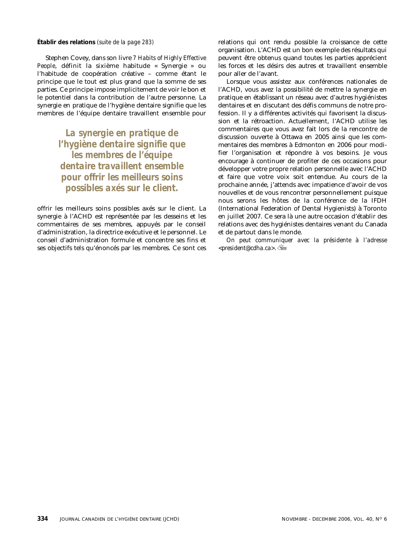Stephen Covey, dans son livre *7 Habits of Highly Effective People*, définit la sixième habitude « Synergie » ou l'habitude de coopération créative – comme étant le principe que le tout est plus grand que la somme de ses parties. Ce principe impose implicitement de voir le bon et le potentiel dans la contribution de l'autre personne. La synergie en pratique de l'hygiène dentaire signifie que les membres de l'équipe dentaire travaillent ensemble pour

> *La synergie en pratique de l'hygiène dentaire signifie que les membres de l'équipe dentaire travaillent ensemble pour offrir les meilleurs soins possibles axés sur le client.*

offrir les meilleurs soins possibles axés sur le client. La synergie à l'ACHD est représentée par les desseins et les commentaires de ses membres, appuyés par le conseil d'administration, la directrice exécutive et le personnel. Le conseil d'administration formule et concentre ses fins et ses objectifs tels qu'énoncés par les membres. Ce sont ces

<span id="page-53-0"></span>**[Établir des relations](#page-2-0)** *(suite de la page 283)* relations qui ont rendu possible la croissance de cette organisation. L'ACHD est un bon exemple des résultats qui peuvent être obtenus quand toutes les parties apprécient les forces et les désirs des autres et travaillent ensemble pour aller de l'avant.

> Lorsque vous assistez aux conférences nationales de l'ACHD, vous avez la possibilité de mettre la synergie en pratique en établissant un réseau avec d'autres hygiénistes dentaires et en discutant des défis communs de notre profession. Il y a différentes activités qui favorisent la discussion et la rétroaction. Actuellement, l'ACHD utilise les commentaires que vous avez fait lors de la rencontre de discussion ouverte à Ottawa en 2005 ainsi que les commentaires des membres à Edmonton en 2006 pour modifier l'organisation et répondre à vos besoins. Je vous encourage à continuer de profiter de ces occasions pour développer votre propre relation personnelle avec l'ACHD et faire que votre voix soit entendue. Au cours de la prochaine année, j'attends avec impatience d'avoir de vos nouvelles et de vous rencontrer personnellement puisque nous serons les hôtes de la conférence de la IFDH (International Federation of Dental Hygienists) à Toronto en juillet 2007. Ce sera là une autre occasion d'établir des relations avec des hygiénistes dentaires venant du Canada et de partout dans le monde.

> *On peut communiquer avec la présidente à l'adresse <president@cdha.ca>.*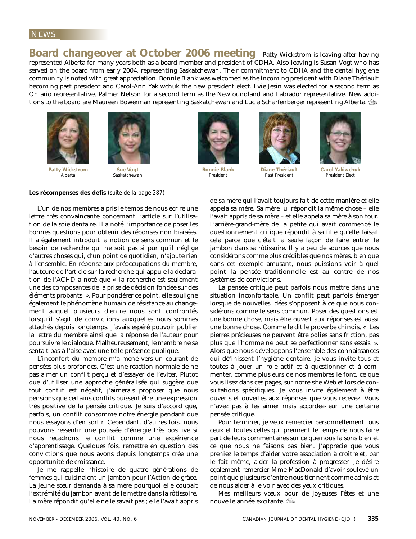# <span id="page-54-0"></span>NEWS

**Board changeover at October 2006 meeting - Patty Wickstrom is leaving after having** represented Alberta for many years both as a board member and president of CDHA. Also leaving is Susan Vogt who has served on the board from early 2004, representing Saskatchewan. Their commitment to CDHA and the dental hygiene community is noted with great appreciation. Bonnie Blank was welcomed as the incoming president with Diane Thériault becoming past president and Carol-Ann Yakiwchuk the new president elect. Evie Jesin was elected for a second term as Ontario representative, Palmer Nelson for a second term as the Newfoundland and Labrador representative. New additions to the board are Maureen Bowerman representing Saskatchewan and Lucia Scharfenberger representing Alberta.



**Patty Wickstrom** *Alberta*



*Saskatchewan*



**Bonnie Blank** *President*



**Diane Thériault** *Past President*



**Carol Yakiwchuk** *President Elect*

# **[Les récompenses des défis](#page-6-0)** *(suite de la page 287)*

L'un de nos membres a pris le temps de nous écrire une lettre très convaincante concernant l'article sur l'utilisation de la soie dentaire. Il a noté l'importance de poser les bonnes questions pour obtenir des réponses non biaisées. Il a également introduit la notion de sens commun et le besoin de recherche qui ne soit pas si pur qu'il néglige d'autres choses qui, d'un point de quotidien, n'ajoute rien à l'ensemble. En réponse aux préoccupations du membre, l'auteure de l'article sur la recherche qui appuie la déclaration de l'ACHD a noté que « la recherche est seulement une des composantes de la prise de décision fondée sur des éléments probants ». Pour pondérer ce point, elle souligne également le phénomène humain de résistance au changement auquel plusieurs d'entre nous sont confrontés lorsqu'il s'agit de convictions auxquelles nous sommes attachés depuis longtemps. J'avais espéré pouvoir publier la lettre du membre ainsi que la réponse de l'auteur pour poursuivre le dialogue. Malheureusement, le membre ne se sentait pas à l'aise avec une telle présence publique.

L'inconfort du membre m'a mené vers un courant de pensées plus profondes. C'est une réaction normale de ne pas aimer un conflit perçu et d'essayer de l'éviter. Plutôt que d'utiliser une approche généralisée qui suggère que tout conflit est négatif, j'aimerais proposer que nous pensions que certains conflits puissent être une expression très positive de la pensée critique. Je suis d'accord que, parfois, un conflit consomme notre énergie pendant que nous essayons d'en sortir. Cependant, d'autres fois, nous pouvons ressentir une poussée d'énergie très positive si nous recadrons le conflit comme une expérience d'apprentissage. Quelques fois, remettre en question des convictions que nous avons depuis longtemps crée une opportunité de croissance.

Je me rappelle l'histoire de quatre générations de femmes qui cuisinaient un jambon pour l'Action de grâce. La jeune sœur demanda à sa mère pourquoi elle coupait l'extrémité du jambon avant de le mettre dans la rôtissoire. La mère répondit qu'elle ne le savait pas ; elle l'avait appris de sa mère qui l'avait toujours fait de cette manière et elle appela sa mère. Sa mère lui répondit la même chose – elle l'avait appris de sa mère – et elle appela sa mère à son tour. L'arrière-grand-mère de la petite qui avait commencé le questionnement critique répondit à sa fille qu'elle faisait cela parce que c'était la seule façon de faire entrer le jambon dans sa rôtissoire. Il y a peu de sources que nous considérons comme plus crédibles que nos mères, bien que dans cet exemple amusant, nous puissions voir à quel point la pensée traditionnelle est au centre de nos systèmes de convictions.

La pensée critique peut parfois nous mettre dans une situation inconfortable. Un conflit peut parfois émerger lorsque de nouvelles idées s'opposent à ce que nous considérons comme le sens commun. Poser des questions est une bonne chose, mais être ouvert aux réponses est aussi une bonne chose. Comme le dit le proverbe chinois, « Les pierres précieuses ne peuvent être polies sans friction, pas plus que l'homme ne peut se perfectionner sans essais ». Alors que nous développons l'ensemble des connaissances qui définissent l'hygiène dentaire, je vous invite tous et toutes à jouer un rôle actif et à questionner et à commenter, comme plusieurs de nos membres le font, ce que vous lisez dans ces pages, sur notre site Web et lors de consultations spécifiques. Je vous invite également à être ouverts et ouvertes aux réponses que vous recevez. Vous n'avez pas à les aimer mais accordez-leur une certaine pensée critique.

Pour terminer, je veux remercier personnellement tous ceux et toutes celles qui prennent le temps de nous faire part de leurs commentaires sur ce que nous faisons bien et ce que nous ne faisons pas bien. J'apprécie que vous preniez le temps d'aider votre association à croître et, par le fait même, aider la profession à progresser. Je désire également remercier Mme MacDonald d'avoir soulevé un point que plusieurs d'entre nous tiennent comme admis et de nous aider à le voir avec des yeux critiques.

Mes meilleurs vœux pour de joyeuses Fêtes et une nouvelle année excitante.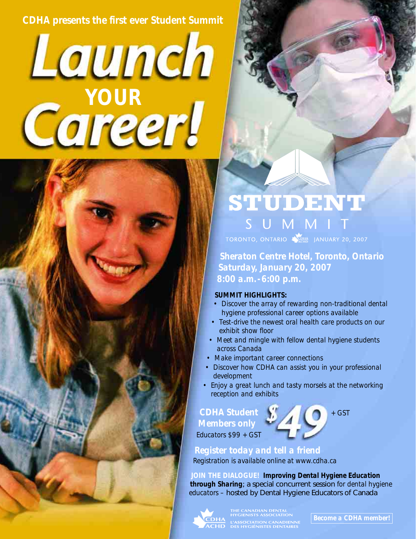# *CDHA presents the first ever Student Summit*

# Launch *YOUR*



TORONTO, ONTARIO A COHA JANUARY 20, 2007

*Sheraton Centre Hotel, Toronto, Ontario Saturday, January 20, 2007 8:00 a.m.-6:00 p.m.*

# *SUMMIT HIGHLIGHTS:*

- *Discover the array of rewarding non-traditional dental hygiene professional career options available*
- *Test-drive the newest oral health care products on our exhibit show floor*
- *Meet and mingle with fellow dental hygiene students across Canada*
- *Make important career connections*
- *Discover how CDHA can assist you in your professional development*
- *Enjoy a great lunch and tasty morsels at the networking reception and exhibits*

*CDHA Student + GST Members only*

*Educators \$99 + GST*

# *Register today and tell a friend*

*Registration is available online at www.cdha.ca*

*JOIN THE DIALOGUE! Improving Dental Hygiene Education through Sharing*; a special concurrent session *for dental hygiene educators –* hosted by Dental Hygiene Educators of Canada



<u>HA</u> – l'association canadienni<br>HD – des hygiénistes dentaires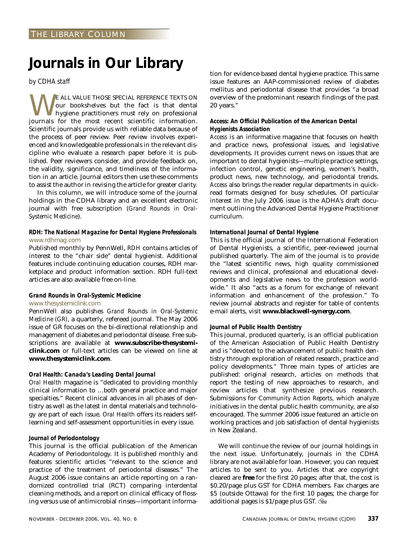# <span id="page-56-0"></span>**Journals in Our Library**

*by CDHA staff*

WE ALL VALUE THOSE SPECIAL REFERENCE TEXTS ON<br>hygiene practitioners must rely on professional<br>journals for the most recent scientific information our bookshelves but the fact is that dental hygiene practitioners must rely on professional journals for the most recent scientific information. Scientific journals provide us with reliable data because of the process of peer review. Peer review involves experienced and knowledgeable professionals in the relevant discipline who evaluate a research paper before it is published. Peer reviewers consider, and provide feedback on, the validity, significance, and timeliness of the information in an article. Journal editors then use these comments to assist the author in revising the article for greater clarity.

In this column, we will introduce some of the journal holdings in the CDHA library and an excellent electronic journal with free subscription (*Grand Rounds in Oral-Systemic Medicine*).

# *RDH: The National Magazine for Dental Hygiene Professionals* www.rdhmag.com

Published monthly by PennWell, *RDH* contains articles of interest to the "chair side" dental hygienist. Additional features include continuing education courses, RDH marketplace and product information section. RDH full-text articles are also available free on-line.

# *Grand Rounds in Oral-Systemic Medicine* www.thesystemiclink.com

PennWell also publishes *Grand Rounds in Oral-Systemic Medicine (GR)*, a quarterly, refereed journal. The May 2006 issue of GR focuses on the bi-directional relationship and management of diabetes and periodontal disease. Free subscriptions are available at **www.subscribe-thesystemiclink.com** or full-text articles can be viewed on line at **www.thesystemiclink.com**.

# *Oral Health: Canada's Leading Dental Journal*

*Oral Health* magazine is "dedicated to providing monthly clinical information to …both general practice and major specialties." Recent clinical advances in all phases of dentistry as well as the latest in dental materials and technology are part of each issue. *Oral Health* offers its readers selflearning and self-assessment opportunities in every issue.

# *Journal of Periodontology*

This journal is the official publication of the American Academy of Periodontology. It is published monthly and features scientific articles "relevant to the science and practice of the treatment of periodontal diseases." The August 2006 issue contains an article reporting on a randomized controlled trial (RCT) comparing interdental cleaning methods, and a report on clinical efficacy of flossing versus use of antimicrobial rinses—important informa-

tion for evidence-based dental hygiene practice. This same issue features an AAP-commissioned review of diabetes mellitus and periodontal disease that provides "a broad overview of the predominant research findings of the past 20 years."

# *Access: An Official Publication of the American Dental Hygienists Association*

*Access* is an informative magazine that focuses on health and practice news, professional issues, and legislative developments. It provides current news on issues that are important to dental hygienists—multiple practice settings, infection control, genetic engineering, women's health, product news, new technology, and periodontal trends. *Access* also brings the reader regular departments in quickread formats designed for busy schedules. Of particular interest in the July 2006 issue is the ADHA's draft document outlining the Advanced Dental Hygiene Practitioner curriculum.

# *International Journal of Dental Hygiene*

This is the official journal of the International Federation of Dental Hygienists, a scientific, peer-reviewed journal published quarterly. The aim of the journal is to provide the "latest scientific news, high quality commissioned reviews and clinical, professional and educational developments and legislative news to the profession worldwide." It also "acts as a forum for exchange of relevant information and enhancement of the profession." To review journal abstracts and register for table of contents e-mail alerts, visit **www.blackwell-synergy.com**.

# *Journal of Public Health Dentistry*

This journal, produced quarterly, is an official publication of the American Association of Public Health Dentistry and is "devoted to the advancement of public health dentistry through exploration of related research, practice and policy developments." Three main types of articles are published: original research, articles on methods that report the testing of new approaches to research, and review articles that synthesize previous research. Submissions for C*ommunity Action Reports,* which analyze initiatives in the dental public health community, are also encouraged. The summer 2006 issue featured an article on working practices and job satisfaction of dental hygienists in New Zealand.

We will continue the review of our journal holdings in the next issue. Unfortunately, journals in the CDHA library are not available for loan. However, you can request articles to be sent to you. Articles that are copyright cleared are **free** for the first 20 pages; after that, the cost is \$0.20/page plus GST for CDHA members. Fax charges are \$5 (outside Ottawa) for the first 10 pages; the charge for additional pages is \$1/page plus GST.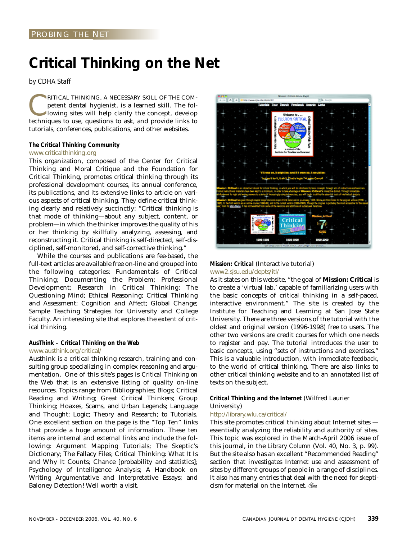# <span id="page-58-0"></span>**Critical Thinking on the Net**

*by CDHA Staff*

RITICAL THINKING, A NECESSARY SKILL OF THE COM-<br>petent dental hygienist, is a learned skill. The fol-<br>lowing sites will help clarify the concept, develop<br>techniques to use questions to ask and provide links to petent dental hygienist, is a learned skill. The following sites will help clarify the concept, develop techniques to use, questions to ask, and provide links to tutorials, conferences, publications, and other websites.

# *The Critical Thinking Community*

# www.criticalthinking.org

This organization, composed of the Center for Critical Thinking and Moral Critique and the Foundation for Critical Thinking, promotes critical thinking through its professional development courses, its annual conference, its publications, and its extensive links to article on various aspects of critical thinking. They define critical thinking clearly and relatively succinctly: "Critical thinking is that mode of thinking—about any subject, content, or problem—in which the thinker improves the quality of his or her thinking by skillfully analyzing, assessing, and reconstructing it. Critical thinking is self-directed, self-disciplined, self-monitored, and self-corrective thinking."

While the courses and publications are fee-based, the full-text articles are available free on-line and grouped into the following categories: Fundamentals of Critical Thinking; Documenting the Problem; Professional Development; Research in Critical Thinking; The Questioning Mind; Ethical Reasoning; Critical Thinking and Assessment; Cognition and Affect; Global Change; Sample Teaching Strategies for University and College Faculty. An interesting site that explores the extent of critical thinking.

# *AusThink – Critical Thinking on the Web* www.austhink.org/critical/

Austhink is a critical thinking research, training and consulting group specializing in complex reasoning and argumentation. One of this site's pages is *Critical Thinking on the Web* that is an extensive listing of quality on-line resources. Topics range from Bibliographies; Blogs; Critical Reading and Writing; Great Critical Thinkers; Group Thinking; Hoaxes, Scams, and Urban Legends; Language and Thought; Logic; Theory and Research; to Tutorials. One excellent section on the page is the "Top Ten" links that provide a huge amount of information. These ten items are internal and external links and include the following: Argument Mapping Tutorials; The Skeptic's Dictionary; The Fallacy Files; Critical Thinking: What It Is and Why It Counts; Chance [probability and statistics]; Psychology of Intelligence Analysis; A Handbook on Writing Argumentative and Interpretative Essays; and Baloney Detection! Well worth a visit.



# *Mission: Critical* (Interactive tutorial) www2.sjsu.edu/depts/itl/

As it states on this website, "the goal of **Mission: Critical** is to create a 'virtual lab,' capable of familiarizing users with the basic concepts of critical thinking in a self-paced, interactive environment." The site is created by the Institute for Teaching and Learning at San Jose State University. There are three versions of the tutorial with the oldest and original version (1996-1998) free to users. The other two versions are credit courses for which one needs to register and pay. The tutorial introduces the user to basic concepts, using "sets of instructions and exercises." This is a valuable introduction, with immediate feedback, to the world of critical thinking. There are also links to other critical thinking website and to an annotated list of texts on the subject.

# *Critical Thinking and the Internet* (Wilfred Laurier University)

# http://library.wlu.ca/critical/

This site promotes critical thinking about Internet sites essentially analyzing the reliability and authority of sites. This topic was explored in the March-April 2006 issue of this journal, in the *Library Column* (Vol. 40, No. 3, p. 99). But the site also has an excellent "Recommended Reading" section that investigates Internet use and assessment of sites by different groups of people in a range of disciplines. It also has many entries that deal with the need for skepticism for material on the Internet.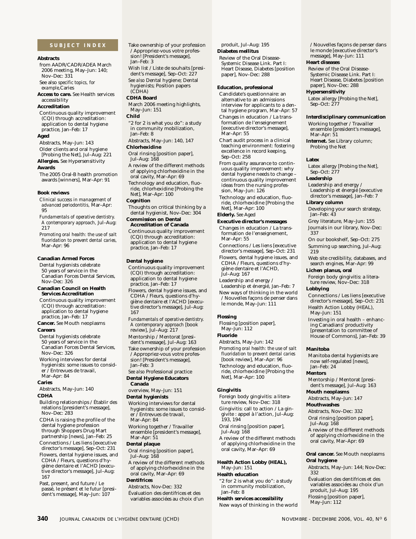# <span id="page-59-0"></span>**SUBJECT INDEX**

# **Abstracts**

from AADR/CADR/ADEA March 2006 meeting, May–Jun: 140; Nov–Dec: 331

See also *specific topics, for example,*Caries

**Access to care.** *See* Health services accessibility

#### **Accreditation**

Continuous quality improvement (CQI) through accreditation: application to dental hygiene practice, Jan–Feb: 17

# **Aged**

Abstracts, May–Jun: 143 Older clients and oral hygiene

[Probing the Net], Jul–Aug: 221 **Allergies.** *See* Hypersensitivity

#### **Awards**

The 2005 Oral-B health promotion awards [winners], Mar–Apr: 91

### **Book reviews**

*Clinical success in management of advanced periodontitis,* Mar–Apr: 95

*Fundamentals of operative dentistry. A contemporary approach,* Jul–Aug: 217

*Promoting oral health: the use of salt fluoridation to prevent dental caries,* Mar–Apr: 96

# **Canadian Armed Forces**

Dental hygienists celebrate 50 years of service in the Canadian Forces Dental Services, Nov–Dec: 326

#### **Canadian Council on Health Services Accreditation**

Continuous quality improvement (CQI) through accreditation: application to dental hygiene practice, Jan–Feb: 17

**Cancer.** *See* Mouth neoplasms **Careers**

Dental hygienists celebrate 50 years of service in the Canadian Forces Dental Services, Nov–Dec: 326

Working interviews for dental hygienists: some issues to consider / Entrevues de travail,

Mar–Apr: 84

# **Caries**

Abstracts, May–Jun: 140 **CDHA**

# Building relationships / Établir des relations [president's message], Nov–Dec: 283

CDHA is raising the profile of the dental hygiene profession through Shoppers Drug Mart partnership [news], Jan–Feb: 25

Connections / Les liens [executive director's message], Sep–Oct: 231 Flowers, dental hygiene issues, and CDHA / Fleurs, questions d'hygiène dentaire et l'ACHD [execu-

tive director's message], Jul–Aug: 167 Past, present, and future / Le

passé, le présent et le futur [president's message], May–Jun: 107

/ Appropriez-vous votre profession! [President's message], Jan–Feb: 3 Wish list / Liste de souhaits [president's message], Sep-Oct: 227 *See also* Dental hygiene; Dental hygienists; Position papers (CDHA) **CDHA Board** March 2006 meeting highlights, May–Jun: 151 **Child** "2 for 2 is what you do": a study in community mobilization, Jan–Feb: 8 Abstracts, May–Jun: 140, 147 **Chlorhexidine** Oral rinsing [position paper], Jul–Aug: 168 A review of the different methods of applying chlorhexidine in the oral cavity, Mar–Apr: 69 Technology and education, fluoride, chlorhexidine [Probing the Net], Mar–Apr: 100

Take ownership of your profession

# **Cognition**

Thoughts on critical thinking by a dental hygienist, Nov–Dec: 304

# **Commission on Dental Accreditation of Canada**  Continuous quality improvement

(CQI) through accreditation: application to dental hygiene practice, Jan–Feb: 17

## **Dental hygiene**

Continuous quality improvement (CQI) through accreditation: application to dental hygiene practice, Jan–Feb: 17 Flowers, dental hygiene issues, and CDHA / Fleurs, questions d'hygiène dentaire et l'ACHD [executive director's message], Jul–Aug: 167

*Fundamentals of operative dentistry. A contemporary approach* [book review], Jul–Aug: 217 Mentorship / Mentorat [president's message], Jul–Aug: 163 Take ownership of your profession / Appropriez-vous votre profession! [President's message], Jan–Feb: 3

*See also* Professional practice **Dental Hygiene Educators Canada**

overview, May–Jun: 151

# **Dental hygienists**

Working interviews for dental hygienists: some issues to consider / Entrevues de travail, Mar–Apr: 84

Working together / Travailler ensemble [president's message], Mar-Apr: 51

# **Dental plaque**

Oral rinsing [position paper], Jul–Aug: 168

A review of the different methods of applying chlorhexidine in the oral cavity, Mar–Apr: 69

**Dentifrices** Abstracts, Nov-Dec: 332

Évaluation des dentifrices et des

variables associées au choix d'un

produit, Jul–Aug: 195 **Diabetes mellitus**

Review of the Oral Disease-Systemic Disease Link. Part I: Heart Disease, Diabetes [position paper], Nov–Dec: 288

## **Education, professional**

Candidate's questionnaire: an alternative to an admissions interview for applicants to a dental hygiene program, Mar–Apr: 57 Changes in education / La transformation de l'enseignement [executive director's message], Mar–Apr: 55

Chart audit process in a clinical teaching environment: fostering excellence in record keeping, Sep–Oct: 258

From quality assurance to continuous quality improvement: why dental hygiene needs to change – continuous quality improvement ideas from the nursing profession, May–Jun: 126

Technology and education, fluoride, chlorhexidine [Probing the Net], Mar–Apr: 100

# **Elderly.** *See* Aged

**Executive director's messages** Changes in education / La transformation de l'enseignement, Mar–Apr: 55

Connections / Les liens [executive director's message], Sep–Oct: 231 Flowers, dental hygiene issues, and CDHA / Fleurs, questions d'hygiène dentaire et l'ACHD, Jul–Aug: 167

Leadership and energy /

Leadership et énergié, Jan–Feb: 7 New ways of thinking in the world / Nouvelles façons de penser dans le monde, May–Jun: 111

### **Flossing**

Flossing [position paper], May–Jun: 112

**Fluoride**

Abstracts, May–Jun: 142 *Promoting oral health: the use of salt fluoridation to prevent dental caries* [book review], Mar–Apr: 96 Technology and education, fluoride, chlorhexidine [Probing the Net], Mar–Apr: 100

# **Gingivitis**

Foreign body gingivitis: a literature review, Nov–Dec: 318 Gingivitis: call to action / La gin-

givite : appel à l'action, Jul–Aug: 193, 194

Oral rinsing [position paper], Jul–Aug: 168

A review of the different methods of applying chlorhexidine in the oral cavity, Mar–Apr: 69

**Health Action Lobby (HEAL),** May–Jun: 151

# **Health education**

**340** JOURNAL CANADIEN DE L'HYGIÈNE DENTAIRE (JCHD) NOVEMBRE - DECEMBRE 2006, VOL. 40, N<sup>o</sup> 6

"2 for 2 is what you do": a study in community mobilization, Jan–Feb: 8

**Health services accessibility**

New ways of thinking in the world

/ Nouvelles façons de penser dans le monde [executive director's message], May–Jun: 111

# **Heart diseases**

Review of the Oral Disease-Systemic Disease Link. Part I: Heart Disease, Diabetes [position paper], Nov–Dec: 288

# **Hypersensitivity**

Latex allergy [Probing the Net], Sep–Oct: 277

# **Interdisciplinary communication**

Working together / Travailler ensemble [president's message], Mar-Apr: 51

**Internet.** *See* Library column; Probing the Net

## **Latex**

Latex allergy [Probing the Net], Sep–Oct: 277

# **Leadership**

Leadership and energy / Leadership et énergié [executive director's message], Jan–Feb: 7

## **Library column**

Developing your search strategy, Jan–Feb: 43

Grey literature, May–Jun: 155 Journals in our library, Nov–Dec: 337

On our bookshelf, Sep–Oct: 275 Summing up searching, Jul–Aug: 219

Web site credibility, databases, and search engines, Mar–Apr: 99

# **Lichen planus, oral**

Foreign body gingivitis: a literature review, Nov–Dec: 318

# **Lobbying**

Connections / Les liens [executive director's message], Sep–Oct: 231 Health Action Lobby (HEAL),

May–Jun: 151 Investing in oral health – enhancing Canadians' productivity [presentation to committee of House of Commons], Jan–Feb: 39

### **Manitoba**

**Mentors**

**Mouth neoplasms** Abstracts, May–Jun: 147

Abstracts, Nov–Dec: 332 Oral rinsing [position paper],

**Mouthwashes**

Jul–Aug: 168

**Oral hygiene**

332

Manitoba dental hygienists are now self-regulated [news], Jan–Feb: 24

Mentorship / Mentorat [president's message], Jul–Aug: 163

A review of the different methods of applying chlorhexidine in the oral cavity, Mar–Apr: 69

**Oral cancer.** *See* Mouth neoplasms

Abstracts, May–Jun: 144; Nov-Dec:

Évaluation des dentifrices et des variables associées au choix d'un

produit, Jul–Aug: 195 Flossing [position paper], May–Jun: 112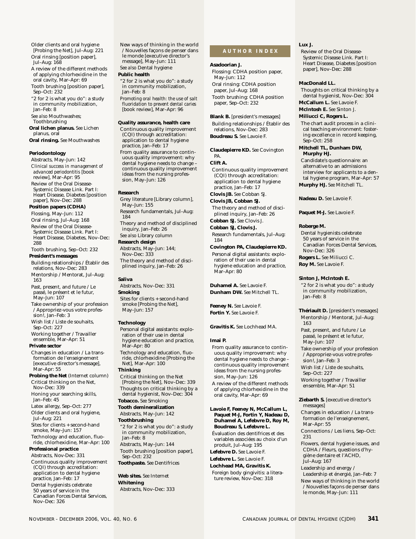Older clients and oral hygiene [Probing the Net], Jul–Aug: 221 Oral rinsing [position paper], Jul–Aug: 168

A review of the different methods of applying chlorhexidine in the oral cavity, Mar–Apr: 69

Tooth brushing [position paper], Sep–Oct: 232 "2 for 2 is what you do": a study

in community mobilization, Jan–Feb: 8 *See also* Mouthwashes;

Toothbrushing

**Oral lichen planus.** *See* Lichen planus, oral

**Oral rinsing.** *See* Mouthwashes

## **Periodontology**

Abstracts, May–Jun: 142 *Clinical success in management of advanced periodontitis* [book review], Mar–Apr: 95 Review of the Oral Disease-Systemic Disease Link. Part I: Heart Disease, Diabetes [position paper], Nov–Dec: 288

# **Position papers (CDHA)**

Flossing, May–Jun: 112 Oral rinsing, Jul–Aug: 168 Review of the Oral Disease-Systemic Disease Link. Part I: Heart Disease, Diabetes, Nov–Dec: 288

Tooth brushing, Sep–Oct: 232 **President's messages**

Building relationships / Établir des relations, Nov–Dec: 283 Mentorship / Mentorat, Jul–Aug: 163 Past, present, and future / Le passé, le présent et le futur, May–Jun: 107 Take ownership of your profession

/ Appropriez-vous votre profession!, Jan–Feb: 3

Wish list / Liste de souhaits, Sep–Oct: 227 Working together / Travailler

ensemble, Mar–Apr: 51

# **Private sector**

Changes in education / La transformation de l'enseignement [executive director's message], Mar–Apr: 55

**Probing the Net** (Internet column) Critical thinking on the Net, Nov–Dec: 339

Honing your searching skills, Jan–Feb: 45

Latex allergy, Sep–Oct: 277

Older clients and oral hygiene, Jul–Aug: 221

Sites for clients + second-hand smoke, May–Jun: 157 Technology and education, fluo-

ride, chlorhexidine, Mar–Apr: 100 **Professional practice**

## Abstracts, Nov-Dec: 331 Continuous quality improvement (CQI) through accreditation: application to dental hygiene practice, Jan–Feb: 17

Dental hygienists celebrate 50 years of service in the Canadian Forces Dental Services, Nov–Dec: 326

New ways of thinking in the world / Nouvelles façons de penser dans le monde [executive director's message], May–Jun: 111 *See also* Dental hygiene

# **Public health**

"2 for 2 is what you do": a study in community mobilization, Jan–Feb: 8 *Promoting oral health: the use of salt fluoridation to prevent dental caries* [book review], Mar–Apr: 96

# **Quality assurance, health care**

Continuous quality improvement (CQI) through accreditation: application to dental hygiene practice, Jan–Feb: 17 From quality assurance to continuous quality improvement: why dental hygiene needs to change – continuous quality improvement ideas from the nursing profession, May–Jun: 126

## **Research**

Grey literature [Library column], May–Jun: 155 Research fundamentals, Jul–Aug: 184 Theory and method of disciplined inquiry, Jan–Feb: 26 *See also* Library column **Research design** Abstracts, May–Jun: 144; Nov–Dec: 333 The theory and method of disci-

plined inquiry, Jan–Feb: 26

# **Saliva**

Abstracts, Nov–Dec: 331 **Smoking** Sites for clients + second-hand smoke [Probing the Net], May–Jun: 157

### **Technology**

Personal digital assistants: exploration of their use in dental hygiene education and practice, Mar–Apr: 80 Technology and education, fluoride, chlorhexidine [Probing the Net], Mar–Apr: 100 **Thinking** Critical thinking on the Net [Probing the Net], Nov–Dec: 339 Thoughts on critical thinking by a dental hygienist, Nov–Dec: 304 **Tobacco.** *See* Smoking **Tooth demineralization** Abstracts, May–Jun: 142 **Toothbrushing** "2 for 2 is what you do": a study in community mobilization, Jan–Feb: 8 Abstracts, May–Jun: 144 Tooth brushing [position paper], Sep–Oct: 232 **Toothpaste.** *See* Dentifrices **Web sites.** *See* Internet **Whitening** Abstracts, Nov–Dec: 333

# **AUTHOR INDEX**

# **Asadoorian J.**

Flossing: CDHA position paper, May–Jun: 112 Oral rinsing: CDHA position paper, Jul–Aug: 168 Tooth brushing: CDHA position paper, Sep–Oct: 232

**Blank B.** [president's messages]

Building relationships / Établir des relations, Nov–Dec: 283 **Boudreau S.** *See* Lavoie F.

**Claudepierre KD.** *See* Covington PA.

# **Clift A.**

Continuous quality improvement (CQI) through accreditation: application to dental hygiene practice, Jan–Feb: 17

# **Clovis JB.** *See* Cobban SJ.

**Clovis JB, Cobban SJ.** The theory and method of disci-

plined inquiry, Jan–Feb: 26 **Cobban SJ.** *See* Clovis J.

**Cobban SJ, Clovis J.** Research fundamentals, Jul–Aug: 184

# **Covington PA, Claudepierre KD.**

Personal digital assistants: exploration of their use in dental hygiene education and practice, Mar–Apr: 80

**Duhamel A.** *See* Lavoie F. **Dunham DW.** *See* Mitchell TL.

**Feeney N.** *See* Lavoie F. **Fortin Y.** *See* Lavoie F.

# **Gravitis K.** *See* Lochhead MA.

# **Imai P.**

From quality assurance to continuous quality improvement: why dental hygiene needs to change – continuous quality improvement ideas from the nursing profession, May–Jun: 126 A review of the different methods of applying chlorhexidine in the oral cavity, Mar–Apr: 69

**Lavoie F, Feeney N, McCallum L, Paquet M-J, Fortin Y, Nadeau D, Duhamel A, Lefebvre D, Roy M, Boudreau S, Lefebvre L.** Évaluation des dentifrices et des variables associées au choix d'un produit, Jul–Aug: 195 **Lefebvre D.** *See* Lavoie F. **Lefebvre L.** *See* Lavoie F. **Lochhead MA, Gravitis K.** Foreign body gingivitis: a literature review, Nov–Dec: 318

# **Lux J.**

Review of the Oral Disease-Systemic Disease Link. Part I: Heart Disease, Diabetes [position paper], Nov–Dec: 288

## **MacDonald LL.**

Thoughts on critical thinking by a dental hygienist, Nov–Dec: 304 **McCallum L.** *See* Lavoie F.

**McIntosh E.** *See* Sinton J.

# **Miliucci C, Rogers L.**

The chart audit process in a clinical teaching environment: fostering excellence in record keeping, Sep–Oct: 258

**Mitchell TL, Dunham DW, Murphy HJ.**

Candidate's questionnaire: an alternative to an admissions interview for applicants to a dental hygiene program, Mar–Apr: 57 **Murphy HJ.** *See* Mitchell TL.

**Nadeau D.** *See* Lavoie F.

**Paquet M-J.** *See* Lavoie F.

## **Roberge M.**

Dental hygienists celebrate 50 years of service in the Canadian Forces Dental Services, Nov–Dec: 326 **Rogers L.** *See* Miliucci C.

**Roy M.** *See* Lavoie F.

# **Sinton J, McIntosh E.**

"2 for 2 is what you do": a study in community mobilization, Jan–Feb: 8

**Thériault D.** [president's messages] Mentorship / Mentorat, Jul–Aug: 163

Past, present, and future / Le passé, le présent et le futur, May–Jun: 107

Take ownership of your profession / Appropriez-vous votre profession!, Jan–Feb: 3

Wish list / Liste de souhaits, Sep–Oct: 227

Working together / Travailler ensemble, Mar–Apr: 51

**Ziebarth S.** [executive director's messages] Changes in education / La transformation de l'enseignement, Mar–Apr: 55 Connections / Les liens, Sep–Oct:

231 Flowers, dental hygiene issues, and CDHA / Fleurs, questions d'hygiène dentaire et l'ACHD, Jul–Aug: 167

Leadership and energy / Leadership et énergié, Jan–Feb: 7 New ways of thinking in the world / Nouvelles façons de penser dans le monde, May–Jun: 111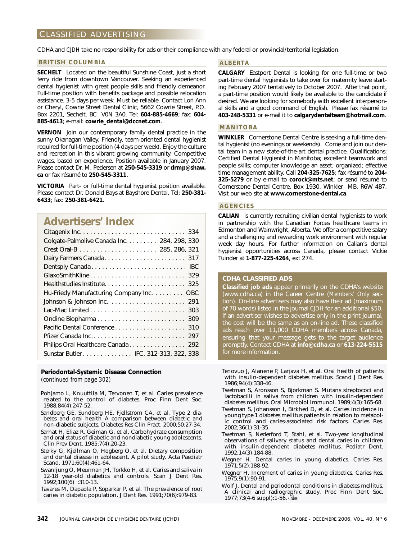# <span id="page-61-0"></span>CLASSIFIED ADVERTISING

CDHA and *CJDH* take no responsibility for ads or their compliance with any federal or provincial/territorial legislation.

# **BRITISH COLUMBIA**

**SECHELT** Located on the beautiful Sunshine Coast, just a short ferry ride from downtown Vancouver. Seeking an experienced dental hygienist with great people skills and friendly demeanor. Full-time position with benefits package and possible relocation assistance. 3-5 days per week. Must be reliable. Contact Lori Ann or Cheryl, Cowrie Street Dental Clinic, 5662 Cowrie Street, P.O. Box 2201, Sechelt, BC V0N 3A0. Tel: **604-885-4669**; fax: **604- 885-4613**; e-mail: **cowrie\_dental@dccnet.com**.

**VERNON** Join our contemporary family dental practice in the sunny Okanagan Valley. Friendly, team-oriented dental hygienist required for full-time position (4 days per week). Enjoy the culture and recreation in this vibrant growing community. Competitive wages, based on experience. Position available in January 2007. Please contact Dr. M. Pedersen at **250-545-3319** or **drmp@shaw. ca** or fax résumé to **250-545-3311**.

**VICTORIA** Part- or full-time dental hygienist position available. Please contact Dr. Donald Bays at Bayshore Dental. Tel: **250-381- 6433**; fax: **250-381-6421**.

# **Advertisers' Index**

| Colgate-Palmolive Canada Inc. 284, 298, 330 |
|---------------------------------------------|
|                                             |
|                                             |
|                                             |
|                                             |
|                                             |
| Hu-Friedy Manufacturing Company Inc. OBC    |
|                                             |
| 303                                         |
| Ondine Biopharma<br>309                     |
| 310                                         |
| 297                                         |
| Philips Oral Healthcare Canada<br>292       |
| Sunstar Butler IFC, 312-313, 322, 338       |

# **[Periodontal-Systemic Disease Connection](#page-21-0)**

*(continued from page 302)*

- Pohjamo L, Knuuttila M, Tervonen T, et al. Caries prevalence related to the control of diabetes. Proc Finn Dent Soc. 1988;84(4):247-52.
- Sandberg GE, Sundberg HE, Fjellstrom CA, et al. Type 2 diabetes and oral health A comparison between diabetic and non-diabetic subjects. Diabetes Res Clin Pract. 2000;50:27-34.
- Sarnat H, Eliaz R, Geiman G, et al. Carbohydrate consumption and oral status of diabetic and nondiabetic young adolescents. Clin Prev Dent. 1985;7(4):20-23.
- Sterky G, Kjellman O, Hogberg O, et al. Dietary composition and dental disease in adolescent. A pilot study. Acta Paediatr Scand. 1971;60(4):461-64.
- Swanljung O, Meurman JH, Torkko H, et al. Caries and saliva in 12-18 year-old diabetics and controls. Scan J Dent Res. 1992;100(6) :310-13.
- Tavares M, Dapaola P, Soparkar P, et al. The prevalence of root caries in diabetic population. J Dent Res. 1991;70(6):979-83.

# **ALBERTA**

**CALGARY** Eastport Dental is looking for one full-time or two part-time dental hygienists to take over for maternity leave starting February 2007 tentatively to October 2007. After that point, a part-time position would likely be available to the candidate if desired. We are looking for somebody with excellent interpersonal skills and a good command of English. Please fax résumé to **403-248-5331** or e-mail it to **calgarydentalteam@hotmail.com**.

# **MANITOBA**

**WINKLER** Cornerstone Dental Centre is seeking a full-time dental hygienist (no evenings or weekends). Come and join our dental team in a new state-of-the-art dental practice. Qualifications: Certified Dental Hygienist in Manitoba; excellent teamwork and people skills; computer knowledge an asset; organized; effective time management ability. Call **204-325-7625**; fax résumé to **204- 325-5279** or by e-mail to **corock@mts.net**; or send résumé to Cornerstone Dental Centre, Box 1930, Winkler MB, R6W 4B7. Visit our web site at **www.cornerstone-dental.ca**.

# **AGENCIES**

**CALIAN** is currently recruiting civilian dental hygienists to work in partnership with the Canadian Forces healthcare teams in Edmonton and Wainwright, Alberta. We offer a competitive salary and a challenging and rewarding work environment with regular week day hours. For further information on Calian's dental hygienist opportunities across Canada, please contact Vickie Tuinder at **1-877-225-4264**, ext 274.

# **CDHA CLASSIFIED ADS**

**Classified job ads** appear primarily on the CDHA's website (www.cdha.ca) in the Career Centre (*Members' Only* section). On-line advertisers may also have their ad (maximum of 70 words) listed in the journal *CJDH* for an additional \$50. If an advertiser wishes to advertise only in the print journal, the cost will be the same as an on-line ad. These classified ads reach over 11,000 CDHA members across Canada, ensuring that your message gets to the target audience promptly. Contact CDHA at **info@cdha.ca** or **613-224-5515** for more information.

- Tenovuo J, Alanene P, Larjava H, et al. Oral health of patients with insulin-dependent diabetes mellitus. Scand J Dent Res. 1986;94(4):338-46.
- Twetman S, Aronsson S, Bjorkman S. Mutans streptococi and lactobacilli in saliva from children with insulin-dependent diabetes mellitus. Oral Microbiol Immunol. 1989;4(3):165-68.
- Twetman S, Johansson I, Birkhed D, et al. Caries incidence in young type 1 diabetes mellitus patients in relation to metabolic control and caries-associated risk factors. Caries Res. 2002;36(1):31-35.
- Twetman S, Nederford T, Stahl, et al. Two-year longitudinal observations of salivary status and dental caries in children with insulin-dependent diabetes mellitus. Pediatr Dent. 1992;14(3):184-88.
- Wegner H. Dental caries in young diabetics. Caries Res. 1971;5(2):188-92.
- Wegner H. Increment of caries in young diabetics. Caries Res. 1975;9(1):90-91.
- Wolf J. Dental and periodontal conditions in diabetes mellitus. A clinical and radiographic study. Proc Finn Dent Soc. 1977;73(4-6 suppl):1-56.